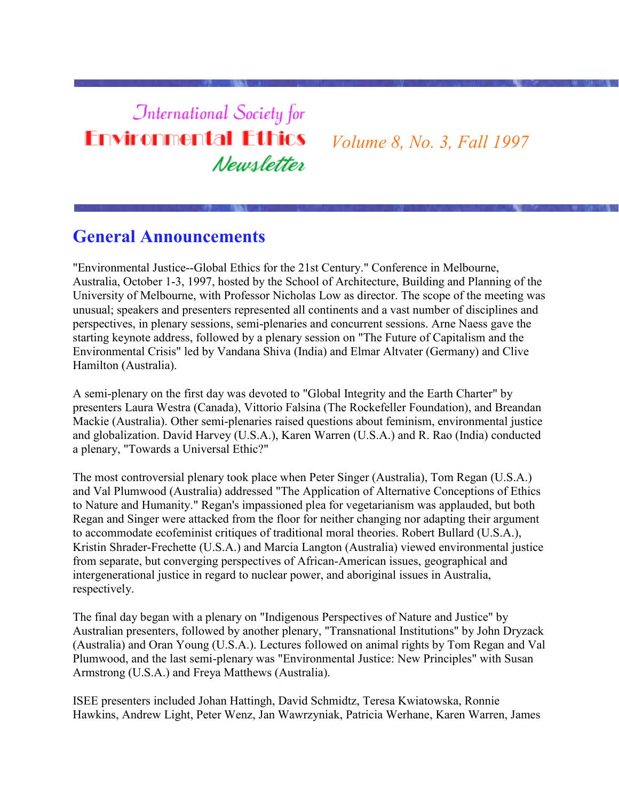# **International Society for Environmental Ethics** Newsletter

*Volume 8, No. 3, Fall 1997*

# **General Announcements**

"Environmental Justice--Global Ethics for the 21st Century." Conference in Melbourne, Australia, October 1-3, 1997, hosted by the School of Architecture, Building and Planning of the University of Melbourne, with Professor Nicholas Low as director. The scope of the meeting was unusual; speakers and presenters represented all continents and a vast number of disciplines and perspectives, in plenary sessions, semi-plenaries and concurrent sessions. Arne Naess gave the starting keynote address, followed by a plenary session on "The Future of Capitalism and the Environmental Crisis" led by Vandana Shiva (India) and Elmar Altvater (Germany) and Clive Hamilton (Australia).

A semi-plenary on the first day was devoted to "Global Integrity and the Earth Charter" by presenters Laura Westra (Canada), Vittorio Falsina (The Rockefeller Foundation), and Breandan Mackie (Australia). Other semi-plenaries raised questions about feminism, environmental justice and globalization. David Harvey (U.S.A.), Karen Warren (U.S.A.) and R. Rao (India) conducted a plenary, "Towards a Universal Ethic?"

The most controversial plenary took place when Peter Singer (Australia), Tom Regan (U.S.A.) and Val Plumwood (Australia) addressed "The Application of Alternative Conceptions of Ethics to Nature and Humanity." Regan's impassioned plea for vegetarianism was applauded, but both Regan and Singer were attacked from the floor for neither changing nor adapting their argument to accommodate ecofeminist critiques of traditional moral theories. Robert Bullard (U.S.A.), Kristin Shrader-Frechette (U.S.A.) and Marcia Langton (Australia) viewed environmental justice from separate, but converging perspectives of African-American issues, geographical and intergenerational justice in regard to nuclear power, and aboriginal issues in Australia, respectively.

The final day began with a plenary on "Indigenous Perspectives of Nature and Justice" by Australian presenters, followed by another plenary, "Transnational Institutions" by John Dryzack (Australia) and Oran Young (U.S.A.). Lectures followed on animal rights by Tom Regan and Val Plumwood, and the last semi-plenary was "Environmental Justice: New Principles" with Susan Armstrong (U.S.A.) and Freya Matthews (Australia).

ISEE presenters included Johan Hattingh, David Schmidtz, Teresa Kwiatowska, Ronnie Hawkins, Andrew Light, Peter Wenz, Jan Wawrzyniak, Patricia Werhane, Karen Warren, James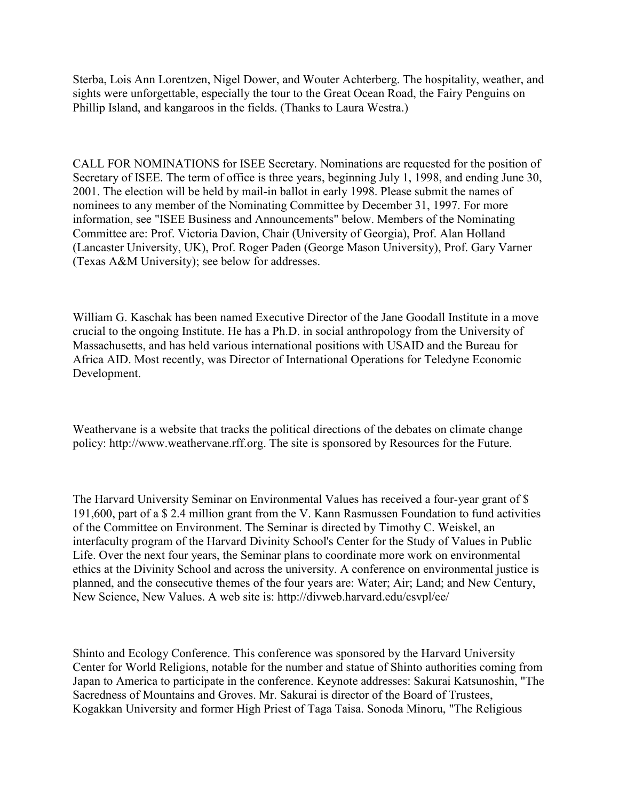Sterba, Lois Ann Lorentzen, Nigel Dower, and Wouter Achterberg. The hospitality, weather, and sights were unforgettable, especially the tour to the Great Ocean Road, the Fairy Penguins on Phillip Island, and kangaroos in the fields. (Thanks to Laura Westra.)

CALL FOR NOMINATIONS for ISEE Secretary. Nominations are requested for the position of Secretary of ISEE. The term of office is three years, beginning July 1, 1998, and ending June 30, 2001. The election will be held by mail-in ballot in early 1998. Please submit the names of nominees to any member of the Nominating Committee by December 31, 1997. For more information, see "ISEE Business and Announcements" below. Members of the Nominating Committee are: Prof. Victoria Davion, Chair (University of Georgia), Prof. Alan Holland (Lancaster University, UK), Prof. Roger Paden (George Mason University), Prof. Gary Varner (Texas A&M University); see below for addresses.

William G. Kaschak has been named Executive Director of the Jane Goodall Institute in a move crucial to the ongoing Institute. He has a Ph.D. in social anthropology from the University of Massachusetts, and has held various international positions with USAID and the Bureau for Africa AID. Most recently, was Director of International Operations for Teledyne Economic Development.

Weathervane is a website that tracks the political directions of the debates on climate change policy: http://www.weathervane.rff.org. The site is sponsored by Resources for the Future.

The Harvard University Seminar on Environmental Values has received a four-year grant of \$ 191,600, part of a \$ 2.4 million grant from the V. Kann Rasmussen Foundation to fund activities of the Committee on Environment. The Seminar is directed by Timothy C. Weiskel, an interfaculty program of the Harvard Divinity School's Center for the Study of Values in Public Life. Over the next four years, the Seminar plans to coordinate more work on environmental ethics at the Divinity School and across the university. A conference on environmental justice is planned, and the consecutive themes of the four years are: Water; Air; Land; and New Century, New Science, New Values. A web site is: http://divweb.harvard.edu/csvpl/ee/

Shinto and Ecology Conference. This conference was sponsored by the Harvard University Center for World Religions, notable for the number and statue of Shinto authorities coming from Japan to America to participate in the conference. Keynote addresses: Sakurai Katsunoshin, "The Sacredness of Mountains and Groves. Mr. Sakurai is director of the Board of Trustees, Kogakkan University and former High Priest of Taga Taisa. Sonoda Minoru, "The Religious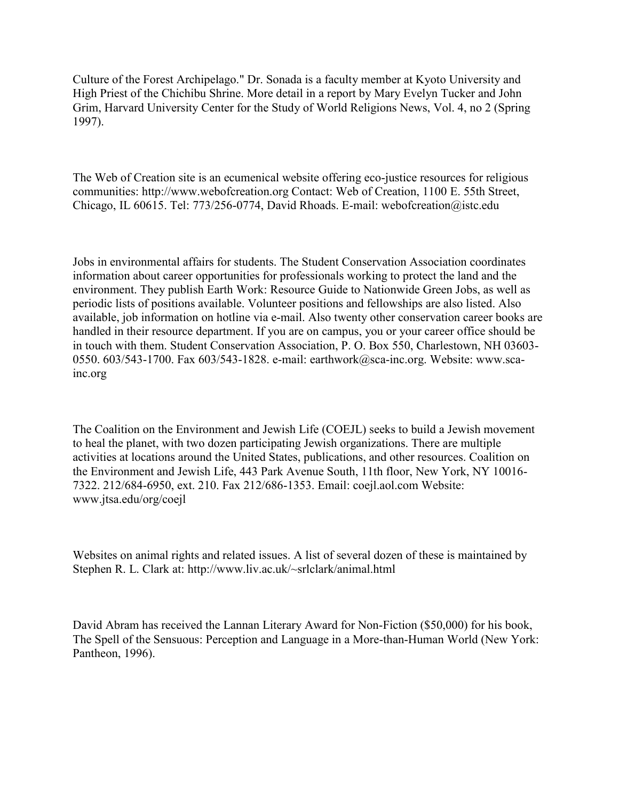Culture of the Forest Archipelago." Dr. Sonada is a faculty member at Kyoto University and High Priest of the Chichibu Shrine. More detail in a report by Mary Evelyn Tucker and John Grim, Harvard University Center for the Study of World Religions News, Vol. 4, no 2 (Spring 1997).

The Web of Creation site is an ecumenical website offering eco-justice resources for religious communities: http://www.webofcreation.org Contact: Web of Creation, 1100 E. 55th Street, Chicago, IL 60615. Tel: 773/256-0774, David Rhoads. E-mail: webofcreation@istc.edu

Jobs in environmental affairs for students. The Student Conservation Association coordinates information about career opportunities for professionals working to protect the land and the environment. They publish Earth Work: Resource Guide to Nationwide Green Jobs, as well as periodic lists of positions available. Volunteer positions and fellowships are also listed. Also available, job information on hotline via e-mail. Also twenty other conservation career books are handled in their resource department. If you are on campus, you or your career office should be in touch with them. Student Conservation Association, P. O. Box 550, Charlestown, NH 03603- 0550. 603/543-1700. Fax 603/543-1828. e-mail: earthwork@sca-inc.org. Website: www.scainc.org

The Coalition on the Environment and Jewish Life (COEJL) seeks to build a Jewish movement to heal the planet, with two dozen participating Jewish organizations. There are multiple activities at locations around the United States, publications, and other resources. Coalition on the Environment and Jewish Life, 443 Park Avenue South, 11th floor, New York, NY 10016- 7322. 212/684-6950, ext. 210. Fax 212/686-1353. Email: coejl.aol.com Website: www.jtsa.edu/org/coejl

Websites on animal rights and related issues. A list of several dozen of these is maintained by Stephen R. L. Clark at: http://www.liv.ac.uk/~srlclark/animal.html

David Abram has received the Lannan Literary Award for Non-Fiction (\$50,000) for his book, The Spell of the Sensuous: Perception and Language in a More-than-Human World (New York: Pantheon, 1996).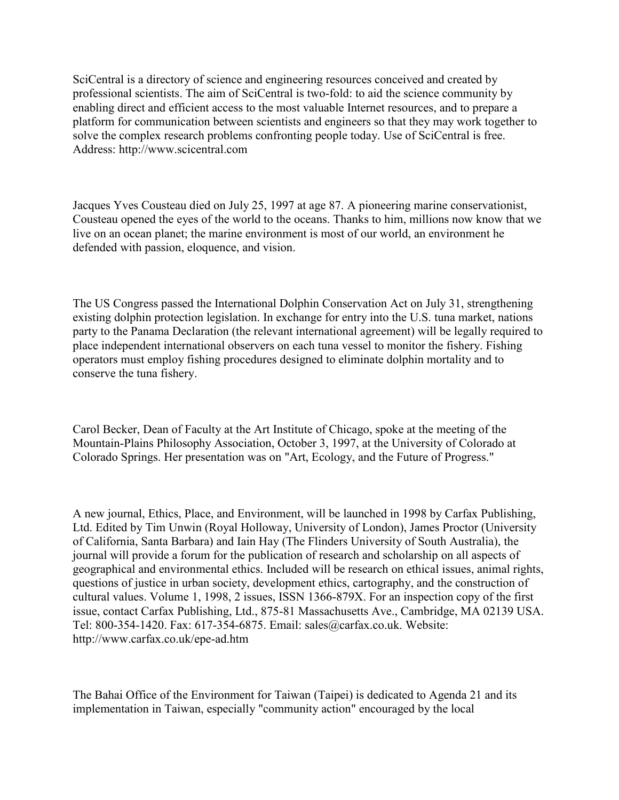SciCentral is a directory of science and engineering resources conceived and created by professional scientists. The aim of SciCentral is two-fold: to aid the science community by enabling direct and efficient access to the most valuable Internet resources, and to prepare a platform for communication between scientists and engineers so that they may work together to solve the complex research problems confronting people today. Use of SciCentral is free. Address: http://www.scicentral.com

Jacques Yves Cousteau died on July 25, 1997 at age 87. A pioneering marine conservationist, Cousteau opened the eyes of the world to the oceans. Thanks to him, millions now know that we live on an ocean planet; the marine environment is most of our world, an environment he defended with passion, eloquence, and vision.

The US Congress passed the International Dolphin Conservation Act on July 31, strengthening existing dolphin protection legislation. In exchange for entry into the U.S. tuna market, nations party to the Panama Declaration (the relevant international agreement) will be legally required to place independent international observers on each tuna vessel to monitor the fishery. Fishing operators must employ fishing procedures designed to eliminate dolphin mortality and to conserve the tuna fishery.

Carol Becker, Dean of Faculty at the Art Institute of Chicago, spoke at the meeting of the Mountain-Plains Philosophy Association, October 3, 1997, at the University of Colorado at Colorado Springs. Her presentation was on "Art, Ecology, and the Future of Progress."

A new journal, Ethics, Place, and Environment, will be launched in 1998 by Carfax Publishing, Ltd. Edited by Tim Unwin (Royal Holloway, University of London), James Proctor (University of California, Santa Barbara) and Iain Hay (The Flinders University of South Australia), the journal will provide a forum for the publication of research and scholarship on all aspects of geographical and environmental ethics. Included will be research on ethical issues, animal rights, questions of justice in urban society, development ethics, cartography, and the construction of cultural values. Volume 1, 1998, 2 issues, ISSN 1366-879X. For an inspection copy of the first issue, contact Carfax Publishing, Ltd., 875-81 Massachusetts Ave., Cambridge, MA 02139 USA. Tel: 800-354-1420. Fax: 617-354-6875. Email: sales@carfax.co.uk. Website: http://www.carfax.co.uk/epe-ad.htm

The Bahai Office of the Environment for Taiwan (Taipei) is dedicated to Agenda 21 and its implementation in Taiwan, especially "community action" encouraged by the local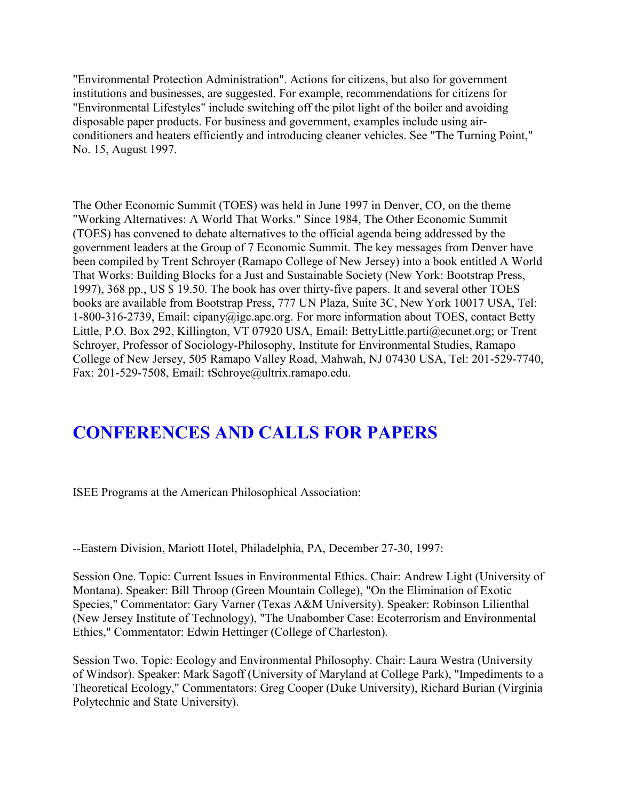"Environmental Protection Administration". Actions for citizens, but also for government institutions and businesses, are suggested. For example, recommendations for citizens for "Environmental Lifestyles" include switching off the pilot light of the boiler and avoiding disposable paper products. For business and government, examples include using airconditioners and heaters efficiently and introducing cleaner vehicles. See "The Turning Point," No. 15, August 1997.

The Other Economic Summit (TOES) was held in June 1997 in Denver, CO, on the theme "Working Alternatives: A World That Works." Since 1984, The Other Economic Summit (TOES) has convened to debate alternatives to the official agenda being addressed by the government leaders at the Group of 7 Economic Summit. The key messages from Denver have been compiled by Trent Schroyer (Ramapo College of New Jersey) into a book entitled A World That Works: Building Blocks for a Just and Sustainable Society (New York: Bootstrap Press, 1997), 368 pp., US \$ 19.50. The book has over thirty-five papers. It and several other TOES books are available from Bootstrap Press, 777 UN Plaza, Suite 3C, New York 10017 USA, Tel: 1-800-316-2739, Email: cipany@igc.apc.org. For more information about TOES, contact Betty Little, P.O. Box 292, Killington, VT 07920 USA, Email: BettyLittle.parti@ecunet.org; or Trent Schroyer, Professor of Sociology-Philosophy, Institute for Environmental Studies, Ramapo College of New Jersey, 505 Ramapo Valley Road, Mahwah, NJ 07430 USA, Tel: 201-529-7740, Fax: 201-529-7508, Email: tSchroye@ultrix.ramapo.edu.

# **CONFERENCES AND CALLS FOR PAPERS**

ISEE Programs at the American Philosophical Association:

--Eastern Division, Mariott Hotel, Philadelphia, PA, December 27-30, 1997:

Session One. Topic: Current Issues in Environmental Ethics. Chair: Andrew Light (University of Montana). Speaker: Bill Throop (Green Mountain College), "On the Elimination of Exotic Species," Commentator: Gary Varner (Texas A&M University). Speaker: Robinson Lilienthal (New Jersey Institute of Technology), "The Unabomber Case: Ecoterrorism and Environmental Ethics," Commentator: Edwin Hettinger (College of Charleston).

Session Two. Topic: Ecology and Environmental Philosophy. Chair: Laura Westra (University of Windsor). Speaker: Mark Sagoff (University of Maryland at College Park), "Impediments to a Theoretical Ecology," Commentators: Greg Cooper (Duke University), Richard Burian (Virginia Polytechnic and State University).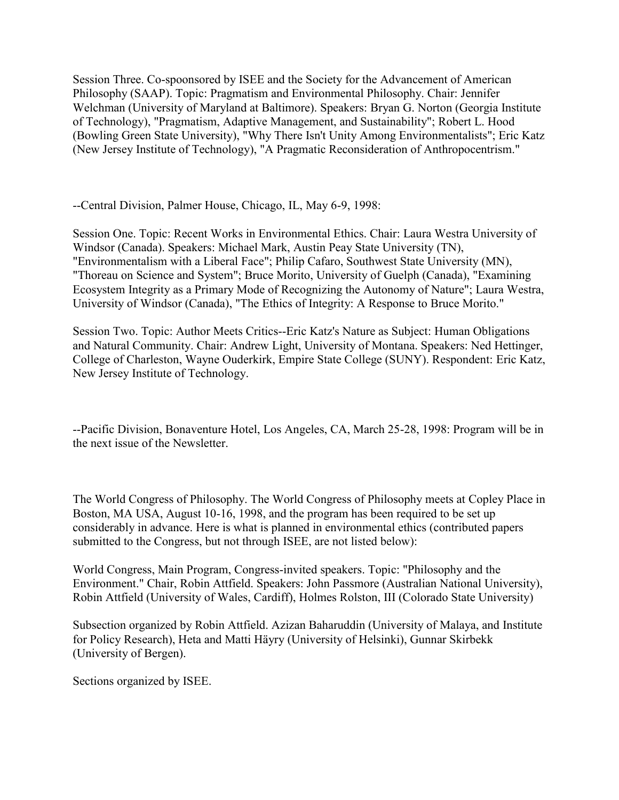Session Three. Co-spoonsored by ISEE and the Society for the Advancement of American Philosophy (SAAP). Topic: Pragmatism and Environmental Philosophy. Chair: Jennifer Welchman (University of Maryland at Baltimore). Speakers: Bryan G. Norton (Georgia Institute of Technology), "Pragmatism, Adaptive Management, and Sustainability"; Robert L. Hood (Bowling Green State University), "Why There Isn't Unity Among Environmentalists"; Eric Katz (New Jersey Institute of Technology), "A Pragmatic Reconsideration of Anthropocentrism."

--Central Division, Palmer House, Chicago, IL, May 6-9, 1998:

Session One. Topic: Recent Works in Environmental Ethics. Chair: Laura Westra University of Windsor (Canada). Speakers: Michael Mark, Austin Peay State University (TN), "Environmentalism with a Liberal Face"; Philip Cafaro, Southwest State University (MN), "Thoreau on Science and System"; Bruce Morito, University of Guelph (Canada), "Examining Ecosystem Integrity as a Primary Mode of Recognizing the Autonomy of Nature"; Laura Westra, University of Windsor (Canada), "The Ethics of Integrity: A Response to Bruce Morito."

Session Two. Topic: Author Meets Critics--Eric Katz's Nature as Subject: Human Obligations and Natural Community. Chair: Andrew Light, University of Montana. Speakers: Ned Hettinger, College of Charleston, Wayne Ouderkirk, Empire State College (SUNY). Respondent: Eric Katz, New Jersey Institute of Technology.

--Pacific Division, Bonaventure Hotel, Los Angeles, CA, March 25-28, 1998: Program will be in the next issue of the Newsletter.

The World Congress of Philosophy. The World Congress of Philosophy meets at Copley Place in Boston, MA USA, August 10-16, 1998, and the program has been required to be set up considerably in advance. Here is what is planned in environmental ethics (contributed papers submitted to the Congress, but not through ISEE, are not listed below):

World Congress, Main Program, Congress-invited speakers. Topic: "Philosophy and the Environment." Chair, Robin Attfield. Speakers: John Passmore (Australian National University), Robin Attfield (University of Wales, Cardiff), Holmes Rolston, III (Colorado State University)

Subsection organized by Robin Attfield. Azizan Baharuddin (University of Malaya, and Institute for Policy Research), Heta and Matti Häyry (University of Helsinki), Gunnar Skirbekk (University of Bergen).

Sections organized by ISEE.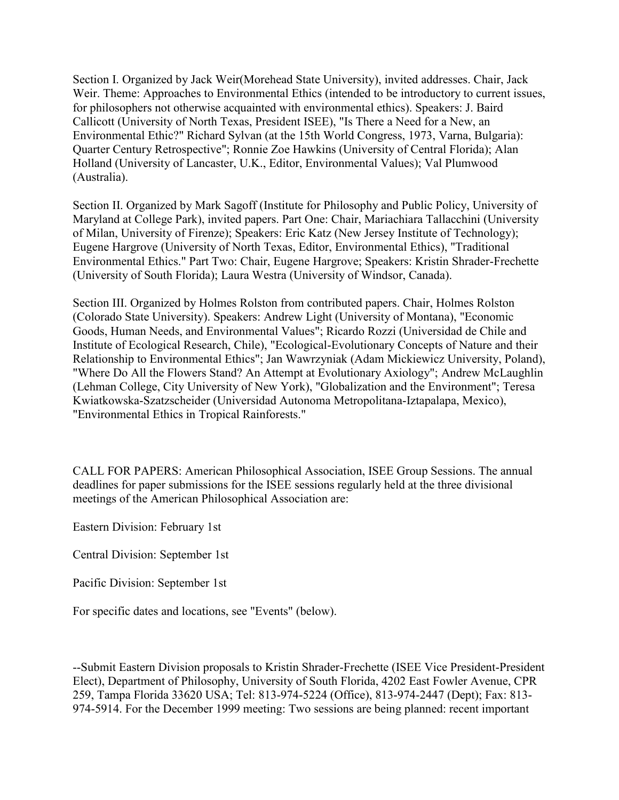Section I. Organized by Jack Weir(Morehead State University), invited addresses. Chair, Jack Weir. Theme: Approaches to Environmental Ethics (intended to be introductory to current issues, for philosophers not otherwise acquainted with environmental ethics). Speakers: J. Baird Callicott (University of North Texas, President ISEE), "Is There a Need for a New, an Environmental Ethic?" Richard Sylvan (at the 15th World Congress, 1973, Varna, Bulgaria): Quarter Century Retrospective"; Ronnie Zoe Hawkins (University of Central Florida); Alan Holland (University of Lancaster, U.K., Editor, Environmental Values); Val Plumwood (Australia).

Section II. Organized by Mark Sagoff (Institute for Philosophy and Public Policy, University of Maryland at College Park), invited papers. Part One: Chair, Mariachiara Tallacchini (University of Milan, University of Firenze); Speakers: Eric Katz (New Jersey Institute of Technology); Eugene Hargrove (University of North Texas, Editor, Environmental Ethics), "Traditional Environmental Ethics." Part Two: Chair, Eugene Hargrove; Speakers: Kristin Shrader-Frechette (University of South Florida); Laura Westra (University of Windsor, Canada).

Section III. Organized by Holmes Rolston from contributed papers. Chair, Holmes Rolston (Colorado State University). Speakers: Andrew Light (University of Montana), "Economic Goods, Human Needs, and Environmental Values"; Ricardo Rozzi (Universidad de Chile and Institute of Ecological Research, Chile), "Ecological-Evolutionary Concepts of Nature and their Relationship to Environmental Ethics"; Jan Wawrzyniak (Adam Mickiewicz University, Poland), "Where Do All the Flowers Stand? An Attempt at Evolutionary Axiology"; Andrew McLaughlin (Lehman College, City University of New York), "Globalization and the Environment"; Teresa Kwiatkowska-Szatzscheider (Universidad Autonoma Metropolitana-Iztapalapa, Mexico), "Environmental Ethics in Tropical Rainforests."

CALL FOR PAPERS: American Philosophical Association, ISEE Group Sessions. The annual deadlines for paper submissions for the ISEE sessions regularly held at the three divisional meetings of the American Philosophical Association are:

Eastern Division: February 1st

Central Division: September 1st

Pacific Division: September 1st

For specific dates and locations, see "Events" (below).

--Submit Eastern Division proposals to Kristin Shrader-Frechette (ISEE Vice President-President Elect), Department of Philosophy, University of South Florida, 4202 East Fowler Avenue, CPR 259, Tampa Florida 33620 USA; Tel: 813-974-5224 (Office), 813-974-2447 (Dept); Fax: 813- 974-5914. For the December 1999 meeting: Two sessions are being planned: recent important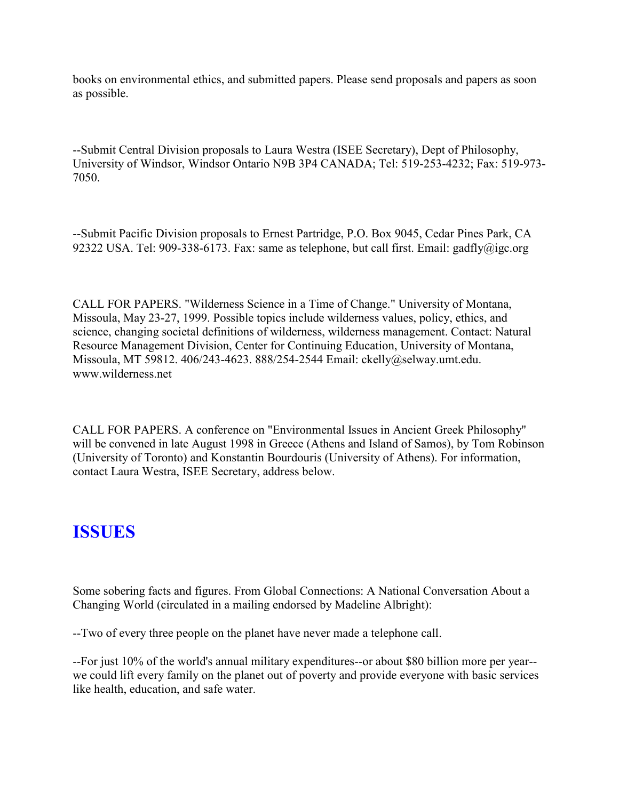books on environmental ethics, and submitted papers. Please send proposals and papers as soon as possible.

--Submit Central Division proposals to Laura Westra (ISEE Secretary), Dept of Philosophy, University of Windsor, Windsor Ontario N9B 3P4 CANADA; Tel: 519-253-4232; Fax: 519-973- 7050.

--Submit Pacific Division proposals to Ernest Partridge, P.O. Box 9045, Cedar Pines Park, CA 92322 USA. Tel: 909-338-6173. Fax: same as telephone, but call first. Email: gadfly@igc.org

CALL FOR PAPERS. "Wilderness Science in a Time of Change." University of Montana, Missoula, May 23-27, 1999. Possible topics include wilderness values, policy, ethics, and science, changing societal definitions of wilderness, wilderness management. Contact: Natural Resource Management Division, Center for Continuing Education, University of Montana, Missoula, MT 59812. 406/243-4623. 888/254-2544 Email: ckelly@selway.umt.edu. www.wilderness.net

CALL FOR PAPERS. A conference on "Environmental Issues in Ancient Greek Philosophy" will be convened in late August 1998 in Greece (Athens and Island of Samos), by Tom Robinson (University of Toronto) and Konstantin Bourdouris (University of Athens). For information, contact Laura Westra, ISEE Secretary, address below.

# **ISSUES**

Some sobering facts and figures. From Global Connections: A National Conversation About a Changing World (circulated in a mailing endorsed by Madeline Albright):

--Two of every three people on the planet have never made a telephone call.

--For just 10% of the world's annual military expenditures--or about \$80 billion more per year- we could lift every family on the planet out of poverty and provide everyone with basic services like health, education, and safe water.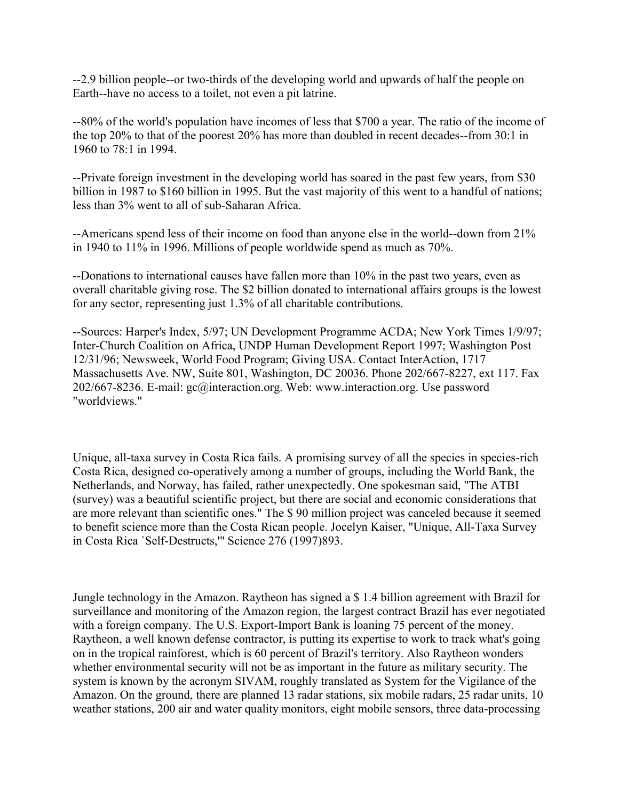--2.9 billion people--or two-thirds of the developing world and upwards of half the people on Earth--have no access to a toilet, not even a pit latrine.

--80% of the world's population have incomes of less that \$700 a year. The ratio of the income of the top 20% to that of the poorest 20% has more than doubled in recent decades--from 30:1 in 1960 to 78:1 in 1994.

--Private foreign investment in the developing world has soared in the past few years, from \$30 billion in 1987 to \$160 billion in 1995. But the vast majority of this went to a handful of nations; less than 3% went to all of sub-Saharan Africa.

--Americans spend less of their income on food than anyone else in the world--down from 21% in 1940 to 11% in 1996. Millions of people worldwide spend as much as 70%.

--Donations to international causes have fallen more than 10% in the past two years, even as overall charitable giving rose. The \$2 billion donated to international affairs groups is the lowest for any sector, representing just 1.3% of all charitable contributions.

--Sources: Harper's Index, 5/97; UN Development Programme ACDA; New York Times 1/9/97; Inter-Church Coalition on Africa, UNDP Human Development Report 1997; Washington Post 12/31/96; Newsweek, World Food Program; Giving USA. Contact InterAction, 1717 Massachusetts Ave. NW, Suite 801, Washington, DC 20036. Phone 202/667-8227, ext 117. Fax 202/667-8236. E-mail: gc@interaction.org. Web: www.interaction.org. Use password "worldviews."

Unique, all-taxa survey in Costa Rica fails. A promising survey of all the species in species-rich Costa Rica, designed co-operatively among a number of groups, including the World Bank, the Netherlands, and Norway, has failed, rather unexpectedly. One spokesman said, "The ATBI (survey) was a beautiful scientific project, but there are social and economic considerations that are more relevant than scientific ones." The \$ 90 million project was canceled because it seemed to benefit science more than the Costa Rican people. Jocelyn Kaiser, "Unique, All-Taxa Survey in Costa Rica `Self-Destructs,'" Science 276 (1997)893.

Jungle technology in the Amazon. Raytheon has signed a \$ 1.4 billion agreement with Brazil for surveillance and monitoring of the Amazon region, the largest contract Brazil has ever negotiated with a foreign company. The U.S. Export-Import Bank is loaning 75 percent of the money. Raytheon, a well known defense contractor, is putting its expertise to work to track what's going on in the tropical rainforest, which is 60 percent of Brazil's territory. Also Raytheon wonders whether environmental security will not be as important in the future as military security. The system is known by the acronym SIVAM, roughly translated as System for the Vigilance of the Amazon. On the ground, there are planned 13 radar stations, six mobile radars, 25 radar units, 10 weather stations, 200 air and water quality monitors, eight mobile sensors, three data-processing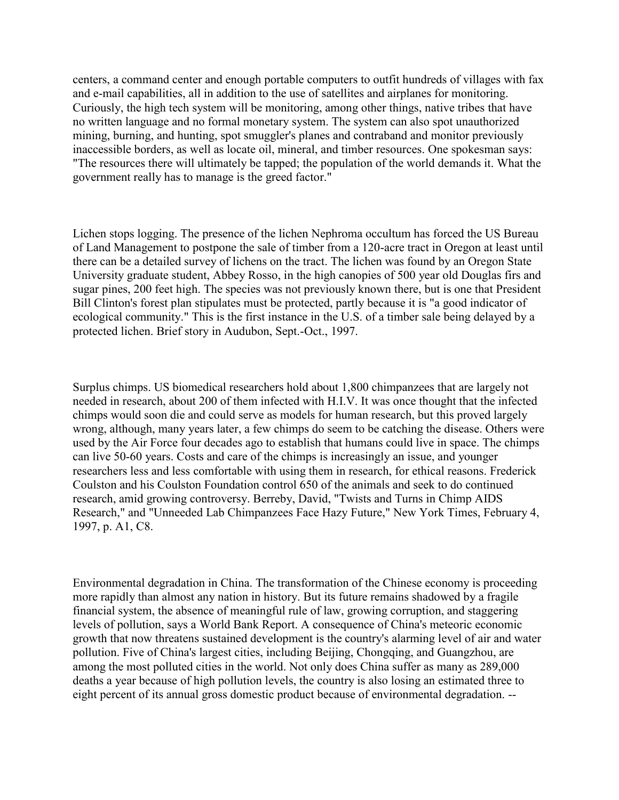centers, a command center and enough portable computers to outfit hundreds of villages with fax and e-mail capabilities, all in addition to the use of satellites and airplanes for monitoring. Curiously, the high tech system will be monitoring, among other things, native tribes that have no written language and no formal monetary system. The system can also spot unauthorized mining, burning, and hunting, spot smuggler's planes and contraband and monitor previously inaccessible borders, as well as locate oil, mineral, and timber resources. One spokesman says: "The resources there will ultimately be tapped; the population of the world demands it. What the government really has to manage is the greed factor."

Lichen stops logging. The presence of the lichen Nephroma occultum has forced the US Bureau of Land Management to postpone the sale of timber from a 120-acre tract in Oregon at least until there can be a detailed survey of lichens on the tract. The lichen was found by an Oregon State University graduate student, Abbey Rosso, in the high canopies of 500 year old Douglas firs and sugar pines, 200 feet high. The species was not previously known there, but is one that President Bill Clinton's forest plan stipulates must be protected, partly because it is "a good indicator of ecological community." This is the first instance in the U.S. of a timber sale being delayed by a protected lichen. Brief story in Audubon, Sept.-Oct., 1997.

Surplus chimps. US biomedical researchers hold about 1,800 chimpanzees that are largely not needed in research, about 200 of them infected with H.I.V. It was once thought that the infected chimps would soon die and could serve as models for human research, but this proved largely wrong, although, many years later, a few chimps do seem to be catching the disease. Others were used by the Air Force four decades ago to establish that humans could live in space. The chimps can live 50-60 years. Costs and care of the chimps is increasingly an issue, and younger researchers less and less comfortable with using them in research, for ethical reasons. Frederick Coulston and his Coulston Foundation control 650 of the animals and seek to do continued research, amid growing controversy. Berreby, David, "Twists and Turns in Chimp AIDS Research," and "Unneeded Lab Chimpanzees Face Hazy Future," New York Times, February 4, 1997, p. A1, C8.

Environmental degradation in China. The transformation of the Chinese economy is proceeding more rapidly than almost any nation in history. But its future remains shadowed by a fragile financial system, the absence of meaningful rule of law, growing corruption, and staggering levels of pollution, says a World Bank Report. A consequence of China's meteoric economic growth that now threatens sustained development is the country's alarming level of air and water pollution. Five of China's largest cities, including Beijing, Chongqing, and Guangzhou, are among the most polluted cities in the world. Not only does China suffer as many as 289,000 deaths a year because of high pollution levels, the country is also losing an estimated three to eight percent of its annual gross domestic product because of environmental degradation. --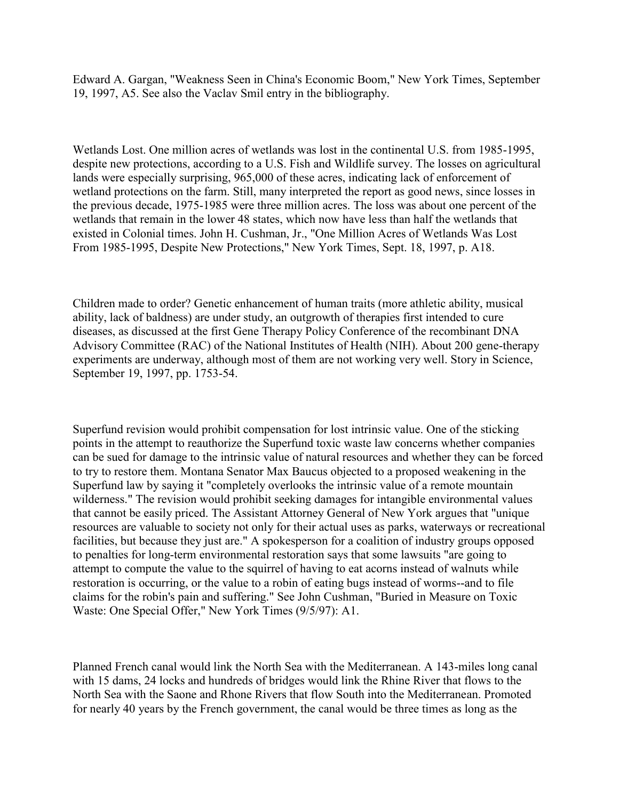Edward A. Gargan, "Weakness Seen in China's Economic Boom," New York Times, September 19, 1997, A5. See also the Vaclav Smil entry in the bibliography.

Wetlands Lost. One million acres of wetlands was lost in the continental U.S. from 1985-1995, despite new protections, according to a U.S. Fish and Wildlife survey. The losses on agricultural lands were especially surprising, 965,000 of these acres, indicating lack of enforcement of wetland protections on the farm. Still, many interpreted the report as good news, since losses in the previous decade, 1975-1985 were three million acres. The loss was about one percent of the wetlands that remain in the lower 48 states, which now have less than half the wetlands that existed in Colonial times. John H. Cushman, Jr., "One Million Acres of Wetlands Was Lost From 1985-1995, Despite New Protections," New York Times, Sept. 18, 1997, p. A18.

Children made to order? Genetic enhancement of human traits (more athletic ability, musical ability, lack of baldness) are under study, an outgrowth of therapies first intended to cure diseases, as discussed at the first Gene Therapy Policy Conference of the recombinant DNA Advisory Committee (RAC) of the National Institutes of Health (NIH). About 200 gene-therapy experiments are underway, although most of them are not working very well. Story in Science, September 19, 1997, pp. 1753-54.

Superfund revision would prohibit compensation for lost intrinsic value. One of the sticking points in the attempt to reauthorize the Superfund toxic waste law concerns whether companies can be sued for damage to the intrinsic value of natural resources and whether they can be forced to try to restore them. Montana Senator Max Baucus objected to a proposed weakening in the Superfund law by saying it "completely overlooks the intrinsic value of a remote mountain wilderness." The revision would prohibit seeking damages for intangible environmental values that cannot be easily priced. The Assistant Attorney General of New York argues that "unique resources are valuable to society not only for their actual uses as parks, waterways or recreational facilities, but because they just are." A spokesperson for a coalition of industry groups opposed to penalties for long-term environmental restoration says that some lawsuits "are going to attempt to compute the value to the squirrel of having to eat acorns instead of walnuts while restoration is occurring, or the value to a robin of eating bugs instead of worms--and to file claims for the robin's pain and suffering." See John Cushman, "Buried in Measure on Toxic Waste: One Special Offer," New York Times (9/5/97): A1.

Planned French canal would link the North Sea with the Mediterranean. A 143-miles long canal with 15 dams, 24 locks and hundreds of bridges would link the Rhine River that flows to the North Sea with the Saone and Rhone Rivers that flow South into the Mediterranean. Promoted for nearly 40 years by the French government, the canal would be three times as long as the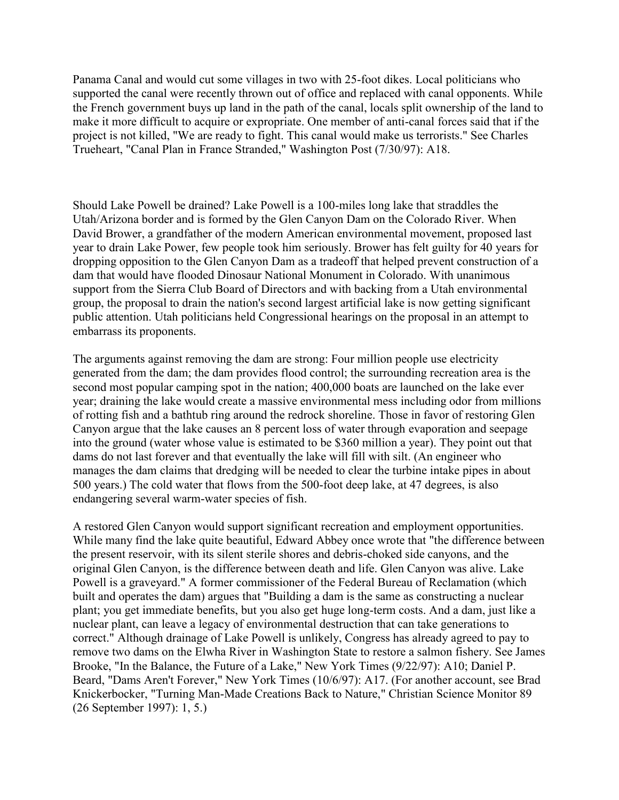Panama Canal and would cut some villages in two with 25-foot dikes. Local politicians who supported the canal were recently thrown out of office and replaced with canal opponents. While the French government buys up land in the path of the canal, locals split ownership of the land to make it more difficult to acquire or expropriate. One member of anti-canal forces said that if the project is not killed, "We are ready to fight. This canal would make us terrorists." See Charles Trueheart, "Canal Plan in France Stranded," Washington Post (7/30/97): A18.

Should Lake Powell be drained? Lake Powell is a 100-miles long lake that straddles the Utah/Arizona border and is formed by the Glen Canyon Dam on the Colorado River. When David Brower, a grandfather of the modern American environmental movement, proposed last year to drain Lake Power, few people took him seriously. Brower has felt guilty for 40 years for dropping opposition to the Glen Canyon Dam as a tradeoff that helped prevent construction of a dam that would have flooded Dinosaur National Monument in Colorado. With unanimous support from the Sierra Club Board of Directors and with backing from a Utah environmental group, the proposal to drain the nation's second largest artificial lake is now getting significant public attention. Utah politicians held Congressional hearings on the proposal in an attempt to embarrass its proponents.

The arguments against removing the dam are strong: Four million people use electricity generated from the dam; the dam provides flood control; the surrounding recreation area is the second most popular camping spot in the nation; 400,000 boats are launched on the lake ever year; draining the lake would create a massive environmental mess including odor from millions of rotting fish and a bathtub ring around the redrock shoreline. Those in favor of restoring Glen Canyon argue that the lake causes an 8 percent loss of water through evaporation and seepage into the ground (water whose value is estimated to be \$360 million a year). They point out that dams do not last forever and that eventually the lake will fill with silt. (An engineer who manages the dam claims that dredging will be needed to clear the turbine intake pipes in about 500 years.) The cold water that flows from the 500-foot deep lake, at 47 degrees, is also endangering several warm-water species of fish.

A restored Glen Canyon would support significant recreation and employment opportunities. While many find the lake quite beautiful, Edward Abbey once wrote that "the difference between the present reservoir, with its silent sterile shores and debris-choked side canyons, and the original Glen Canyon, is the difference between death and life. Glen Canyon was alive. Lake Powell is a graveyard." A former commissioner of the Federal Bureau of Reclamation (which built and operates the dam) argues that "Building a dam is the same as constructing a nuclear plant; you get immediate benefits, but you also get huge long-term costs. And a dam, just like a nuclear plant, can leave a legacy of environmental destruction that can take generations to correct." Although drainage of Lake Powell is unlikely, Congress has already agreed to pay to remove two dams on the Elwha River in Washington State to restore a salmon fishery. See James Brooke, "In the Balance, the Future of a Lake," New York Times (9/22/97): A10; Daniel P. Beard, "Dams Aren't Forever," New York Times (10/6/97): A17. (For another account, see Brad Knickerbocker, "Turning Man-Made Creations Back to Nature," Christian Science Monitor 89 (26 September 1997): 1, 5.)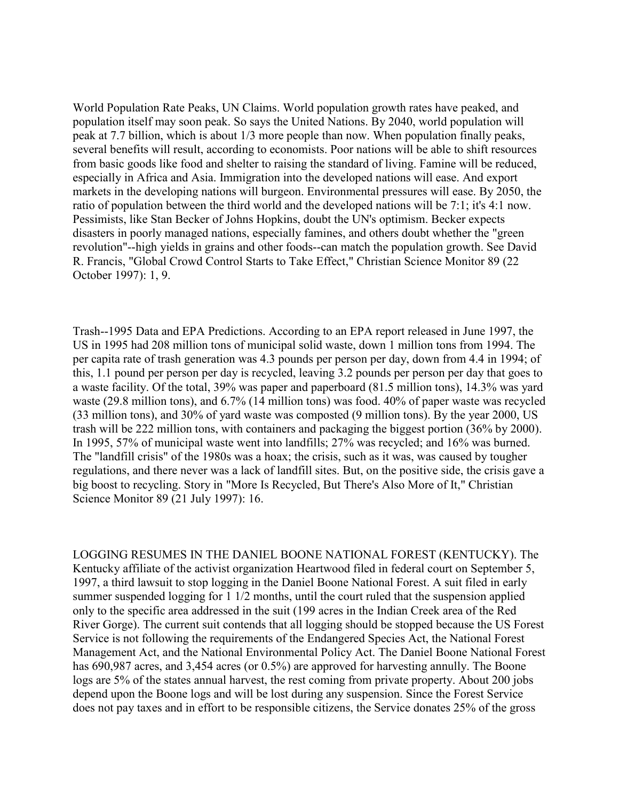World Population Rate Peaks, UN Claims. World population growth rates have peaked, and population itself may soon peak. So says the United Nations. By 2040, world population will peak at 7.7 billion, which is about 1/3 more people than now. When population finally peaks, several benefits will result, according to economists. Poor nations will be able to shift resources from basic goods like food and shelter to raising the standard of living. Famine will be reduced, especially in Africa and Asia. Immigration into the developed nations will ease. And export markets in the developing nations will burgeon. Environmental pressures will ease. By 2050, the ratio of population between the third world and the developed nations will be 7:1; it's 4:1 now. Pessimists, like Stan Becker of Johns Hopkins, doubt the UN's optimism. Becker expects disasters in poorly managed nations, especially famines, and others doubt whether the "green revolution"--high yields in grains and other foods--can match the population growth. See David R. Francis, "Global Crowd Control Starts to Take Effect," Christian Science Monitor 89 (22 October 1997): 1, 9.

Trash--1995 Data and EPA Predictions. According to an EPA report released in June 1997, the US in 1995 had 208 million tons of municipal solid waste, down 1 million tons from 1994. The per capita rate of trash generation was 4.3 pounds per person per day, down from 4.4 in 1994; of this, 1.1 pound per person per day is recycled, leaving 3.2 pounds per person per day that goes to a waste facility. Of the total, 39% was paper and paperboard (81.5 million tons), 14.3% was yard waste (29.8 million tons), and 6.7% (14 million tons) was food. 40% of paper waste was recycled (33 million tons), and 30% of yard waste was composted (9 million tons). By the year 2000, US trash will be 222 million tons, with containers and packaging the biggest portion (36% by 2000). In 1995, 57% of municipal waste went into landfills; 27% was recycled; and 16% was burned. The "landfill crisis" of the 1980s was a hoax; the crisis, such as it was, was caused by tougher regulations, and there never was a lack of landfill sites. But, on the positive side, the crisis gave a big boost to recycling. Story in "More Is Recycled, But There's Also More of It," Christian Science Monitor 89 (21 July 1997): 16.

LOGGING RESUMES IN THE DANIEL BOONE NATIONAL FOREST (KENTUCKY). The Kentucky affiliate of the activist organization Heartwood filed in federal court on September 5, 1997, a third lawsuit to stop logging in the Daniel Boone National Forest. A suit filed in early summer suspended logging for 1 1/2 months, until the court ruled that the suspension applied only to the specific area addressed in the suit (199 acres in the Indian Creek area of the Red River Gorge). The current suit contends that all logging should be stopped because the US Forest Service is not following the requirements of the Endangered Species Act, the National Forest Management Act, and the National Environmental Policy Act. The Daniel Boone National Forest has 690,987 acres, and 3,454 acres (or 0.5%) are approved for harvesting annully. The Boone logs are 5% of the states annual harvest, the rest coming from private property. About 200 jobs depend upon the Boone logs and will be lost during any suspension. Since the Forest Service does not pay taxes and in effort to be responsible citizens, the Service donates 25% of the gross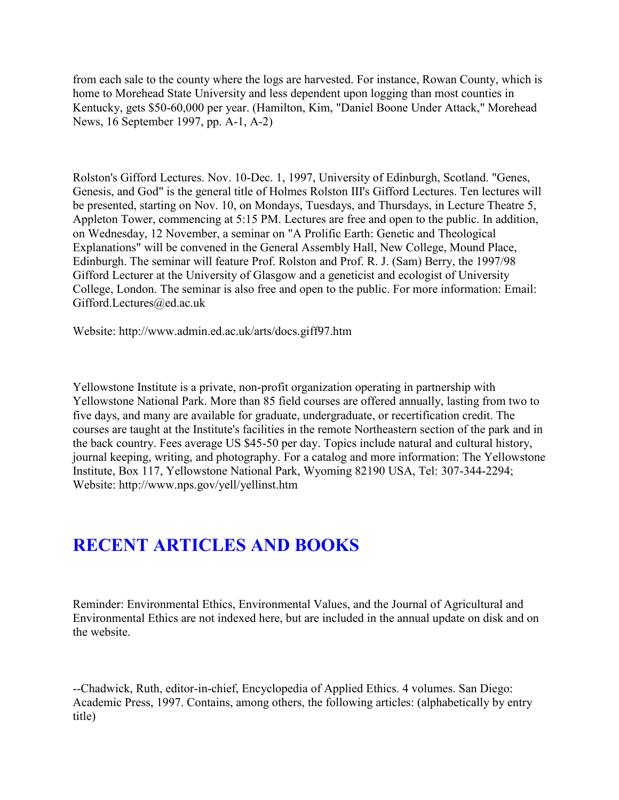from each sale to the county where the logs are harvested. For instance, Rowan County, which is home to Morehead State University and less dependent upon logging than most counties in Kentucky, gets \$50-60,000 per year. (Hamilton, Kim, "Daniel Boone Under Attack," Morehead News, 16 September 1997, pp. A-1, A-2)

Rolston's Gifford Lectures. Nov. 10-Dec. 1, 1997, University of Edinburgh, Scotland. "Genes, Genesis, and God" is the general title of Holmes Rolston III's Gifford Lectures. Ten lectures will be presented, starting on Nov. 10, on Mondays, Tuesdays, and Thursdays, in Lecture Theatre 5, Appleton Tower, commencing at 5:15 PM. Lectures are free and open to the public. In addition, on Wednesday, 12 November, a seminar on "A Prolific Earth: Genetic and Theological Explanations" will be convened in the General Assembly Hall, New College, Mound Place, Edinburgh. The seminar will feature Prof. Rolston and Prof. R. J. (Sam) Berry, the 1997/98 Gifford Lecturer at the University of Glasgow and a geneticist and ecologist of University College, London. The seminar is also free and open to the public. For more information: Email: Gifford.Lectures@ed.ac.uk

Website: http://www.admin.ed.ac.uk/arts/docs.giff97.htm

Yellowstone Institute is a private, non-profit organization operating in partnership with Yellowstone National Park. More than 85 field courses are offered annually, lasting from two to five days, and many are available for graduate, undergraduate, or recertification credit. The courses are taught at the Institute's facilities in the remote Northeastern section of the park and in the back country. Fees average US \$45-50 per day. Topics include natural and cultural history, journal keeping, writing, and photography. For a catalog and more information: The Yellowstone Institute, Box 117, Yellowstone National Park, Wyoming 82190 USA, Tel: 307-344-2294; Website: http://www.nps.gov/yell/yellinst.htm

# **RECENT ARTICLES AND BOOKS**

Reminder: Environmental Ethics, Environmental Values, and the Journal of Agricultural and Environmental Ethics are not indexed here, but are included in the annual update on disk and on the website.

--Chadwick, Ruth, editor-in-chief, Encyclopedia of Applied Ethics. 4 volumes. San Diego: Academic Press, 1997. Contains, among others, the following articles: (alphabetically by entry title)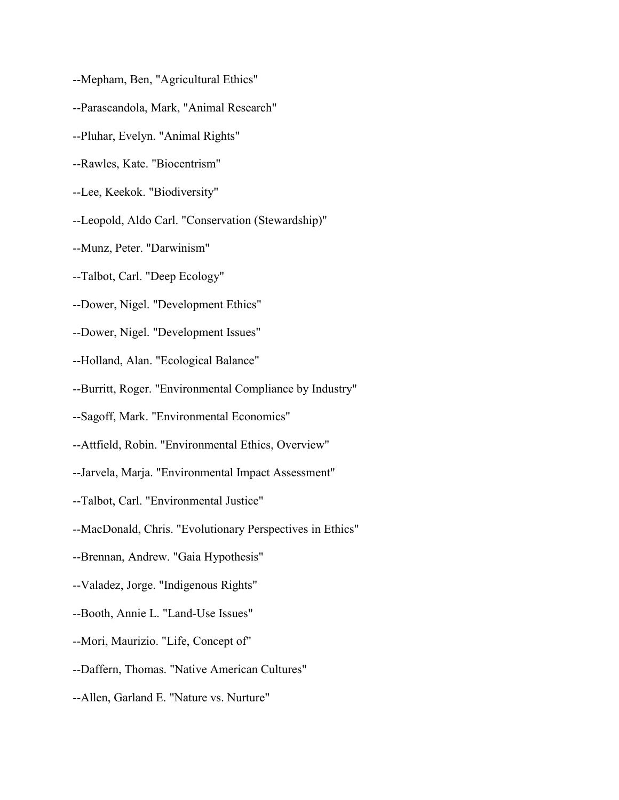--Mepham, Ben, "Agricultural Ethics"

- --Parascandola, Mark, "Animal Research"
- --Pluhar, Evelyn. "Animal Rights"
- --Rawles, Kate. "Biocentrism"
- --Lee, Keekok. "Biodiversity"
- --Leopold, Aldo Carl. "Conservation (Stewardship)"
- --Munz, Peter. "Darwinism"
- --Talbot, Carl. "Deep Ecology"
- --Dower, Nigel. "Development Ethics"
- --Dower, Nigel. "Development Issues"
- --Holland, Alan. "Ecological Balance"
- --Burritt, Roger. "Environmental Compliance by Industry"
- --Sagoff, Mark. "Environmental Economics"
- --Attfield, Robin. "Environmental Ethics, Overview"
- --Jarvela, Marja. "Environmental Impact Assessment"
- --Talbot, Carl. "Environmental Justice"
- --MacDonald, Chris. "Evolutionary Perspectives in Ethics"
- --Brennan, Andrew. "Gaia Hypothesis"
- --Valadez, Jorge. "Indigenous Rights"
- --Booth, Annie L. "Land-Use Issues"
- --Mori, Maurizio. "Life, Concept of"
- --Daffern, Thomas. "Native American Cultures"
- --Allen, Garland E. "Nature vs. Nurture"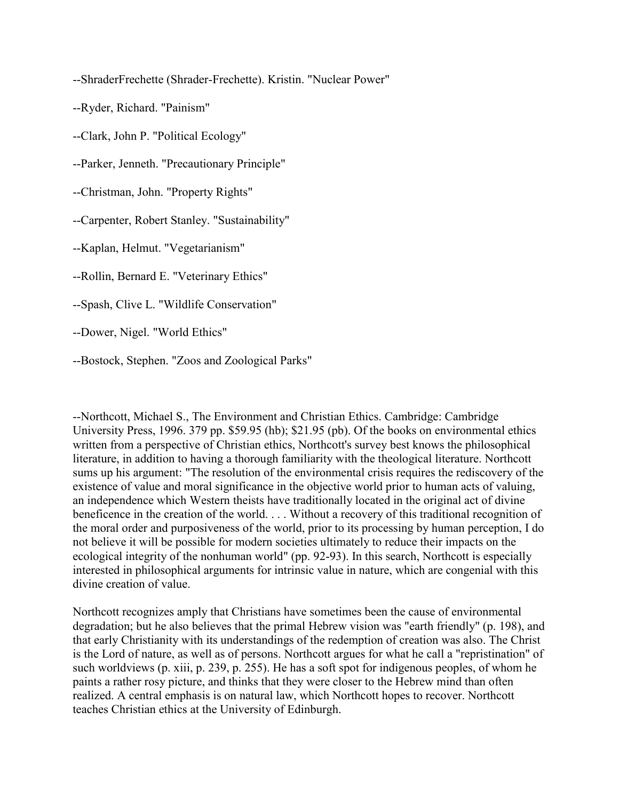--ShraderFrechette (Shrader-Frechette). Kristin. "Nuclear Power"

--Ryder, Richard. "Painism"

--Clark, John P. "Political Ecology"

--Parker, Jenneth. "Precautionary Principle"

--Christman, John. "Property Rights"

--Carpenter, Robert Stanley. "Sustainability"

--Kaplan, Helmut. "Vegetarianism"

--Rollin, Bernard E. "Veterinary Ethics"

--Spash, Clive L. "Wildlife Conservation"

--Dower, Nigel. "World Ethics"

--Bostock, Stephen. "Zoos and Zoological Parks"

--Northcott, Michael S., The Environment and Christian Ethics. Cambridge: Cambridge University Press, 1996. 379 pp. \$59.95 (hb); \$21.95 (pb). Of the books on environmental ethics written from a perspective of Christian ethics, Northcott's survey best knows the philosophical literature, in addition to having a thorough familiarity with the theological literature. Northcott sums up his argument: "The resolution of the environmental crisis requires the rediscovery of the existence of value and moral significance in the objective world prior to human acts of valuing, an independence which Western theists have traditionally located in the original act of divine beneficence in the creation of the world. . . . Without a recovery of this traditional recognition of the moral order and purposiveness of the world, prior to its processing by human perception, I do not believe it will be possible for modern societies ultimately to reduce their impacts on the ecological integrity of the nonhuman world" (pp. 92-93). In this search, Northcott is especially interested in philosophical arguments for intrinsic value in nature, which are congenial with this divine creation of value.

Northcott recognizes amply that Christians have sometimes been the cause of environmental degradation; but he also believes that the primal Hebrew vision was "earth friendly" (p. 198), and that early Christianity with its understandings of the redemption of creation was also. The Christ is the Lord of nature, as well as of persons. Northcott argues for what he call a "repristination" of such worldviews (p. xiii, p. 239, p. 255). He has a soft spot for indigenous peoples, of whom he paints a rather rosy picture, and thinks that they were closer to the Hebrew mind than often realized. A central emphasis is on natural law, which Northcott hopes to recover. Northcott teaches Christian ethics at the University of Edinburgh.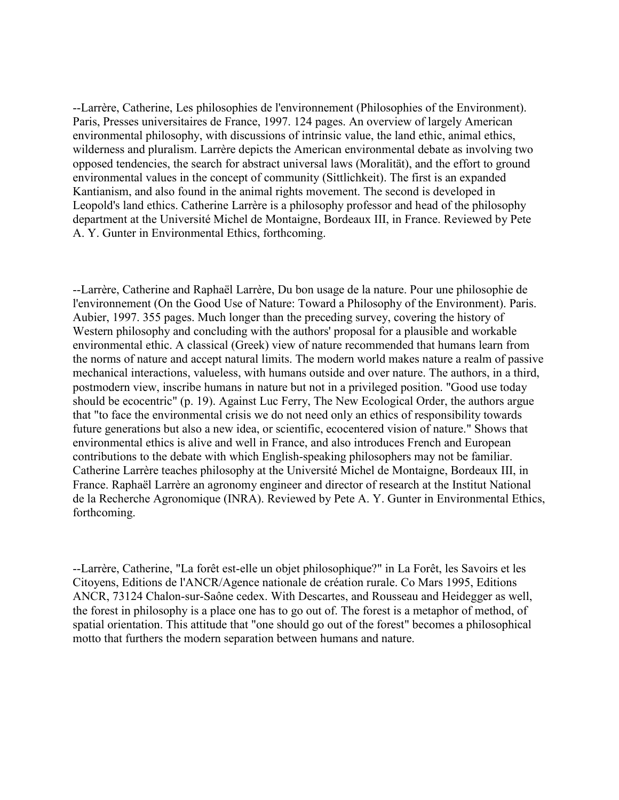--Larrère, Catherine, Les philosophies de l'environnement (Philosophies of the Environment). Paris, Presses universitaires de France, 1997. 124 pages. An overview of largely American environmental philosophy, with discussions of intrinsic value, the land ethic, animal ethics, wilderness and pluralism. Larrère depicts the American environmental debate as involving two opposed tendencies, the search for abstract universal laws (Moralität), and the effort to ground environmental values in the concept of community (Sittlichkeit). The first is an expanded Kantianism, and also found in the animal rights movement. The second is developed in Leopold's land ethics. Catherine Larrère is a philosophy professor and head of the philosophy department at the Université Michel de Montaigne, Bordeaux III, in France. Reviewed by Pete A. Y. Gunter in Environmental Ethics, forthcoming.

--Larrère, Catherine and Raphaël Larrère, Du bon usage de la nature. Pour une philosophie de l'environnement (On the Good Use of Nature: Toward a Philosophy of the Environment). Paris. Aubier, 1997. 355 pages. Much longer than the preceding survey, covering the history of Western philosophy and concluding with the authors' proposal for a plausible and workable environmental ethic. A classical (Greek) view of nature recommended that humans learn from the norms of nature and accept natural limits. The modern world makes nature a realm of passive mechanical interactions, valueless, with humans outside and over nature. The authors, in a third, postmodern view, inscribe humans in nature but not in a privileged position. "Good use today should be ecocentric" (p. 19). Against Luc Ferry, The New Ecological Order, the authors argue that "to face the environmental crisis we do not need only an ethics of responsibility towards future generations but also a new idea, or scientific, ecocentered vision of nature." Shows that environmental ethics is alive and well in France, and also introduces French and European contributions to the debate with which English-speaking philosophers may not be familiar. Catherine Larrère teaches philosophy at the Université Michel de Montaigne, Bordeaux III, in France. Raphaël Larrère an agronomy engineer and director of research at the Institut National de la Recherche Agronomique (INRA). Reviewed by Pete A. Y. Gunter in Environmental Ethics, forthcoming.

--Larrère, Catherine, "La forêt est-elle un objet philosophique?" in La Forêt, les Savoirs et les Citoyens, Editions de l'ANCR/Agence nationale de création rurale. Co Mars 1995, Editions ANCR, 73124 Chalon-sur-Saône cedex. With Descartes, and Rousseau and Heidegger as well, the forest in philosophy is a place one has to go out of. The forest is a metaphor of method, of spatial orientation. This attitude that "one should go out of the forest" becomes a philosophical motto that furthers the modern separation between humans and nature.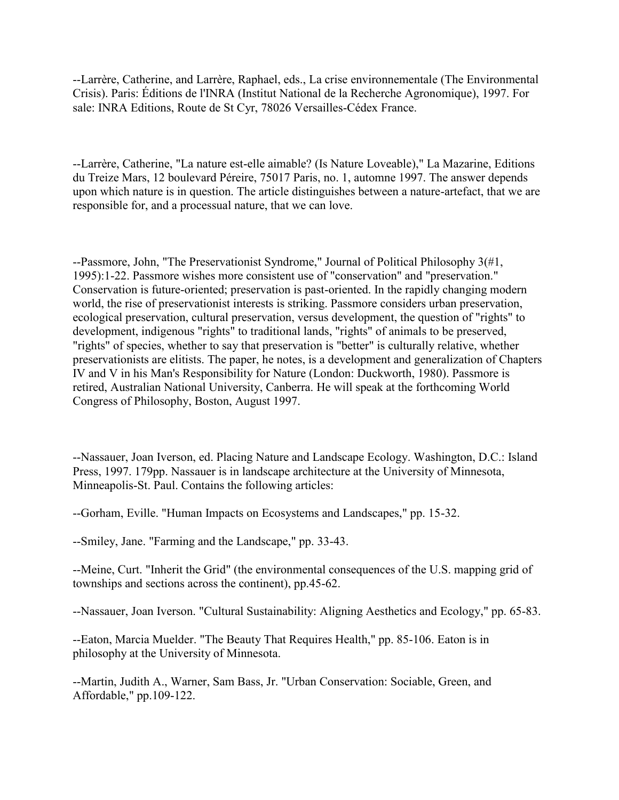--Larrère, Catherine, and Larrère, Raphael, eds., La crise environnementale (The Environmental Crisis). Paris: Éditions de l'INRA (Institut National de la Recherche Agronomique), 1997. For sale: INRA Editions, Route de St Cyr, 78026 Versailles-Cédex France.

--Larrère, Catherine, "La nature est-elle aimable? (Is Nature Loveable)," La Mazarine, Editions du Treize Mars, 12 boulevard Péreire, 75017 Paris, no. 1, automne 1997. The answer depends upon which nature is in question. The article distinguishes between a nature-artefact, that we are responsible for, and a processual nature, that we can love.

--Passmore, John, "The Preservationist Syndrome," Journal of Political Philosophy 3(#1, 1995):1-22. Passmore wishes more consistent use of "conservation" and "preservation." Conservation is future-oriented; preservation is past-oriented. In the rapidly changing modern world, the rise of preservationist interests is striking. Passmore considers urban preservation, ecological preservation, cultural preservation, versus development, the question of "rights" to development, indigenous "rights" to traditional lands, "rights" of animals to be preserved, "rights" of species, whether to say that preservation is "better" is culturally relative, whether preservationists are elitists. The paper, he notes, is a development and generalization of Chapters IV and V in his Man's Responsibility for Nature (London: Duckworth, 1980). Passmore is retired, Australian National University, Canberra. He will speak at the forthcoming World Congress of Philosophy, Boston, August 1997.

--Nassauer, Joan Iverson, ed. Placing Nature and Landscape Ecology. Washington, D.C.: Island Press, 1997. 179pp. Nassauer is in landscape architecture at the University of Minnesota, Minneapolis-St. Paul. Contains the following articles:

--Gorham, Eville. "Human Impacts on Ecosystems and Landscapes," pp. 15-32.

--Smiley, Jane. "Farming and the Landscape," pp. 33-43.

--Meine, Curt. "Inherit the Grid" (the environmental consequences of the U.S. mapping grid of townships and sections across the continent), pp.45-62.

--Nassauer, Joan Iverson. "Cultural Sustainability: Aligning Aesthetics and Ecology," pp. 65-83.

--Eaton, Marcia Muelder. "The Beauty That Requires Health," pp. 85-106. Eaton is in philosophy at the University of Minnesota.

--Martin, Judith A., Warner, Sam Bass, Jr. "Urban Conservation: Sociable, Green, and Affordable," pp.109-122.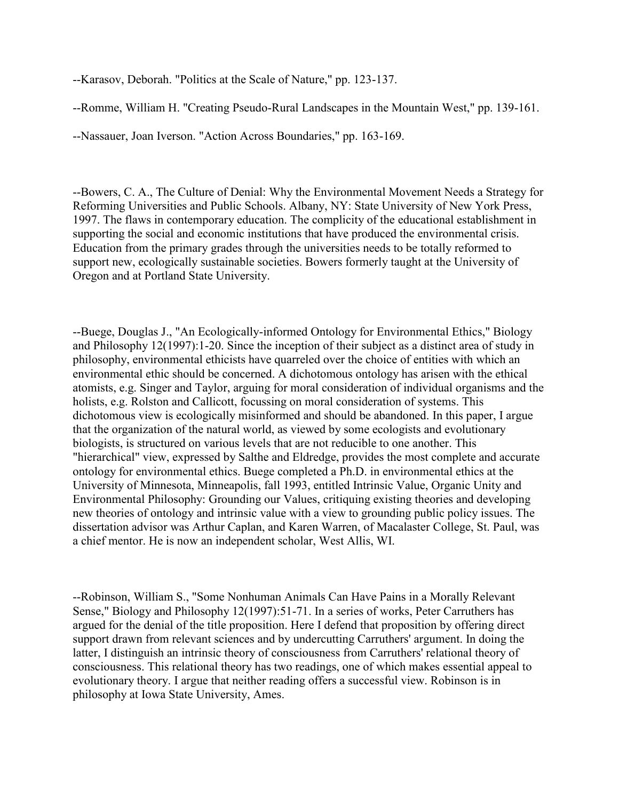--Karasov, Deborah. "Politics at the Scale of Nature," pp. 123-137.

--Romme, William H. "Creating Pseudo-Rural Landscapes in the Mountain West," pp. 139-161.

--Nassauer, Joan Iverson. "Action Across Boundaries," pp. 163-169.

--Bowers, C. A., The Culture of Denial: Why the Environmental Movement Needs a Strategy for Reforming Universities and Public Schools. Albany, NY: State University of New York Press, 1997. The flaws in contemporary education. The complicity of the educational establishment in supporting the social and economic institutions that have produced the environmental crisis. Education from the primary grades through the universities needs to be totally reformed to support new, ecologically sustainable societies. Bowers formerly taught at the University of Oregon and at Portland State University.

--Buege, Douglas J., "An Ecologically-informed Ontology for Environmental Ethics," Biology and Philosophy 12(1997):1-20. Since the inception of their subject as a distinct area of study in philosophy, environmental ethicists have quarreled over the choice of entities with which an environmental ethic should be concerned. A dichotomous ontology has arisen with the ethical atomists, e.g. Singer and Taylor, arguing for moral consideration of individual organisms and the holists, e.g. Rolston and Callicott, focussing on moral consideration of systems. This dichotomous view is ecologically misinformed and should be abandoned. In this paper, I argue that the organization of the natural world, as viewed by some ecologists and evolutionary biologists, is structured on various levels that are not reducible to one another. This "hierarchical" view, expressed by Salthe and Eldredge, provides the most complete and accurate ontology for environmental ethics. Buege completed a Ph.D. in environmental ethics at the University of Minnesota, Minneapolis, fall 1993, entitled Intrinsic Value, Organic Unity and Environmental Philosophy: Grounding our Values, critiquing existing theories and developing new theories of ontology and intrinsic value with a view to grounding public policy issues. The dissertation advisor was Arthur Caplan, and Karen Warren, of Macalaster College, St. Paul, was a chief mentor. He is now an independent scholar, West Allis, WI.

--Robinson, William S., "Some Nonhuman Animals Can Have Pains in a Morally Relevant Sense," Biology and Philosophy 12(1997):51-71. In a series of works, Peter Carruthers has argued for the denial of the title proposition. Here I defend that proposition by offering direct support drawn from relevant sciences and by undercutting Carruthers' argument. In doing the latter, I distinguish an intrinsic theory of consciousness from Carruthers' relational theory of consciousness. This relational theory has two readings, one of which makes essential appeal to evolutionary theory. I argue that neither reading offers a successful view. Robinson is in philosophy at Iowa State University, Ames.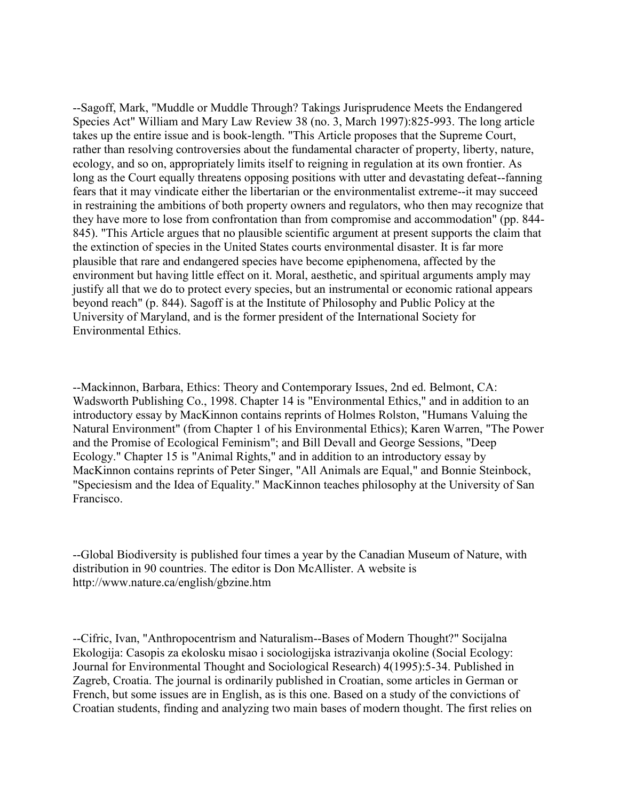--Sagoff, Mark, "Muddle or Muddle Through? Takings Jurisprudence Meets the Endangered Species Act" William and Mary Law Review 38 (no. 3, March 1997):825-993. The long article takes up the entire issue and is book-length. "This Article proposes that the Supreme Court, rather than resolving controversies about the fundamental character of property, liberty, nature, ecology, and so on, appropriately limits itself to reigning in regulation at its own frontier. As long as the Court equally threatens opposing positions with utter and devastating defeat--fanning fears that it may vindicate either the libertarian or the environmentalist extreme--it may succeed in restraining the ambitions of both property owners and regulators, who then may recognize that they have more to lose from confrontation than from compromise and accommodation" (pp. 844- 845). "This Article argues that no plausible scientific argument at present supports the claim that the extinction of species in the United States courts environmental disaster. It is far more plausible that rare and endangered species have become epiphenomena, affected by the environment but having little effect on it. Moral, aesthetic, and spiritual arguments amply may justify all that we do to protect every species, but an instrumental or economic rational appears beyond reach" (p. 844). Sagoff is at the Institute of Philosophy and Public Policy at the University of Maryland, and is the former president of the International Society for Environmental Ethics.

--Mackinnon, Barbara, Ethics: Theory and Contemporary Issues, 2nd ed. Belmont, CA: Wadsworth Publishing Co., 1998. Chapter 14 is "Environmental Ethics," and in addition to an introductory essay by MacKinnon contains reprints of Holmes Rolston, "Humans Valuing the Natural Environment" (from Chapter 1 of his Environmental Ethics); Karen Warren, "The Power and the Promise of Ecological Feminism"; and Bill Devall and George Sessions, "Deep Ecology." Chapter 15 is "Animal Rights," and in addition to an introductory essay by MacKinnon contains reprints of Peter Singer, "All Animals are Equal," and Bonnie Steinbock, "Speciesism and the Idea of Equality." MacKinnon teaches philosophy at the University of San Francisco.

--Global Biodiversity is published four times a year by the Canadian Museum of Nature, with distribution in 90 countries. The editor is Don McAllister. A website is http://www.nature.ca/english/gbzine.htm

--Cifric, Ivan, "Anthropocentrism and Naturalism--Bases of Modern Thought?" Socijalna Ekologija: Casopis za ekolosku misao i sociologijska istrazivanja okoline (Social Ecology: Journal for Environmental Thought and Sociological Research) 4(1995):5-34. Published in Zagreb, Croatia. The journal is ordinarily published in Croatian, some articles in German or French, but some issues are in English, as is this one. Based on a study of the convictions of Croatian students, finding and analyzing two main bases of modern thought. The first relies on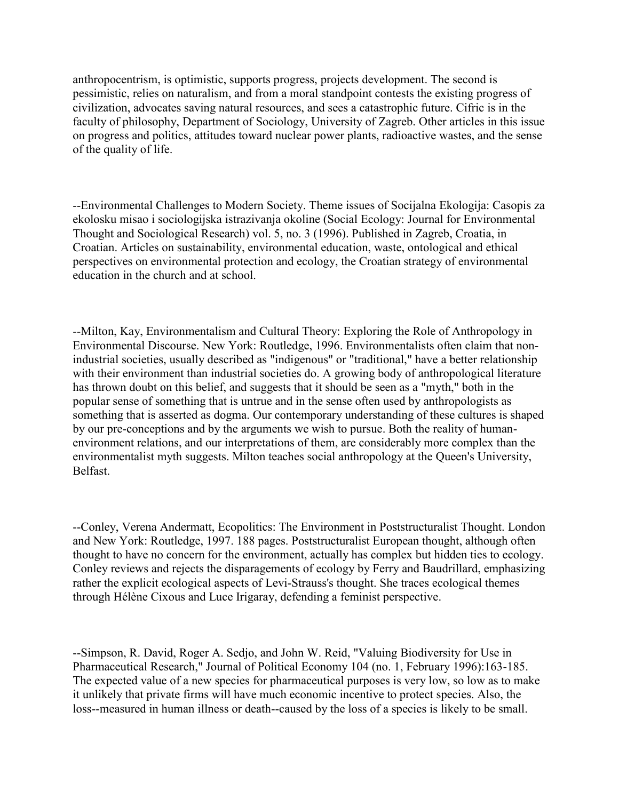anthropocentrism, is optimistic, supports progress, projects development. The second is pessimistic, relies on naturalism, and from a moral standpoint contests the existing progress of civilization, advocates saving natural resources, and sees a catastrophic future. Cifric is in the faculty of philosophy, Department of Sociology, University of Zagreb. Other articles in this issue on progress and politics, attitudes toward nuclear power plants, radioactive wastes, and the sense of the quality of life.

--Environmental Challenges to Modern Society. Theme issues of Socijalna Ekologija: Casopis za ekolosku misao i sociologijska istrazivanja okoline (Social Ecology: Journal for Environmental Thought and Sociological Research) vol. 5, no. 3 (1996). Published in Zagreb, Croatia, in Croatian. Articles on sustainability, environmental education, waste, ontological and ethical perspectives on environmental protection and ecology, the Croatian strategy of environmental education in the church and at school.

--Milton, Kay, Environmentalism and Cultural Theory: Exploring the Role of Anthropology in Environmental Discourse. New York: Routledge, 1996. Environmentalists often claim that nonindustrial societies, usually described as "indigenous" or "traditional," have a better relationship with their environment than industrial societies do. A growing body of anthropological literature has thrown doubt on this belief, and suggests that it should be seen as a "myth," both in the popular sense of something that is untrue and in the sense often used by anthropologists as something that is asserted as dogma. Our contemporary understanding of these cultures is shaped by our pre-conceptions and by the arguments we wish to pursue. Both the reality of humanenvironment relations, and our interpretations of them, are considerably more complex than the environmentalist myth suggests. Milton teaches social anthropology at the Queen's University, Belfast.

--Conley, Verena Andermatt, Ecopolitics: The Environment in Poststructuralist Thought. London and New York: Routledge, 1997. 188 pages. Poststructuralist European thought, although often thought to have no concern for the environment, actually has complex but hidden ties to ecology. Conley reviews and rejects the disparagements of ecology by Ferry and Baudrillard, emphasizing rather the explicit ecological aspects of Levi-Strauss's thought. She traces ecological themes through Hélène Cixous and Luce Irigaray, defending a feminist perspective.

--Simpson, R. David, Roger A. Sedjo, and John W. Reid, "Valuing Biodiversity for Use in Pharmaceutical Research," Journal of Political Economy 104 (no. 1, February 1996):163-185. The expected value of a new species for pharmaceutical purposes is very low, so low as to make it unlikely that private firms will have much economic incentive to protect species. Also, the loss--measured in human illness or death--caused by the loss of a species is likely to be small.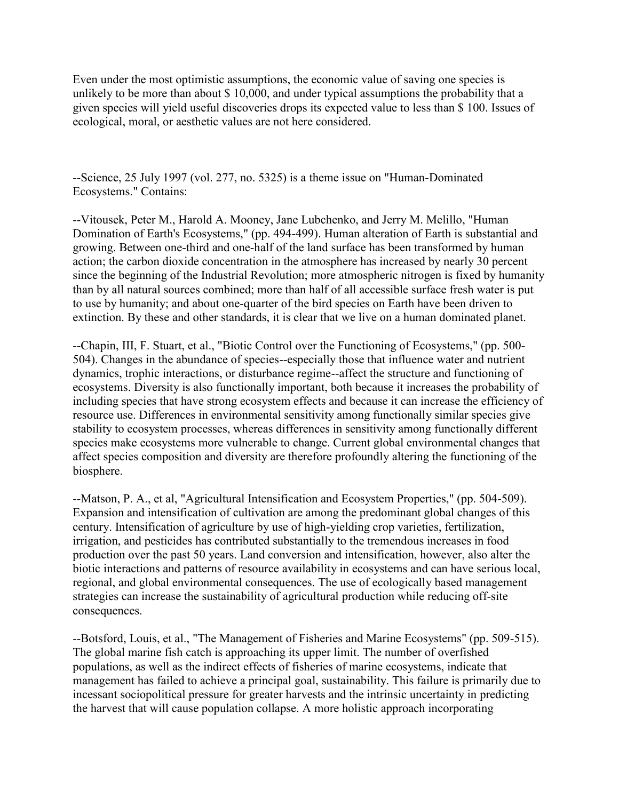Even under the most optimistic assumptions, the economic value of saving one species is unlikely to be more than about \$ 10,000, and under typical assumptions the probability that a given species will yield useful discoveries drops its expected value to less than \$ 100. Issues of ecological, moral, or aesthetic values are not here considered.

--Science, 25 July 1997 (vol. 277, no. 5325) is a theme issue on "Human-Dominated Ecosystems." Contains:

--Vitousek, Peter M., Harold A. Mooney, Jane Lubchenko, and Jerry M. Melillo, "Human Domination of Earth's Ecosystems," (pp. 494-499). Human alteration of Earth is substantial and growing. Between one-third and one-half of the land surface has been transformed by human action; the carbon dioxide concentration in the atmosphere has increased by nearly 30 percent since the beginning of the Industrial Revolution; more atmospheric nitrogen is fixed by humanity than by all natural sources combined; more than half of all accessible surface fresh water is put to use by humanity; and about one-quarter of the bird species on Earth have been driven to extinction. By these and other standards, it is clear that we live on a human dominated planet.

--Chapin, III, F. Stuart, et al., "Biotic Control over the Functioning of Ecosystems," (pp. 500- 504). Changes in the abundance of species--especially those that influence water and nutrient dynamics, trophic interactions, or disturbance regime--affect the structure and functioning of ecosystems. Diversity is also functionally important, both because it increases the probability of including species that have strong ecosystem effects and because it can increase the efficiency of resource use. Differences in environmental sensitivity among functionally similar species give stability to ecosystem processes, whereas differences in sensitivity among functionally different species make ecosystems more vulnerable to change. Current global environmental changes that affect species composition and diversity are therefore profoundly altering the functioning of the biosphere.

--Matson, P. A., et al, "Agricultural Intensification and Ecosystem Properties," (pp. 504-509). Expansion and intensification of cultivation are among the predominant global changes of this century. Intensification of agriculture by use of high-yielding crop varieties, fertilization, irrigation, and pesticides has contributed substantially to the tremendous increases in food production over the past 50 years. Land conversion and intensification, however, also alter the biotic interactions and patterns of resource availability in ecosystems and can have serious local, regional, and global environmental consequences. The use of ecologically based management strategies can increase the sustainability of agricultural production while reducing off-site consequences.

--Botsford, Louis, et al., "The Management of Fisheries and Marine Ecosystems" (pp. 509-515). The global marine fish catch is approaching its upper limit. The number of overfished populations, as well as the indirect effects of fisheries of marine ecosystems, indicate that management has failed to achieve a principal goal, sustainability. This failure is primarily due to incessant sociopolitical pressure for greater harvests and the intrinsic uncertainty in predicting the harvest that will cause population collapse. A more holistic approach incorporating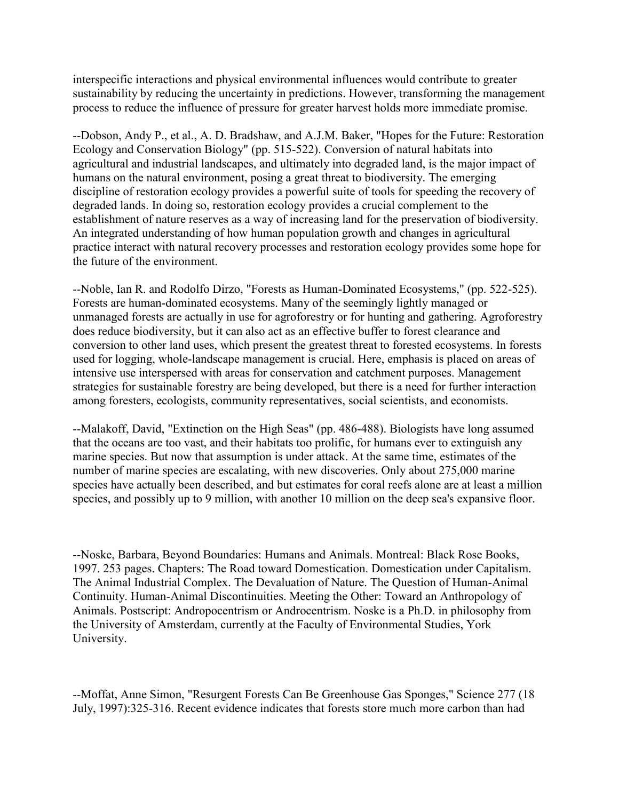interspecific interactions and physical environmental influences would contribute to greater sustainability by reducing the uncertainty in predictions. However, transforming the management process to reduce the influence of pressure for greater harvest holds more immediate promise.

--Dobson, Andy P., et al., A. D. Bradshaw, and A.J.M. Baker, "Hopes for the Future: Restoration Ecology and Conservation Biology" (pp. 515-522). Conversion of natural habitats into agricultural and industrial landscapes, and ultimately into degraded land, is the major impact of humans on the natural environment, posing a great threat to biodiversity. The emerging discipline of restoration ecology provides a powerful suite of tools for speeding the recovery of degraded lands. In doing so, restoration ecology provides a crucial complement to the establishment of nature reserves as a way of increasing land for the preservation of biodiversity. An integrated understanding of how human population growth and changes in agricultural practice interact with natural recovery processes and restoration ecology provides some hope for the future of the environment.

--Noble, Ian R. and Rodolfo Dirzo, "Forests as Human-Dominated Ecosystems," (pp. 522-525). Forests are human-dominated ecosystems. Many of the seemingly lightly managed or unmanaged forests are actually in use for agroforestry or for hunting and gathering. Agroforestry does reduce biodiversity, but it can also act as an effective buffer to forest clearance and conversion to other land uses, which present the greatest threat to forested ecosystems. In forests used for logging, whole-landscape management is crucial. Here, emphasis is placed on areas of intensive use interspersed with areas for conservation and catchment purposes. Management strategies for sustainable forestry are being developed, but there is a need for further interaction among foresters, ecologists, community representatives, social scientists, and economists.

--Malakoff, David, "Extinction on the High Seas" (pp. 486-488). Biologists have long assumed that the oceans are too vast, and their habitats too prolific, for humans ever to extinguish any marine species. But now that assumption is under attack. At the same time, estimates of the number of marine species are escalating, with new discoveries. Only about 275,000 marine species have actually been described, and but estimates for coral reefs alone are at least a million species, and possibly up to 9 million, with another 10 million on the deep sea's expansive floor.

--Noske, Barbara, Beyond Boundaries: Humans and Animals. Montreal: Black Rose Books, 1997. 253 pages. Chapters: The Road toward Domestication. Domestication under Capitalism. The Animal Industrial Complex. The Devaluation of Nature. The Question of Human-Animal Continuity. Human-Animal Discontinuities. Meeting the Other: Toward an Anthropology of Animals. Postscript: Andropocentrism or Androcentrism. Noske is a Ph.D. in philosophy from the University of Amsterdam, currently at the Faculty of Environmental Studies, York University.

--Moffat, Anne Simon, "Resurgent Forests Can Be Greenhouse Gas Sponges," Science 277 (18 July, 1997):325-316. Recent evidence indicates that forests store much more carbon than had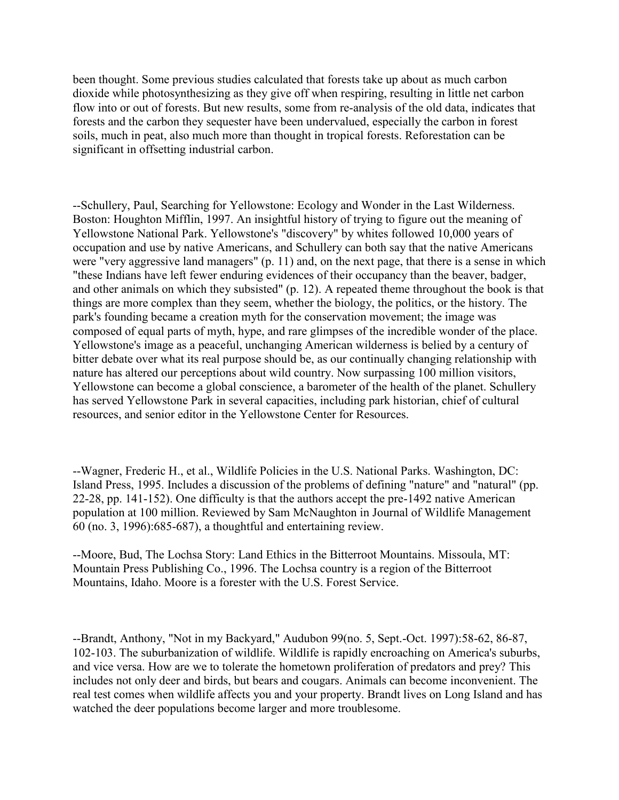been thought. Some previous studies calculated that forests take up about as much carbon dioxide while photosynthesizing as they give off when respiring, resulting in little net carbon flow into or out of forests. But new results, some from re-analysis of the old data, indicates that forests and the carbon they sequester have been undervalued, especially the carbon in forest soils, much in peat, also much more than thought in tropical forests. Reforestation can be significant in offsetting industrial carbon.

--Schullery, Paul, Searching for Yellowstone: Ecology and Wonder in the Last Wilderness. Boston: Houghton Mifflin, 1997. An insightful history of trying to figure out the meaning of Yellowstone National Park. Yellowstone's "discovery" by whites followed 10,000 years of occupation and use by native Americans, and Schullery can both say that the native Americans were "very aggressive land managers" (p. 11) and, on the next page, that there is a sense in which "these Indians have left fewer enduring evidences of their occupancy than the beaver, badger, and other animals on which they subsisted" (p. 12). A repeated theme throughout the book is that things are more complex than they seem, whether the biology, the politics, or the history. The park's founding became a creation myth for the conservation movement; the image was composed of equal parts of myth, hype, and rare glimpses of the incredible wonder of the place. Yellowstone's image as a peaceful, unchanging American wilderness is belied by a century of bitter debate over what its real purpose should be, as our continually changing relationship with nature has altered our perceptions about wild country. Now surpassing 100 million visitors, Yellowstone can become a global conscience, a barometer of the health of the planet. Schullery has served Yellowstone Park in several capacities, including park historian, chief of cultural resources, and senior editor in the Yellowstone Center for Resources.

--Wagner, Frederic H., et al., Wildlife Policies in the U.S. National Parks. Washington, DC: Island Press, 1995. Includes a discussion of the problems of defining "nature" and "natural" (pp. 22-28, pp. 141-152). One difficulty is that the authors accept the pre-1492 native American population at 100 million. Reviewed by Sam McNaughton in Journal of Wildlife Management 60 (no. 3, 1996):685-687), a thoughtful and entertaining review.

--Moore, Bud, The Lochsa Story: Land Ethics in the Bitterroot Mountains. Missoula, MT: Mountain Press Publishing Co., 1996. The Lochsa country is a region of the Bitterroot Mountains, Idaho. Moore is a forester with the U.S. Forest Service.

--Brandt, Anthony, "Not in my Backyard," Audubon 99(no. 5, Sept.-Oct. 1997):58-62, 86-87, 102-103. The suburbanization of wildlife. Wildlife is rapidly encroaching on America's suburbs, and vice versa. How are we to tolerate the hometown proliferation of predators and prey? This includes not only deer and birds, but bears and cougars. Animals can become inconvenient. The real test comes when wildlife affects you and your property. Brandt lives on Long Island and has watched the deer populations become larger and more troublesome.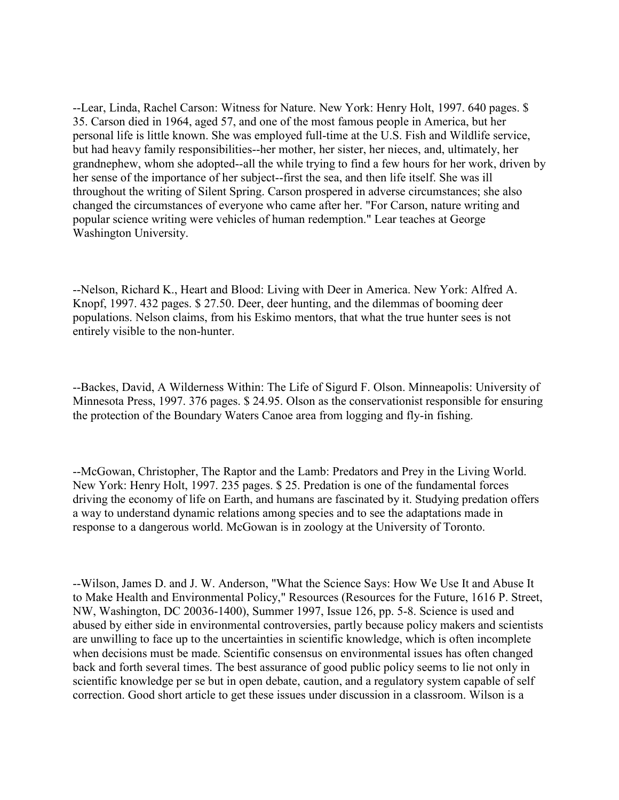--Lear, Linda, Rachel Carson: Witness for Nature. New York: Henry Holt, 1997. 640 pages. \$ 35. Carson died in 1964, aged 57, and one of the most famous people in America, but her personal life is little known. She was employed full-time at the U.S. Fish and Wildlife service, but had heavy family responsibilities--her mother, her sister, her nieces, and, ultimately, her grandnephew, whom she adopted--all the while trying to find a few hours for her work, driven by her sense of the importance of her subject--first the sea, and then life itself. She was ill throughout the writing of Silent Spring. Carson prospered in adverse circumstances; she also changed the circumstances of everyone who came after her. "For Carson, nature writing and popular science writing were vehicles of human redemption." Lear teaches at George Washington University.

--Nelson, Richard K., Heart and Blood: Living with Deer in America. New York: Alfred A. Knopf, 1997. 432 pages. \$ 27.50. Deer, deer hunting, and the dilemmas of booming deer populations. Nelson claims, from his Eskimo mentors, that what the true hunter sees is not entirely visible to the non-hunter.

--Backes, David, A Wilderness Within: The Life of Sigurd F. Olson. Minneapolis: University of Minnesota Press, 1997. 376 pages. \$ 24.95. Olson as the conservationist responsible for ensuring the protection of the Boundary Waters Canoe area from logging and fly-in fishing.

--McGowan, Christopher, The Raptor and the Lamb: Predators and Prey in the Living World. New York: Henry Holt, 1997. 235 pages. \$ 25. Predation is one of the fundamental forces driving the economy of life on Earth, and humans are fascinated by it. Studying predation offers a way to understand dynamic relations among species and to see the adaptations made in response to a dangerous world. McGowan is in zoology at the University of Toronto.

--Wilson, James D. and J. W. Anderson, "What the Science Says: How We Use It and Abuse It to Make Health and Environmental Policy," Resources (Resources for the Future, 1616 P. Street, NW, Washington, DC 20036-1400), Summer 1997, Issue 126, pp. 5-8. Science is used and abused by either side in environmental controversies, partly because policy makers and scientists are unwilling to face up to the uncertainties in scientific knowledge, which is often incomplete when decisions must be made. Scientific consensus on environmental issues has often changed back and forth several times. The best assurance of good public policy seems to lie not only in scientific knowledge per se but in open debate, caution, and a regulatory system capable of self correction. Good short article to get these issues under discussion in a classroom. Wilson is a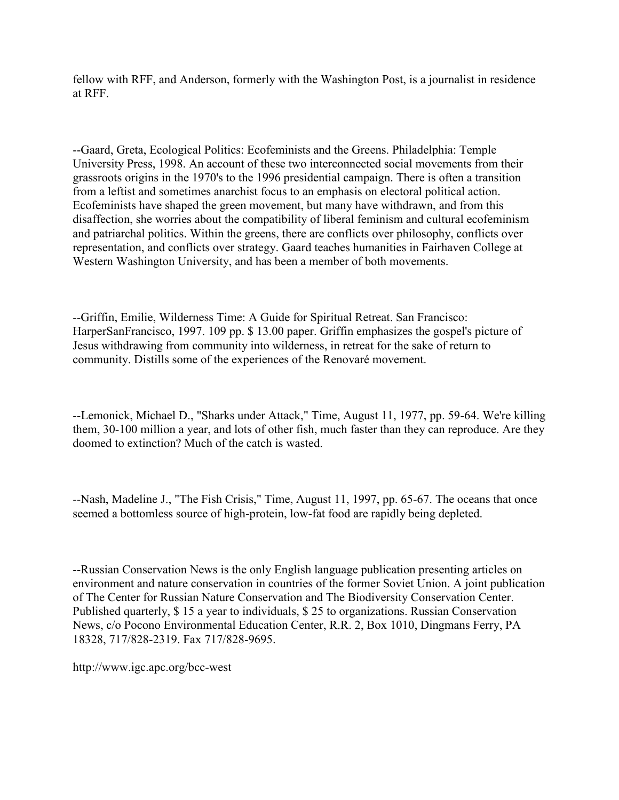fellow with RFF, and Anderson, formerly with the Washington Post, is a journalist in residence at RFF.

--Gaard, Greta, Ecological Politics: Ecofeminists and the Greens. Philadelphia: Temple University Press, 1998. An account of these two interconnected social movements from their grassroots origins in the 1970's to the 1996 presidential campaign. There is often a transition from a leftist and sometimes anarchist focus to an emphasis on electoral political action. Ecofeminists have shaped the green movement, but many have withdrawn, and from this disaffection, she worries about the compatibility of liberal feminism and cultural ecofeminism and patriarchal politics. Within the greens, there are conflicts over philosophy, conflicts over representation, and conflicts over strategy. Gaard teaches humanities in Fairhaven College at Western Washington University, and has been a member of both movements.

--Griffin, Emilie, Wilderness Time: A Guide for Spiritual Retreat. San Francisco: HarperSanFrancisco, 1997. 109 pp. \$ 13.00 paper. Griffin emphasizes the gospel's picture of Jesus withdrawing from community into wilderness, in retreat for the sake of return to community. Distills some of the experiences of the Renovaré movement.

--Lemonick, Michael D., "Sharks under Attack," Time, August 11, 1977, pp. 59-64. We're killing them, 30-100 million a year, and lots of other fish, much faster than they can reproduce. Are they doomed to extinction? Much of the catch is wasted.

--Nash, Madeline J., "The Fish Crisis," Time, August 11, 1997, pp. 65-67. The oceans that once seemed a bottomless source of high-protein, low-fat food are rapidly being depleted.

--Russian Conservation News is the only English language publication presenting articles on environment and nature conservation in countries of the former Soviet Union. A joint publication of The Center for Russian Nature Conservation and The Biodiversity Conservation Center. Published quarterly, \$ 15 a year to individuals, \$ 25 to organizations. Russian Conservation News, c/o Pocono Environmental Education Center, R.R. 2, Box 1010, Dingmans Ferry, PA 18328, 717/828-2319. Fax 717/828-9695.

http://www.igc.apc.org/bcc-west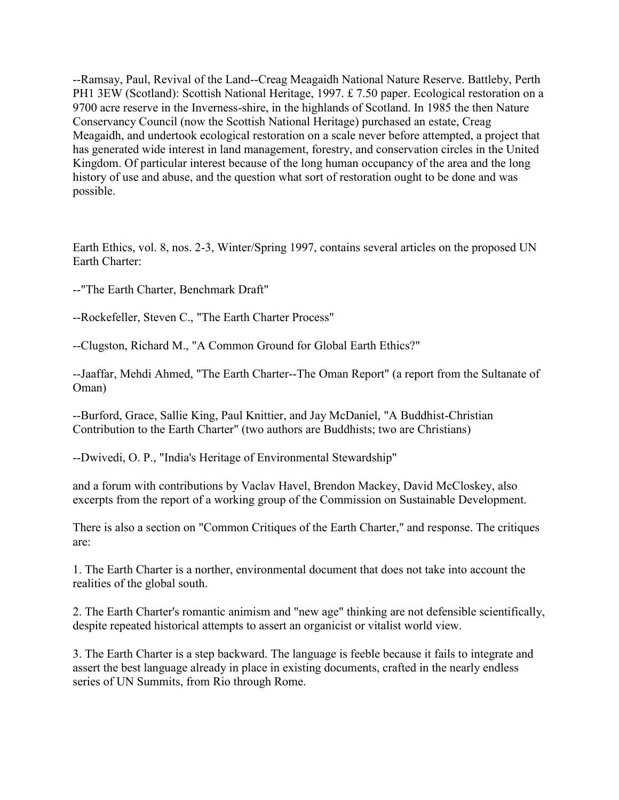--Ramsay, Paul, Revival of the Land--Creag Meagaidh National Nature Reserve. Battleby, Perth PH1 3EW (Scotland): Scottish National Heritage, 1997. £ 7.50 paper. Ecological restoration on a 9700 acre reserve in the Inverness-shire, in the highlands of Scotland. In 1985 the then Nature Conservancy Council (now the Scottish National Heritage) purchased an estate, Creag Meagaidh, and undertook ecological restoration on a scale never before attempted, a project that has generated wide interest in land management, forestry, and conservation circles in the United Kingdom. Of particular interest because of the long human occupancy of the area and the long history of use and abuse, and the question what sort of restoration ought to be done and was possible.

Earth Ethics, vol. 8, nos. 2-3, Winter/Spring 1997, contains several articles on the proposed UN Earth Charter:

--"The Earth Charter, Benchmark Draft"

--Rockefeller, Steven C., "The Earth Charter Process"

--Clugston, Richard M., "A Common Ground for Global Earth Ethics?"

--Jaaffar, Mehdi Ahmed, "The Earth Charter--The Oman Report" (a report from the Sultanate of Oman)

--Burford, Grace, Sallie King, Paul Knittier, and Jay McDaniel, "A Buddhist-Christian Contribution to the Earth Charter" (two authors are Buddhists; two are Christians)

--Dwivedi, O. P., "India's Heritage of Environmental Stewardship"

and a forum with contributions by Vaclav Havel, Brendon Mackey, David McCloskey, also excerpts from the report of a working group of the Commission on Sustainable Development.

There is also a section on "Common Critiques of the Earth Charter," and response. The critiques are:

1. The Earth Charter is a norther, environmental document that does not take into account the realities of the global south.

2. The Earth Charter's romantic animism and "new age" thinking are not defensible scientifically, despite repeated historical attempts to assert an organicist or vitalist world view.

3. The Earth Charter is a step backward. The language is feeble because it fails to integrate and assert the best language already in place in existing documents, crafted in the nearly endless series of UN Summits, from Rio through Rome.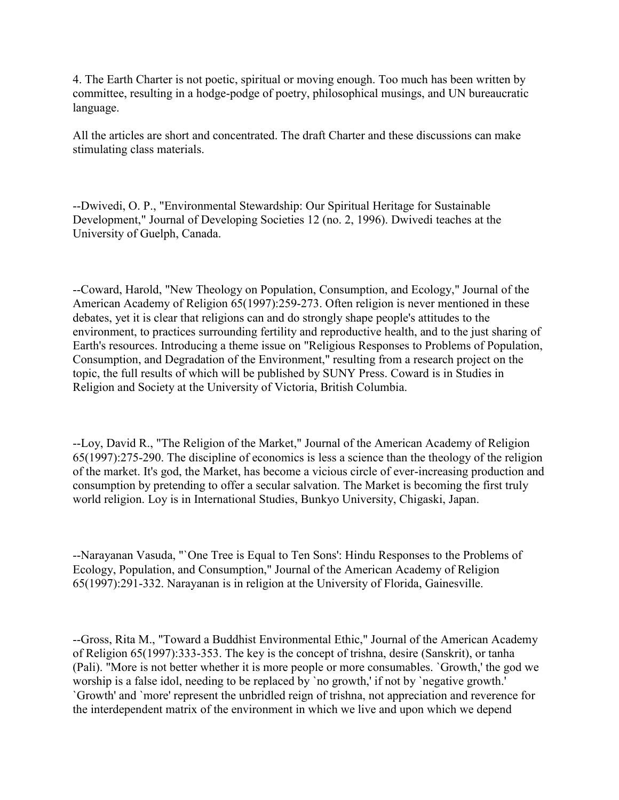4. The Earth Charter is not poetic, spiritual or moving enough. Too much has been written by committee, resulting in a hodge-podge of poetry, philosophical musings, and UN bureaucratic language.

All the articles are short and concentrated. The draft Charter and these discussions can make stimulating class materials.

--Dwivedi, O. P., "Environmental Stewardship: Our Spiritual Heritage for Sustainable Development," Journal of Developing Societies 12 (no. 2, 1996). Dwivedi teaches at the University of Guelph, Canada.

--Coward, Harold, "New Theology on Population, Consumption, and Ecology," Journal of the American Academy of Religion 65(1997):259-273. Often religion is never mentioned in these debates, yet it is clear that religions can and do strongly shape people's attitudes to the environment, to practices surrounding fertility and reproductive health, and to the just sharing of Earth's resources. Introducing a theme issue on "Religious Responses to Problems of Population, Consumption, and Degradation of the Environment," resulting from a research project on the topic, the full results of which will be published by SUNY Press. Coward is in Studies in Religion and Society at the University of Victoria, British Columbia.

--Loy, David R., "The Religion of the Market," Journal of the American Academy of Religion 65(1997):275-290. The discipline of economics is less a science than the theology of the religion of the market. It's god, the Market, has become a vicious circle of ever-increasing production and consumption by pretending to offer a secular salvation. The Market is becoming the first truly world religion. Loy is in International Studies, Bunkyo University, Chigaski, Japan.

--Narayanan Vasuda, "`One Tree is Equal to Ten Sons': Hindu Responses to the Problems of Ecology, Population, and Consumption," Journal of the American Academy of Religion 65(1997):291-332. Narayanan is in religion at the University of Florida, Gainesville.

--Gross, Rita M., "Toward a Buddhist Environmental Ethic," Journal of the American Academy of Religion 65(1997):333-353. The key is the concept of trishna, desire (Sanskrit), or tanha (Pali). "More is not better whether it is more people or more consumables. `Growth,' the god we worship is a false idol, needing to be replaced by `no growth,' if not by `negative growth.' `Growth' and `more' represent the unbridled reign of trishna, not appreciation and reverence for the interdependent matrix of the environment in which we live and upon which we depend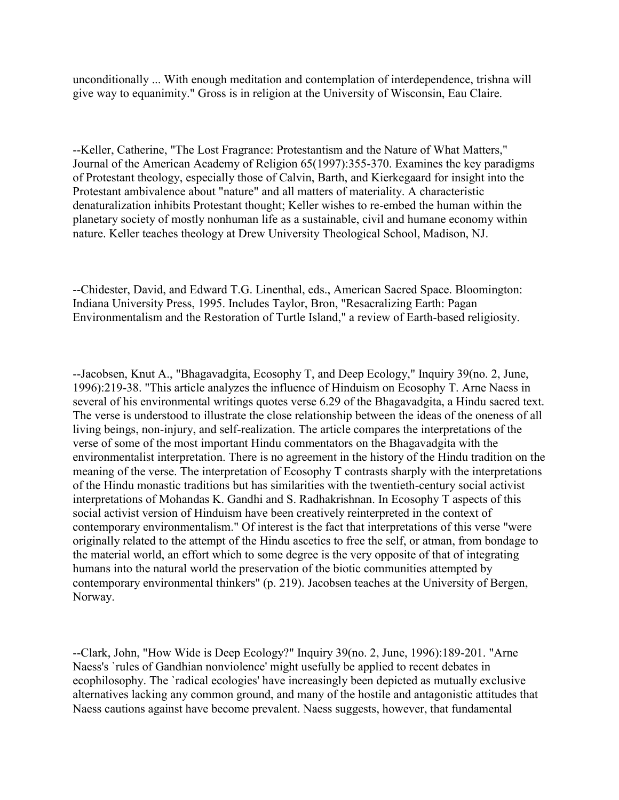unconditionally ... With enough meditation and contemplation of interdependence, trishna will give way to equanimity." Gross is in religion at the University of Wisconsin, Eau Claire.

--Keller, Catherine, "The Lost Fragrance: Protestantism and the Nature of What Matters," Journal of the American Academy of Religion 65(1997):355-370. Examines the key paradigms of Protestant theology, especially those of Calvin, Barth, and Kierkegaard for insight into the Protestant ambivalence about "nature" and all matters of materiality. A characteristic denaturalization inhibits Protestant thought; Keller wishes to re-embed the human within the planetary society of mostly nonhuman life as a sustainable, civil and humane economy within nature. Keller teaches theology at Drew University Theological School, Madison, NJ.

--Chidester, David, and Edward T.G. Linenthal, eds., American Sacred Space. Bloomington: Indiana University Press, 1995. Includes Taylor, Bron, "Resacralizing Earth: Pagan Environmentalism and the Restoration of Turtle Island," a review of Earth-based religiosity.

--Jacobsen, Knut A., "Bhagavadgita, Ecosophy T, and Deep Ecology," Inquiry 39(no. 2, June, 1996):219-38. "This article analyzes the influence of Hinduism on Ecosophy T. Arne Naess in several of his environmental writings quotes verse 6.29 of the Bhagavadgita, a Hindu sacred text. The verse is understood to illustrate the close relationship between the ideas of the oneness of all living beings, non-injury, and self-realization. The article compares the interpretations of the verse of some of the most important Hindu commentators on the Bhagavadgita with the environmentalist interpretation. There is no agreement in the history of the Hindu tradition on the meaning of the verse. The interpretation of Ecosophy T contrasts sharply with the interpretations of the Hindu monastic traditions but has similarities with the twentieth-century social activist interpretations of Mohandas K. Gandhi and S. Radhakrishnan. In Ecosophy T aspects of this social activist version of Hinduism have been creatively reinterpreted in the context of contemporary environmentalism." Of interest is the fact that interpretations of this verse "were originally related to the attempt of the Hindu ascetics to free the self, or atman, from bondage to the material world, an effort which to some degree is the very opposite of that of integrating humans into the natural world the preservation of the biotic communities attempted by contemporary environmental thinkers" (p. 219). Jacobsen teaches at the University of Bergen, Norway.

--Clark, John, "How Wide is Deep Ecology?" Inquiry 39(no. 2, June, 1996):189-201. "Arne Naess's `rules of Gandhian nonviolence' might usefully be applied to recent debates in ecophilosophy. The `radical ecologies' have increasingly been depicted as mutually exclusive alternatives lacking any common ground, and many of the hostile and antagonistic attitudes that Naess cautions against have become prevalent. Naess suggests, however, that fundamental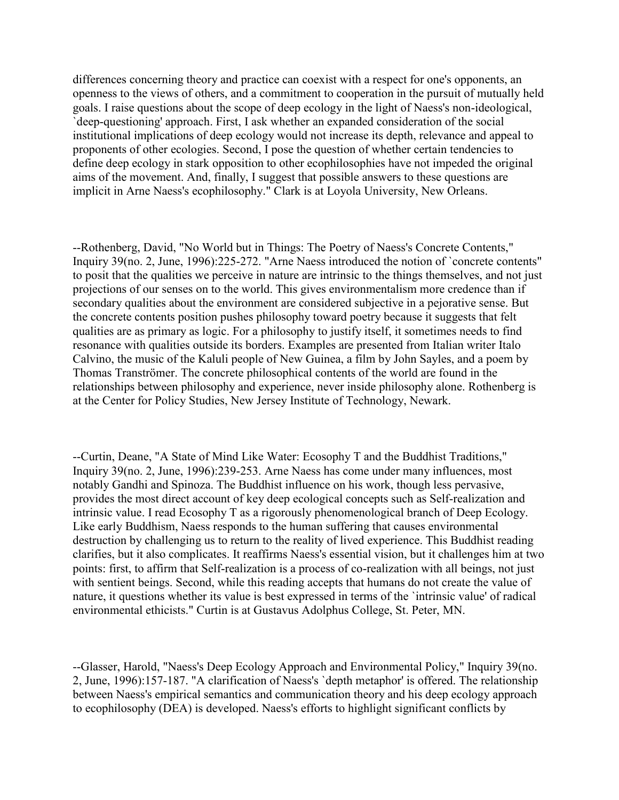differences concerning theory and practice can coexist with a respect for one's opponents, an openness to the views of others, and a commitment to cooperation in the pursuit of mutually held goals. I raise questions about the scope of deep ecology in the light of Naess's non-ideological, `deep-questioning' approach. First, I ask whether an expanded consideration of the social institutional implications of deep ecology would not increase its depth, relevance and appeal to proponents of other ecologies. Second, I pose the question of whether certain tendencies to define deep ecology in stark opposition to other ecophilosophies have not impeded the original aims of the movement. And, finally, I suggest that possible answers to these questions are implicit in Arne Naess's ecophilosophy." Clark is at Loyola University, New Orleans.

--Rothenberg, David, "No World but in Things: The Poetry of Naess's Concrete Contents," Inquiry 39(no. 2, June, 1996):225-272. "Arne Naess introduced the notion of `concrete contents" to posit that the qualities we perceive in nature are intrinsic to the things themselves, and not just projections of our senses on to the world. This gives environmentalism more credence than if secondary qualities about the environment are considered subjective in a pejorative sense. But the concrete contents position pushes philosophy toward poetry because it suggests that felt qualities are as primary as logic. For a philosophy to justify itself, it sometimes needs to find resonance with qualities outside its borders. Examples are presented from Italian writer Italo Calvino, the music of the Kaluli people of New Guinea, a film by John Sayles, and a poem by Thomas Tranströmer. The concrete philosophical contents of the world are found in the relationships between philosophy and experience, never inside philosophy alone. Rothenberg is at the Center for Policy Studies, New Jersey Institute of Technology, Newark.

--Curtin, Deane, "A State of Mind Like Water: Ecosophy T and the Buddhist Traditions," Inquiry 39(no. 2, June, 1996):239-253. Arne Naess has come under many influences, most notably Gandhi and Spinoza. The Buddhist influence on his work, though less pervasive, provides the most direct account of key deep ecological concepts such as Self-realization and intrinsic value. I read Ecosophy T as a rigorously phenomenological branch of Deep Ecology. Like early Buddhism, Naess responds to the human suffering that causes environmental destruction by challenging us to return to the reality of lived experience. This Buddhist reading clarifies, but it also complicates. It reaffirms Naess's essential vision, but it challenges him at two points: first, to affirm that Self-realization is a process of co-realization with all beings, not just with sentient beings. Second, while this reading accepts that humans do not create the value of nature, it questions whether its value is best expressed in terms of the `intrinsic value' of radical environmental ethicists." Curtin is at Gustavus Adolphus College, St. Peter, MN.

--Glasser, Harold, "Naess's Deep Ecology Approach and Environmental Policy," Inquiry 39(no. 2, June, 1996):157-187. "A clarification of Naess's `depth metaphor' is offered. The relationship between Naess's empirical semantics and communication theory and his deep ecology approach to ecophilosophy (DEA) is developed. Naess's efforts to highlight significant conflicts by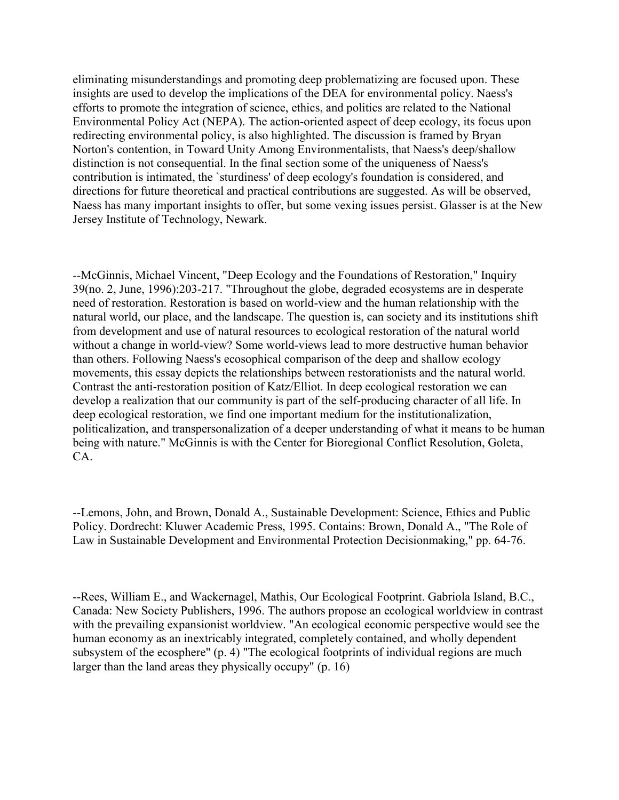eliminating misunderstandings and promoting deep problematizing are focused upon. These insights are used to develop the implications of the DEA for environmental policy. Naess's efforts to promote the integration of science, ethics, and politics are related to the National Environmental Policy Act (NEPA). The action-oriented aspect of deep ecology, its focus upon redirecting environmental policy, is also highlighted. The discussion is framed by Bryan Norton's contention, in Toward Unity Among Environmentalists, that Naess's deep/shallow distinction is not consequential. In the final section some of the uniqueness of Naess's contribution is intimated, the `sturdiness' of deep ecology's foundation is considered, and directions for future theoretical and practical contributions are suggested. As will be observed, Naess has many important insights to offer, but some vexing issues persist. Glasser is at the New Jersey Institute of Technology, Newark.

--McGinnis, Michael Vincent, "Deep Ecology and the Foundations of Restoration," Inquiry 39(no. 2, June, 1996):203-217. "Throughout the globe, degraded ecosystems are in desperate need of restoration. Restoration is based on world-view and the human relationship with the natural world, our place, and the landscape. The question is, can society and its institutions shift from development and use of natural resources to ecological restoration of the natural world without a change in world-view? Some world-views lead to more destructive human behavior than others. Following Naess's ecosophical comparison of the deep and shallow ecology movements, this essay depicts the relationships between restorationists and the natural world. Contrast the anti-restoration position of Katz/Elliot. In deep ecological restoration we can develop a realization that our community is part of the self-producing character of all life. In deep ecological restoration, we find one important medium for the institutionalization, politicalization, and transpersonalization of a deeper understanding of what it means to be human being with nature." McGinnis is with the Center for Bioregional Conflict Resolution, Goleta, CA.

--Lemons, John, and Brown, Donald A., Sustainable Development: Science, Ethics and Public Policy. Dordrecht: Kluwer Academic Press, 1995. Contains: Brown, Donald A., "The Role of Law in Sustainable Development and Environmental Protection Decisionmaking," pp. 64-76.

--Rees, William E., and Wackernagel, Mathis, Our Ecological Footprint. Gabriola Island, B.C., Canada: New Society Publishers, 1996. The authors propose an ecological worldview in contrast with the prevailing expansionist worldview. "An ecological economic perspective would see the human economy as an inextricably integrated, completely contained, and wholly dependent subsystem of the ecosphere" (p. 4) "The ecological footprints of individual regions are much larger than the land areas they physically occupy" (p. 16)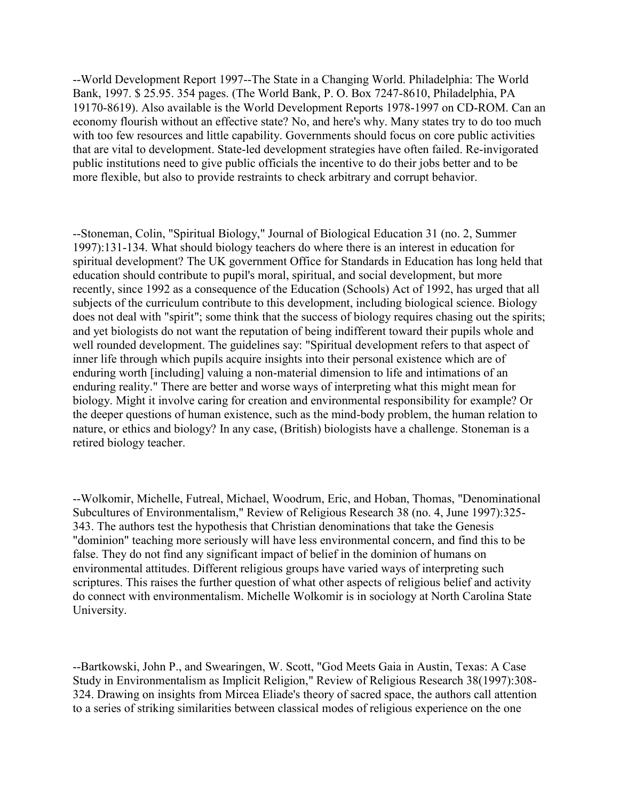--World Development Report 1997--The State in a Changing World. Philadelphia: The World Bank, 1997. \$ 25.95. 354 pages. (The World Bank, P. O. Box 7247-8610, Philadelphia, PA 19170-8619). Also available is the World Development Reports 1978-1997 on CD-ROM. Can an economy flourish without an effective state? No, and here's why. Many states try to do too much with too few resources and little capability. Governments should focus on core public activities that are vital to development. State-led development strategies have often failed. Re-invigorated public institutions need to give public officials the incentive to do their jobs better and to be more flexible, but also to provide restraints to check arbitrary and corrupt behavior.

--Stoneman, Colin, "Spiritual Biology," Journal of Biological Education 31 (no. 2, Summer 1997):131-134. What should biology teachers do where there is an interest in education for spiritual development? The UK government Office for Standards in Education has long held that education should contribute to pupil's moral, spiritual, and social development, but more recently, since 1992 as a consequence of the Education (Schools) Act of 1992, has urged that all subjects of the curriculum contribute to this development, including biological science. Biology does not deal with "spirit"; some think that the success of biology requires chasing out the spirits; and yet biologists do not want the reputation of being indifferent toward their pupils whole and well rounded development. The guidelines say: "Spiritual development refers to that aspect of inner life through which pupils acquire insights into their personal existence which are of enduring worth [including] valuing a non-material dimension to life and intimations of an enduring reality." There are better and worse ways of interpreting what this might mean for biology. Might it involve caring for creation and environmental responsibility for example? Or the deeper questions of human existence, such as the mind-body problem, the human relation to nature, or ethics and biology? In any case, (British) biologists have a challenge. Stoneman is a retired biology teacher.

--Wolkomir, Michelle, Futreal, Michael, Woodrum, Eric, and Hoban, Thomas, "Denominational Subcultures of Environmentalism," Review of Religious Research 38 (no. 4, June 1997):325- 343. The authors test the hypothesis that Christian denominations that take the Genesis "dominion" teaching more seriously will have less environmental concern, and find this to be false. They do not find any significant impact of belief in the dominion of humans on environmental attitudes. Different religious groups have varied ways of interpreting such scriptures. This raises the further question of what other aspects of religious belief and activity do connect with environmentalism. Michelle Wolkomir is in sociology at North Carolina State University.

--Bartkowski, John P., and Swearingen, W. Scott, "God Meets Gaia in Austin, Texas: A Case Study in Environmentalism as Implicit Religion," Review of Religious Research 38(1997):308- 324. Drawing on insights from Mircea Eliade's theory of sacred space, the authors call attention to a series of striking similarities between classical modes of religious experience on the one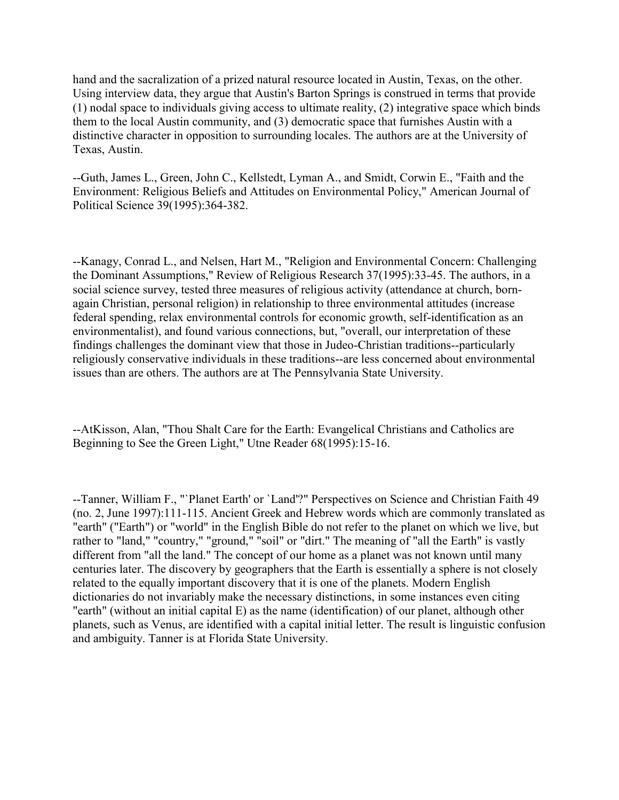hand and the sacralization of a prized natural resource located in Austin, Texas, on the other. Using interview data, they argue that Austin's Barton Springs is construed in terms that provide (1) nodal space to individuals giving access to ultimate reality, (2) integrative space which binds them to the local Austin community, and (3) democratic space that furnishes Austin with a distinctive character in opposition to surrounding locales. The authors are at the University of Texas, Austin.

--Guth, James L., Green, John C., Kellstedt, Lyman A., and Smidt, Corwin E., "Faith and the Environment: Religious Beliefs and Attitudes on Environmental Policy," American Journal of Political Science 39(1995):364-382.

--Kanagy, Conrad L., and Nelsen, Hart M., "Religion and Environmental Concern: Challenging the Dominant Assumptions," Review of Religious Research 37(1995):33-45. The authors, in a social science survey, tested three measures of religious activity (attendance at church, bornagain Christian, personal religion) in relationship to three environmental attitudes (increase federal spending, relax environmental controls for economic growth, self-identification as an environmentalist), and found various connections, but, "overall, our interpretation of these findings challenges the dominant view that those in Judeo-Christian traditions--particularly religiously conservative individuals in these traditions--are less concerned about environmental issues than are others. The authors are at The Pennsylvania State University.

--AtKisson, Alan, "Thou Shalt Care for the Earth: Evangelical Christians and Catholics are Beginning to See the Green Light," Utne Reader 68(1995):15-16.

--Tanner, William F., "`Planet Earth' or `Land'?" Perspectives on Science and Christian Faith 49 (no. 2, June 1997):111-115. Ancient Greek and Hebrew words which are commonly translated as "earth" ("Earth") or "world" in the English Bible do not refer to the planet on which we live, but rather to "land," "country," "ground," "soil" or "dirt." The meaning of "all the Earth" is vastly different from "all the land." The concept of our home as a planet was not known until many centuries later. The discovery by geographers that the Earth is essentially a sphere is not closely related to the equally important discovery that it is one of the planets. Modern English dictionaries do not invariably make the necessary distinctions, in some instances even citing "earth" (without an initial capital E) as the name (identification) of our planet, although other planets, such as Venus, are identified with a capital initial letter. The result is linguistic confusion and ambiguity. Tanner is at Florida State University.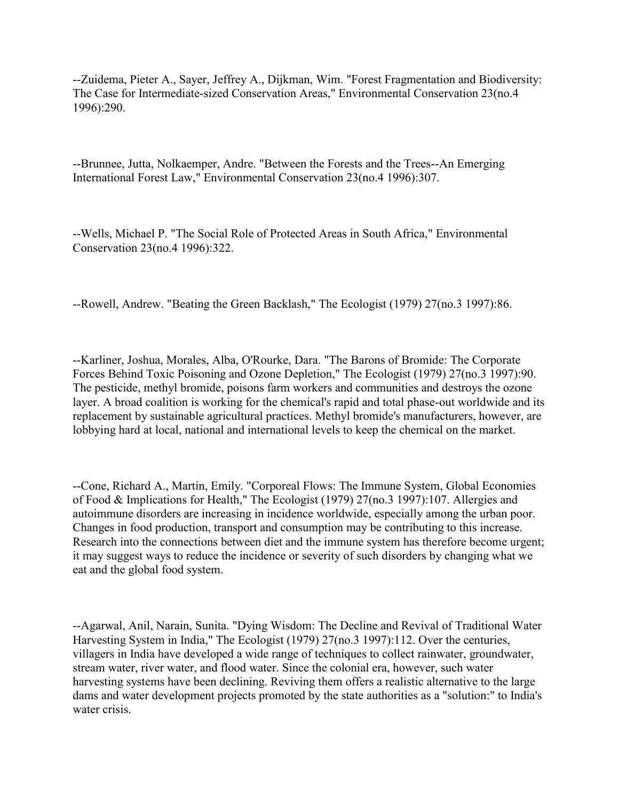--Zuidema, Pieter A., Sayer, Jeffrey A., Dijkman, Wim. "Forest Fragmentation and Biodiversity: The Case for Intermediate-sized Conservation Areas," Environmental Conservation 23(no.4 1996):290.

--Brunnee, Jutta, Nolkaemper, Andre. "Between the Forests and the Trees--An Emerging International Forest Law," Environmental Conservation 23(no.4 1996):307.

--Wells, Michael P. "The Social Role of Protected Areas in South Africa," Environmental Conservation 23(no.4 1996):322.

--Rowell, Andrew. "Beating the Green Backlash," The Ecologist (1979) 27(no.3 1997):86.

--Karliner, Joshua, Morales, Alba, O'Rourke, Dara. "The Barons of Bromide: The Corporate Forces Behind Toxic Poisoning and Ozone Depletion," The Ecologist (1979) 27(no.3 1997):90. The pesticide, methyl bromide, poisons farm workers and communities and destroys the ozone layer. A broad coalition is working for the chemical's rapid and total phase-out worldwide and its replacement by sustainable agricultural practices. Methyl bromide's manufacturers, however, are lobbying hard at local, national and international levels to keep the chemical on the market.

--Cone, Richard A., Martin, Emily. "Corporeal Flows: The Immune System, Global Economies of Food & Implications for Health," The Ecologist (1979) 27(no.3 1997):107. Allergies and autoimmune disorders are increasing in incidence worldwide, especially among the urban poor. Changes in food production, transport and consumption may be contributing to this increase. Research into the connections between diet and the immune system has therefore become urgent; it may suggest ways to reduce the incidence or severity of such disorders by changing what we eat and the global food system.

--Agarwal, Anil, Narain, Sunita. "Dying Wisdom: The Decline and Revival of Traditional Water Harvesting System in India," The Ecologist (1979) 27(no.3 1997):112. Over the centuries, villagers in India have developed a wide range of techniques to collect rainwater, groundwater, stream water, river water, and flood water. Since the colonial era, however, such water harvesting systems have been declining. Reviving them offers a realistic alternative to the large dams and water development projects promoted by the state authorities as a "solution:" to India's water crisis.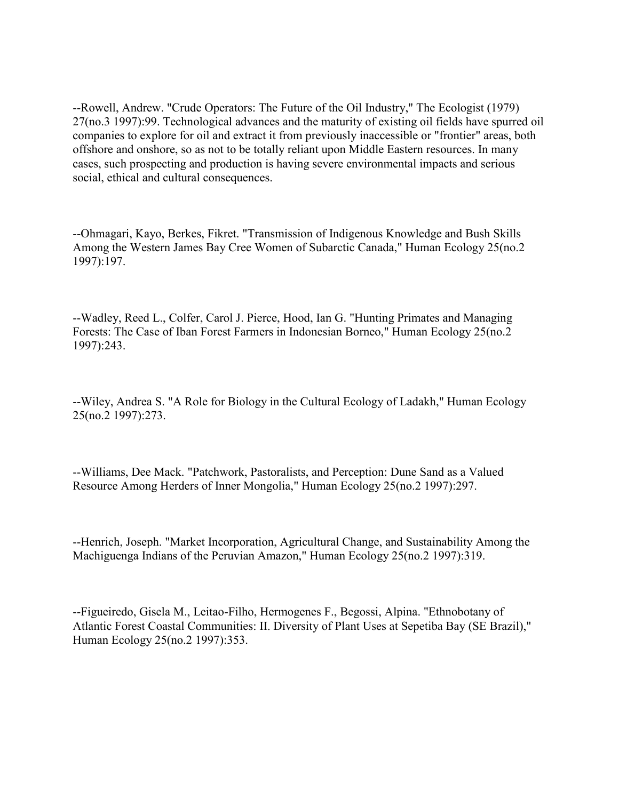--Rowell, Andrew. "Crude Operators: The Future of the Oil Industry," The Ecologist (1979) 27(no.3 1997):99. Technological advances and the maturity of existing oil fields have spurred oil companies to explore for oil and extract it from previously inaccessible or "frontier" areas, both offshore and onshore, so as not to be totally reliant upon Middle Eastern resources. In many cases, such prospecting and production is having severe environmental impacts and serious social, ethical and cultural consequences.

--Ohmagari, Kayo, Berkes, Fikret. "Transmission of Indigenous Knowledge and Bush Skills Among the Western James Bay Cree Women of Subarctic Canada," Human Ecology 25(no.2 1997):197.

--Wadley, Reed L., Colfer, Carol J. Pierce, Hood, Ian G. "Hunting Primates and Managing Forests: The Case of Iban Forest Farmers in Indonesian Borneo," Human Ecology 25(no.2 1997):243.

--Wiley, Andrea S. "A Role for Biology in the Cultural Ecology of Ladakh," Human Ecology 25(no.2 1997):273.

--Williams, Dee Mack. "Patchwork, Pastoralists, and Perception: Dune Sand as a Valued Resource Among Herders of Inner Mongolia," Human Ecology 25(no.2 1997):297.

--Henrich, Joseph. "Market Incorporation, Agricultural Change, and Sustainability Among the Machiguenga Indians of the Peruvian Amazon," Human Ecology 25(no.2 1997):319.

--Figueiredo, Gisela M., Leitao-Filho, Hermogenes F., Begossi, Alpina. "Ethnobotany of Atlantic Forest Coastal Communities: II. Diversity of Plant Uses at Sepetiba Bay (SE Brazil)," Human Ecology 25(no.2 1997):353.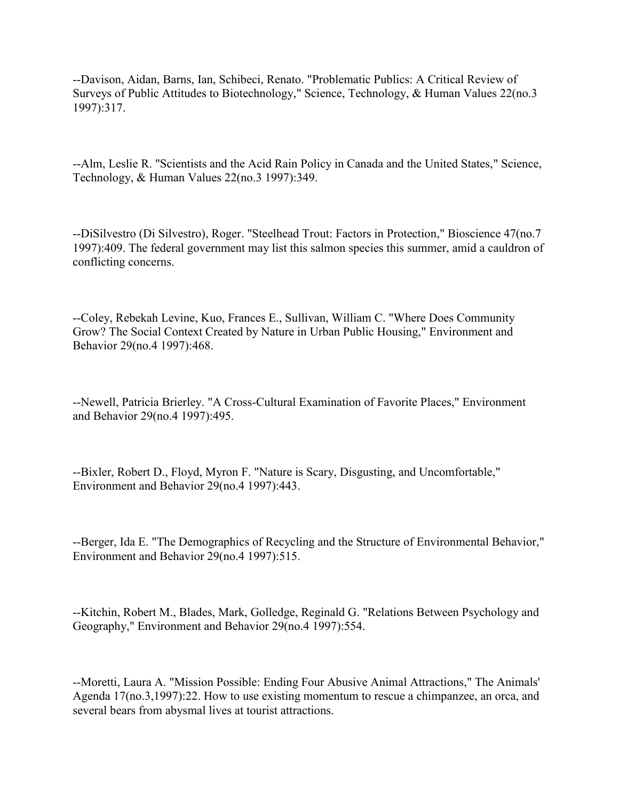--Davison, Aidan, Barns, Ian, Schibeci, Renato. "Problematic Publics: A Critical Review of Surveys of Public Attitudes to Biotechnology," Science, Technology, & Human Values 22(no.3 1997):317.

--Alm, Leslie R. "Scientists and the Acid Rain Policy in Canada and the United States," Science, Technology, & Human Values 22(no.3 1997):349.

--DiSilvestro (Di Silvestro), Roger. "Steelhead Trout: Factors in Protection," Bioscience 47(no.7 1997):409. The federal government may list this salmon species this summer, amid a cauldron of conflicting concerns.

--Coley, Rebekah Levine, Kuo, Frances E., Sullivan, William C. "Where Does Community Grow? The Social Context Created by Nature in Urban Public Housing," Environment and Behavior 29(no.4 1997):468.

--Newell, Patricia Brierley. "A Cross-Cultural Examination of Favorite Places," Environment and Behavior 29(no.4 1997):495.

--Bixler, Robert D., Floyd, Myron F. "Nature is Scary, Disgusting, and Uncomfortable," Environment and Behavior 29(no.4 1997):443.

--Berger, Ida E. "The Demographics of Recycling and the Structure of Environmental Behavior," Environment and Behavior 29(no.4 1997):515.

--Kitchin, Robert M., Blades, Mark, Golledge, Reginald G. "Relations Between Psychology and Geography," Environment and Behavior 29(no.4 1997):554.

--Moretti, Laura A. "Mission Possible: Ending Four Abusive Animal Attractions," The Animals' Agenda 17(no.3,1997):22. How to use existing momentum to rescue a chimpanzee, an orca, and several bears from abysmal lives at tourist attractions.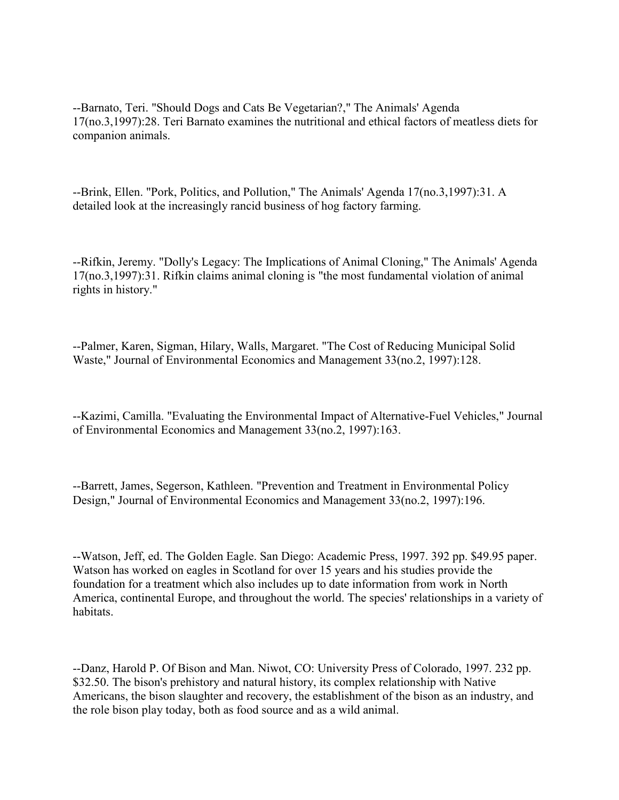--Barnato, Teri. "Should Dogs and Cats Be Vegetarian?," The Animals' Agenda 17(no.3,1997):28. Teri Barnato examines the nutritional and ethical factors of meatless diets for companion animals.

--Brink, Ellen. "Pork, Politics, and Pollution," The Animals' Agenda 17(no.3,1997):31. A detailed look at the increasingly rancid business of hog factory farming.

--Rifkin, Jeremy. "Dolly's Legacy: The Implications of Animal Cloning," The Animals' Agenda 17(no.3,1997):31. Rifkin claims animal cloning is "the most fundamental violation of animal rights in history."

--Palmer, Karen, Sigman, Hilary, Walls, Margaret. "The Cost of Reducing Municipal Solid Waste," Journal of Environmental Economics and Management 33(no.2, 1997):128.

--Kazimi, Camilla. "Evaluating the Environmental Impact of Alternative-Fuel Vehicles," Journal of Environmental Economics and Management 33(no.2, 1997):163.

--Barrett, James, Segerson, Kathleen. "Prevention and Treatment in Environmental Policy Design," Journal of Environmental Economics and Management 33(no.2, 1997):196.

--Watson, Jeff, ed. The Golden Eagle. San Diego: Academic Press, 1997. 392 pp. \$49.95 paper. Watson has worked on eagles in Scotland for over 15 years and his studies provide the foundation for a treatment which also includes up to date information from work in North America, continental Europe, and throughout the world. The species' relationships in a variety of habitats.

--Danz, Harold P. Of Bison and Man. Niwot, CO: University Press of Colorado, 1997. 232 pp. \$32.50. The bison's prehistory and natural history, its complex relationship with Native Americans, the bison slaughter and recovery, the establishment of the bison as an industry, and the role bison play today, both as food source and as a wild animal.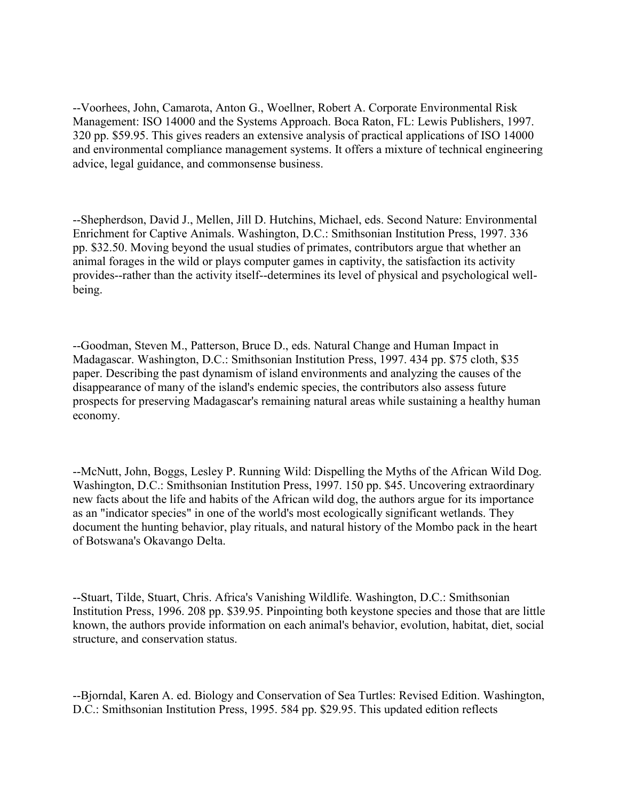--Voorhees, John, Camarota, Anton G., Woellner, Robert A. Corporate Environmental Risk Management: ISO 14000 and the Systems Approach. Boca Raton, FL: Lewis Publishers, 1997. 320 pp. \$59.95. This gives readers an extensive analysis of practical applications of ISO 14000 and environmental compliance management systems. It offers a mixture of technical engineering advice, legal guidance, and commonsense business.

--Shepherdson, David J., Mellen, Jill D. Hutchins, Michael, eds. Second Nature: Environmental Enrichment for Captive Animals. Washington, D.C.: Smithsonian Institution Press, 1997. 336 pp. \$32.50. Moving beyond the usual studies of primates, contributors argue that whether an animal forages in the wild or plays computer games in captivity, the satisfaction its activity provides--rather than the activity itself--determines its level of physical and psychological wellbeing.

--Goodman, Steven M., Patterson, Bruce D., eds. Natural Change and Human Impact in Madagascar. Washington, D.C.: Smithsonian Institution Press, 1997. 434 pp. \$75 cloth, \$35 paper. Describing the past dynamism of island environments and analyzing the causes of the disappearance of many of the island's endemic species, the contributors also assess future prospects for preserving Madagascar's remaining natural areas while sustaining a healthy human economy.

--McNutt, John, Boggs, Lesley P. Running Wild: Dispelling the Myths of the African Wild Dog. Washington, D.C.: Smithsonian Institution Press, 1997. 150 pp. \$45. Uncovering extraordinary new facts about the life and habits of the African wild dog, the authors argue for its importance as an "indicator species" in one of the world's most ecologically significant wetlands. They document the hunting behavior, play rituals, and natural history of the Mombo pack in the heart of Botswana's Okavango Delta.

--Stuart, Tilde, Stuart, Chris. Africa's Vanishing Wildlife. Washington, D.C.: Smithsonian Institution Press, 1996. 208 pp. \$39.95. Pinpointing both keystone species and those that are little known, the authors provide information on each animal's behavior, evolution, habitat, diet, social structure, and conservation status.

--Bjorndal, Karen A. ed. Biology and Conservation of Sea Turtles: Revised Edition. Washington, D.C.: Smithsonian Institution Press, 1995. 584 pp. \$29.95. This updated edition reflects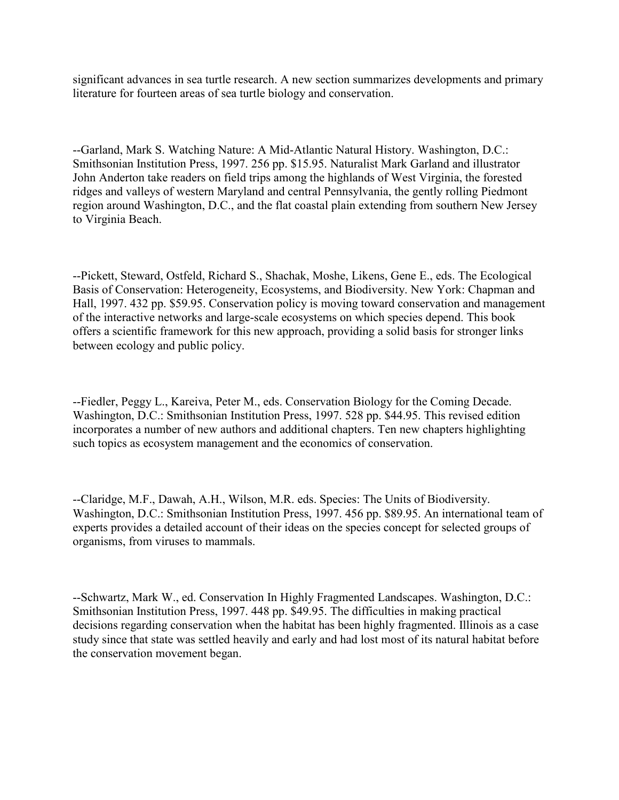significant advances in sea turtle research. A new section summarizes developments and primary literature for fourteen areas of sea turtle biology and conservation.

--Garland, Mark S. Watching Nature: A Mid-Atlantic Natural History. Washington, D.C.: Smithsonian Institution Press, 1997. 256 pp. \$15.95. Naturalist Mark Garland and illustrator John Anderton take readers on field trips among the highlands of West Virginia, the forested ridges and valleys of western Maryland and central Pennsylvania, the gently rolling Piedmont region around Washington, D.C., and the flat coastal plain extending from southern New Jersey to Virginia Beach.

--Pickett, Steward, Ostfeld, Richard S., Shachak, Moshe, Likens, Gene E., eds. The Ecological Basis of Conservation: Heterogeneity, Ecosystems, and Biodiversity. New York: Chapman and Hall, 1997. 432 pp. \$59.95. Conservation policy is moving toward conservation and management of the interactive networks and large-scale ecosystems on which species depend. This book offers a scientific framework for this new approach, providing a solid basis for stronger links between ecology and public policy.

--Fiedler, Peggy L., Kareiva, Peter M., eds. Conservation Biology for the Coming Decade. Washington, D.C.: Smithsonian Institution Press, 1997. 528 pp. \$44.95. This revised edition incorporates a number of new authors and additional chapters. Ten new chapters highlighting such topics as ecosystem management and the economics of conservation.

--Claridge, M.F., Dawah, A.H., Wilson, M.R. eds. Species: The Units of Biodiversity. Washington, D.C.: Smithsonian Institution Press, 1997. 456 pp. \$89.95. An international team of experts provides a detailed account of their ideas on the species concept for selected groups of organisms, from viruses to mammals.

--Schwartz, Mark W., ed. Conservation In Highly Fragmented Landscapes. Washington, D.C.: Smithsonian Institution Press, 1997. 448 pp. \$49.95. The difficulties in making practical decisions regarding conservation when the habitat has been highly fragmented. Illinois as a case study since that state was settled heavily and early and had lost most of its natural habitat before the conservation movement began.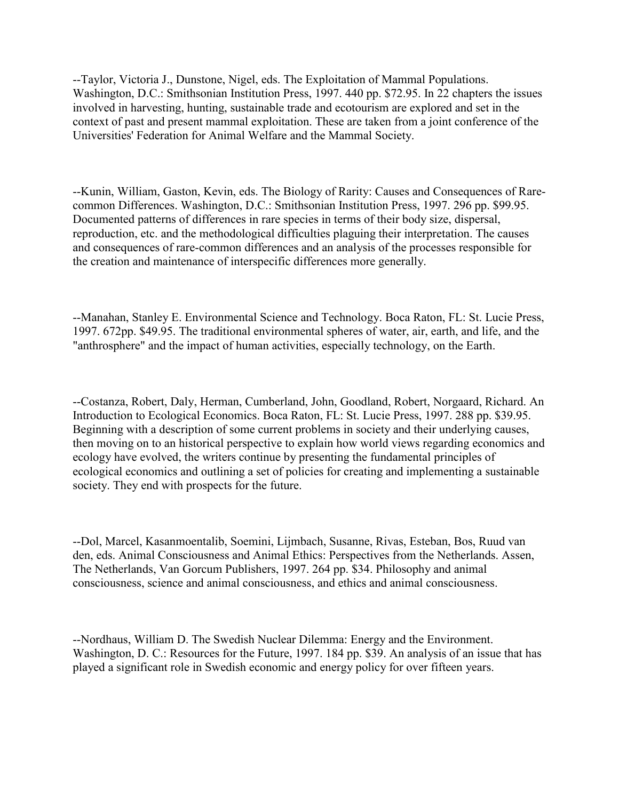--Taylor, Victoria J., Dunstone, Nigel, eds. The Exploitation of Mammal Populations. Washington, D.C.: Smithsonian Institution Press, 1997. 440 pp. \$72.95. In 22 chapters the issues involved in harvesting, hunting, sustainable trade and ecotourism are explored and set in the context of past and present mammal exploitation. These are taken from a joint conference of the Universities' Federation for Animal Welfare and the Mammal Society.

--Kunin, William, Gaston, Kevin, eds. The Biology of Rarity: Causes and Consequences of Rarecommon Differences. Washington, D.C.: Smithsonian Institution Press, 1997. 296 pp. \$99.95. Documented patterns of differences in rare species in terms of their body size, dispersal, reproduction, etc. and the methodological difficulties plaguing their interpretation. The causes and consequences of rare-common differences and an analysis of the processes responsible for the creation and maintenance of interspecific differences more generally.

--Manahan, Stanley E. Environmental Science and Technology. Boca Raton, FL: St. Lucie Press, 1997. 672pp. \$49.95. The traditional environmental spheres of water, air, earth, and life, and the "anthrosphere" and the impact of human activities, especially technology, on the Earth.

--Costanza, Robert, Daly, Herman, Cumberland, John, Goodland, Robert, Norgaard, Richard. An Introduction to Ecological Economics. Boca Raton, FL: St. Lucie Press, 1997. 288 pp. \$39.95. Beginning with a description of some current problems in society and their underlying causes, then moving on to an historical perspective to explain how world views regarding economics and ecology have evolved, the writers continue by presenting the fundamental principles of ecological economics and outlining a set of policies for creating and implementing a sustainable society. They end with prospects for the future.

--Dol, Marcel, Kasanmoentalib, Soemini, Lijmbach, Susanne, Rivas, Esteban, Bos, Ruud van den, eds. Animal Consciousness and Animal Ethics: Perspectives from the Netherlands. Assen, The Netherlands, Van Gorcum Publishers, 1997. 264 pp. \$34. Philosophy and animal consciousness, science and animal consciousness, and ethics and animal consciousness.

--Nordhaus, William D. The Swedish Nuclear Dilemma: Energy and the Environment. Washington, D. C.: Resources for the Future, 1997. 184 pp. \$39. An analysis of an issue that has played a significant role in Swedish economic and energy policy for over fifteen years.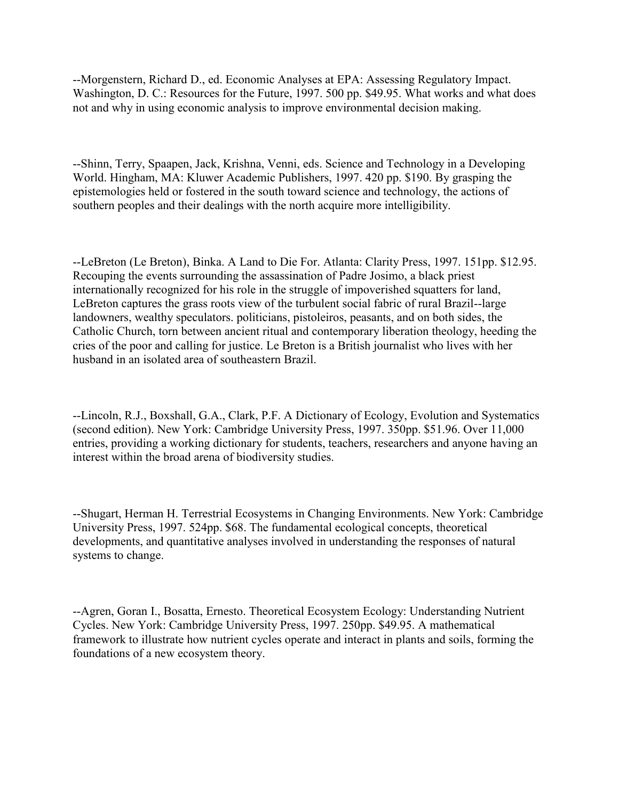--Morgenstern, Richard D., ed. Economic Analyses at EPA: Assessing Regulatory Impact. Washington, D. C.: Resources for the Future, 1997. 500 pp. \$49.95. What works and what does not and why in using economic analysis to improve environmental decision making.

--Shinn, Terry, Spaapen, Jack, Krishna, Venni, eds. Science and Technology in a Developing World. Hingham, MA: Kluwer Academic Publishers, 1997. 420 pp. \$190. By grasping the epistemologies held or fostered in the south toward science and technology, the actions of southern peoples and their dealings with the north acquire more intelligibility.

--LeBreton (Le Breton), Binka. A Land to Die For. Atlanta: Clarity Press, 1997. 151pp. \$12.95. Recouping the events surrounding the assassination of Padre Josimo, a black priest internationally recognized for his role in the struggle of impoverished squatters for land, LeBreton captures the grass roots view of the turbulent social fabric of rural Brazil--large landowners, wealthy speculators. politicians, pistoleiros, peasants, and on both sides, the Catholic Church, torn between ancient ritual and contemporary liberation theology, heeding the cries of the poor and calling for justice. Le Breton is a British journalist who lives with her husband in an isolated area of southeastern Brazil.

--Lincoln, R.J., Boxshall, G.A., Clark, P.F. A Dictionary of Ecology, Evolution and Systematics (second edition). New York: Cambridge University Press, 1997. 350pp. \$51.96. Over 11,000 entries, providing a working dictionary for students, teachers, researchers and anyone having an interest within the broad arena of biodiversity studies.

--Shugart, Herman H. Terrestrial Ecosystems in Changing Environments. New York: Cambridge University Press, 1997. 524pp. \$68. The fundamental ecological concepts, theoretical developments, and quantitative analyses involved in understanding the responses of natural systems to change.

--Agren, Goran I., Bosatta, Ernesto. Theoretical Ecosystem Ecology: Understanding Nutrient Cycles. New York: Cambridge University Press, 1997. 250pp. \$49.95. A mathematical framework to illustrate how nutrient cycles operate and interact in plants and soils, forming the foundations of a new ecosystem theory.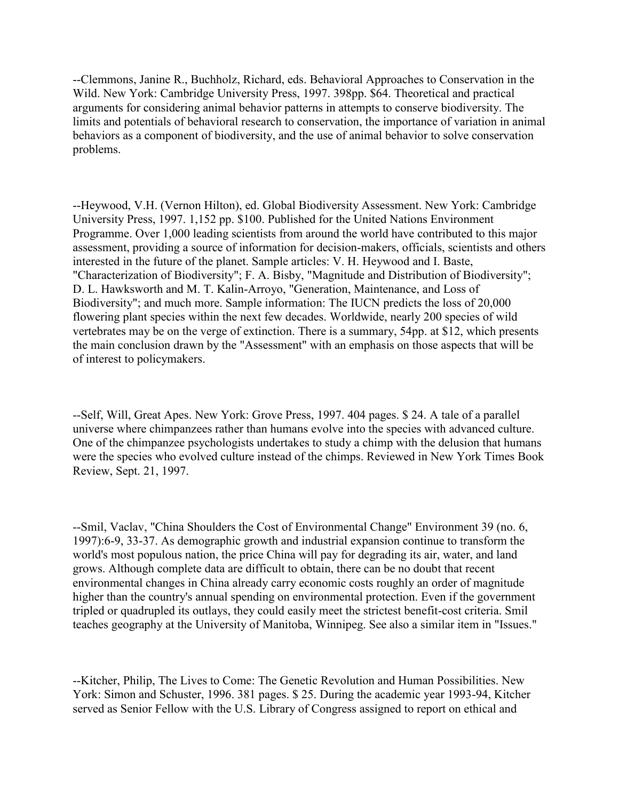--Clemmons, Janine R., Buchholz, Richard, eds. Behavioral Approaches to Conservation in the Wild. New York: Cambridge University Press, 1997. 398pp. \$64. Theoretical and practical arguments for considering animal behavior patterns in attempts to conserve biodiversity. The limits and potentials of behavioral research to conservation, the importance of variation in animal behaviors as a component of biodiversity, and the use of animal behavior to solve conservation problems.

--Heywood, V.H. (Vernon Hilton), ed. Global Biodiversity Assessment. New York: Cambridge University Press, 1997. 1,152 pp. \$100. Published for the United Nations Environment Programme. Over 1,000 leading scientists from around the world have contributed to this major assessment, providing a source of information for decision-makers, officials, scientists and others interested in the future of the planet. Sample articles: V. H. Heywood and I. Baste, "Characterization of Biodiversity"; F. A. Bisby, "Magnitude and Distribution of Biodiversity"; D. L. Hawksworth and M. T. Kalin-Arroyo, "Generation, Maintenance, and Loss of Biodiversity"; and much more. Sample information: The IUCN predicts the loss of 20,000 flowering plant species within the next few decades. Worldwide, nearly 200 species of wild vertebrates may be on the verge of extinction. There is a summary, 54pp. at \$12, which presents the main conclusion drawn by the "Assessment" with an emphasis on those aspects that will be of interest to policymakers.

--Self, Will, Great Apes. New York: Grove Press, 1997. 404 pages. \$ 24. A tale of a parallel universe where chimpanzees rather than humans evolve into the species with advanced culture. One of the chimpanzee psychologists undertakes to study a chimp with the delusion that humans were the species who evolved culture instead of the chimps. Reviewed in New York Times Book Review, Sept. 21, 1997.

--Smil, Vaclav, "China Shoulders the Cost of Environmental Change" Environment 39 (no. 6, 1997):6-9, 33-37. As demographic growth and industrial expansion continue to transform the world's most populous nation, the price China will pay for degrading its air, water, and land grows. Although complete data are difficult to obtain, there can be no doubt that recent environmental changes in China already carry economic costs roughly an order of magnitude higher than the country's annual spending on environmental protection. Even if the government tripled or quadrupled its outlays, they could easily meet the strictest benefit-cost criteria. Smil teaches geography at the University of Manitoba, Winnipeg. See also a similar item in "Issues."

--Kitcher, Philip, The Lives to Come: The Genetic Revolution and Human Possibilities. New York: Simon and Schuster, 1996. 381 pages. \$ 25. During the academic year 1993-94, Kitcher served as Senior Fellow with the U.S. Library of Congress assigned to report on ethical and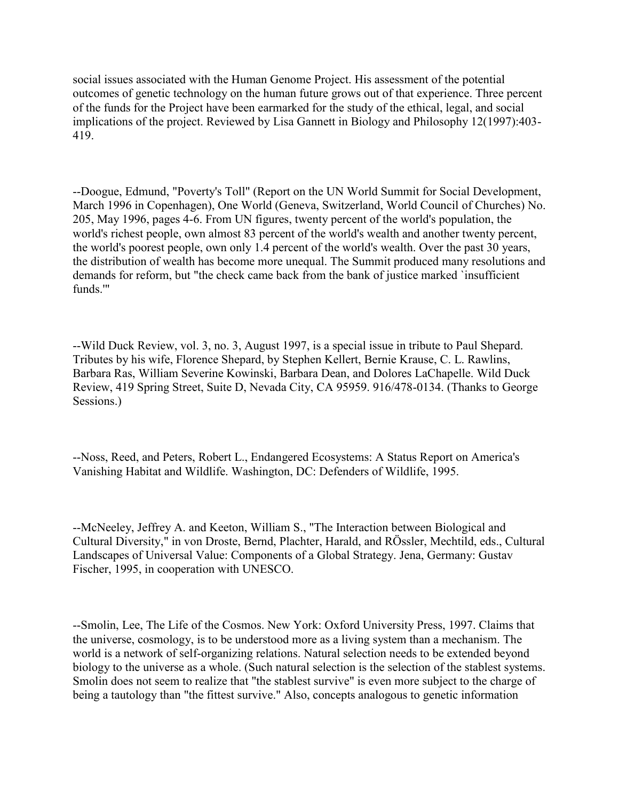social issues associated with the Human Genome Project. His assessment of the potential outcomes of genetic technology on the human future grows out of that experience. Three percent of the funds for the Project have been earmarked for the study of the ethical, legal, and social implications of the project. Reviewed by Lisa Gannett in Biology and Philosophy 12(1997):403- 419.

--Doogue, Edmund, "Poverty's Toll" (Report on the UN World Summit for Social Development, March 1996 in Copenhagen), One World (Geneva, Switzerland, World Council of Churches) No. 205, May 1996, pages 4-6. From UN figures, twenty percent of the world's population, the world's richest people, own almost 83 percent of the world's wealth and another twenty percent, the world's poorest people, own only 1.4 percent of the world's wealth. Over the past 30 years, the distribution of wealth has become more unequal. The Summit produced many resolutions and demands for reform, but "the check came back from the bank of justice marked `insufficient funds.'"

--Wild Duck Review, vol. 3, no. 3, August 1997, is a special issue in tribute to Paul Shepard. Tributes by his wife, Florence Shepard, by Stephen Kellert, Bernie Krause, C. L. Rawlins, Barbara Ras, William Severine Kowinski, Barbara Dean, and Dolores LaChapelle. Wild Duck Review, 419 Spring Street, Suite D, Nevada City, CA 95959. 916/478-0134. (Thanks to George Sessions.)

--Noss, Reed, and Peters, Robert L., Endangered Ecosystems: A Status Report on America's Vanishing Habitat and Wildlife. Washington, DC: Defenders of Wildlife, 1995.

--McNeeley, Jeffrey A. and Keeton, William S., "The Interaction between Biological and Cultural Diversity," in von Droste, Bernd, Plachter, Harald, and RÖssler, Mechtild, eds., Cultural Landscapes of Universal Value: Components of a Global Strategy. Jena, Germany: Gustav Fischer, 1995, in cooperation with UNESCO.

--Smolin, Lee, The Life of the Cosmos. New York: Oxford University Press, 1997. Claims that the universe, cosmology, is to be understood more as a living system than a mechanism. The world is a network of self-organizing relations. Natural selection needs to be extended beyond biology to the universe as a whole. (Such natural selection is the selection of the stablest systems. Smolin does not seem to realize that "the stablest survive" is even more subject to the charge of being a tautology than "the fittest survive." Also, concepts analogous to genetic information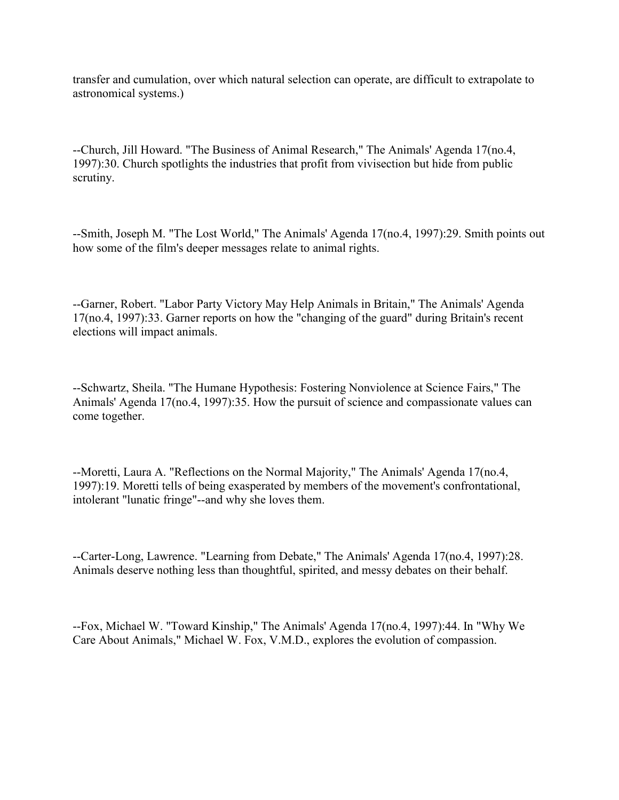transfer and cumulation, over which natural selection can operate, are difficult to extrapolate to astronomical systems.)

--Church, Jill Howard. "The Business of Animal Research," The Animals' Agenda 17(no.4, 1997):30. Church spotlights the industries that profit from vivisection but hide from public scrutiny.

--Smith, Joseph M. "The Lost World," The Animals' Agenda 17(no.4, 1997):29. Smith points out how some of the film's deeper messages relate to animal rights.

--Garner, Robert. "Labor Party Victory May Help Animals in Britain," The Animals' Agenda 17(no.4, 1997):33. Garner reports on how the "changing of the guard" during Britain's recent elections will impact animals.

--Schwartz, Sheila. "The Humane Hypothesis: Fostering Nonviolence at Science Fairs," The Animals' Agenda 17(no.4, 1997):35. How the pursuit of science and compassionate values can come together.

--Moretti, Laura A. "Reflections on the Normal Majority," The Animals' Agenda 17(no.4, 1997):19. Moretti tells of being exasperated by members of the movement's confrontational, intolerant "lunatic fringe"--and why she loves them.

--Carter-Long, Lawrence. "Learning from Debate," The Animals' Agenda 17(no.4, 1997):28. Animals deserve nothing less than thoughtful, spirited, and messy debates on their behalf.

--Fox, Michael W. "Toward Kinship," The Animals' Agenda 17(no.4, 1997):44. In "Why We Care About Animals," Michael W. Fox, V.M.D., explores the evolution of compassion.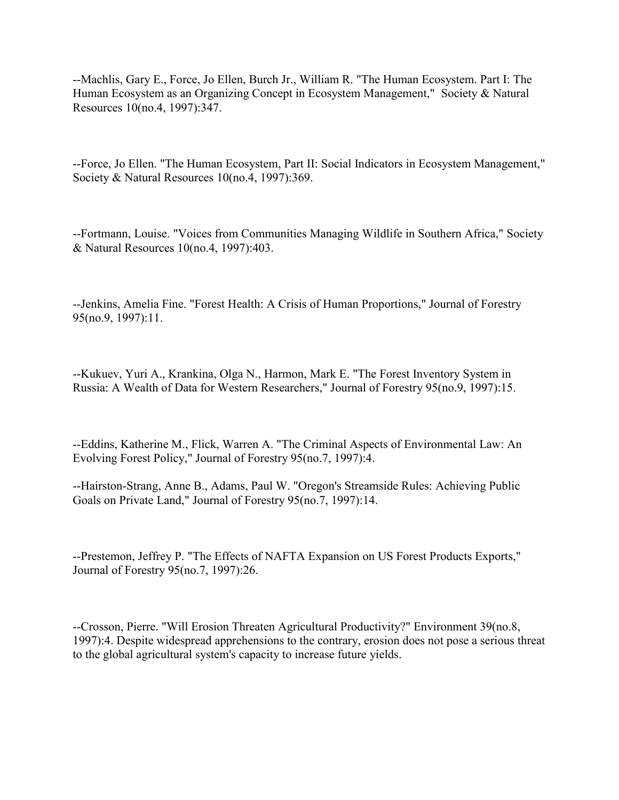--Machlis, Gary E., Force, Jo Ellen, Burch Jr., William R. "The Human Ecosystem. Part I: The Human Ecosystem as an Organizing Concept in Ecosystem Management," Society & Natural Resources 10(no.4, 1997):347.

--Force, Jo Ellen. "The Human Ecosystem, Part II: Social Indicators in Ecosystem Management," Society & Natural Resources 10(no.4, 1997):369.

--Fortmann, Louise. "Voices from Communities Managing Wildlife in Southern Africa," Society & Natural Resources 10(no.4, 1997):403.

--Jenkins, Amelia Fine. "Forest Health: A Crisis of Human Proportions," Journal of Forestry 95(no.9, 1997):11.

--Kukuev, Yuri A., Krankina, Olga N., Harmon, Mark E. "The Forest Inventory System in Russia: A Wealth of Data for Western Researchers," Journal of Forestry 95(no.9, 1997):15.

--Eddins, Katherine M., Flick, Warren A. "The Criminal Aspects of Environmental Law: An Evolving Forest Policy," Journal of Forestry 95(no.7, 1997):4.

--Hairston-Strang, Anne B., Adams, Paul W. "Oregon's Streamside Rules: Achieving Public Goals on Private Land," Journal of Forestry 95(no.7, 1997):14.

--Prestemon, Jeffrey P. "The Effects of NAFTA Expansion on US Forest Products Exports," Journal of Forestry 95(no.7, 1997):26.

--Crosson, Pierre. "Will Erosion Threaten Agricultural Productivity?" Environment 39(no.8, 1997):4. Despite widespread apprehensions to the contrary, erosion does not pose a serious threat to the global agricultural system's capacity to increase future yields.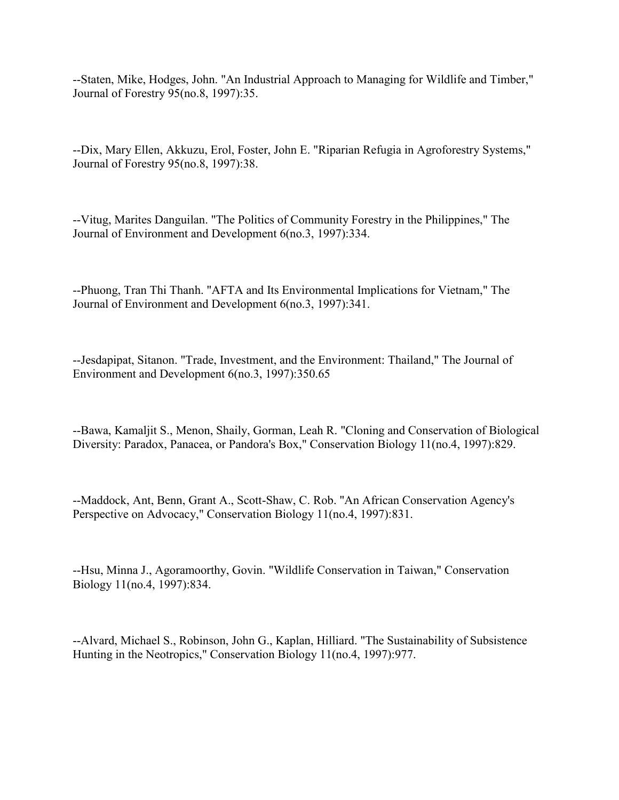--Staten, Mike, Hodges, John. "An Industrial Approach to Managing for Wildlife and Timber," Journal of Forestry 95(no.8, 1997):35.

--Dix, Mary Ellen, Akkuzu, Erol, Foster, John E. "Riparian Refugia in Agroforestry Systems," Journal of Forestry 95(no.8, 1997):38.

--Vitug, Marites Danguilan. "The Politics of Community Forestry in the Philippines," The Journal of Environment and Development 6(no.3, 1997):334.

--Phuong, Tran Thi Thanh. "AFTA and Its Environmental Implications for Vietnam," The Journal of Environment and Development 6(no.3, 1997):341.

--Jesdapipat, Sitanon. "Trade, Investment, and the Environment: Thailand," The Journal of Environment and Development 6(no.3, 1997):350.65

--Bawa, Kamaljit S., Menon, Shaily, Gorman, Leah R. "Cloning and Conservation of Biological Diversity: Paradox, Panacea, or Pandora's Box," Conservation Biology 11(no.4, 1997):829.

--Maddock, Ant, Benn, Grant A., Scott-Shaw, C. Rob. "An African Conservation Agency's Perspective on Advocacy," Conservation Biology 11(no.4, 1997):831.

--Hsu, Minna J., Agoramoorthy, Govin. "Wildlife Conservation in Taiwan," Conservation Biology 11(no.4, 1997):834.

--Alvard, Michael S., Robinson, John G., Kaplan, Hilliard. "The Sustainability of Subsistence Hunting in the Neotropics," Conservation Biology 11(no.4, 1997):977.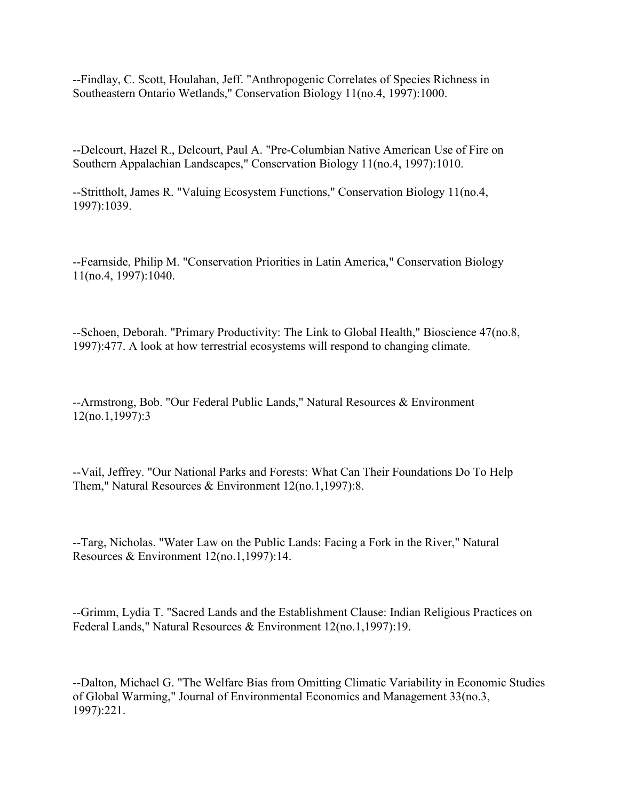--Findlay, C. Scott, Houlahan, Jeff. "Anthropogenic Correlates of Species Richness in Southeastern Ontario Wetlands," Conservation Biology 11(no.4, 1997):1000.

--Delcourt, Hazel R., Delcourt, Paul A. "Pre-Columbian Native American Use of Fire on Southern Appalachian Landscapes," Conservation Biology 11(no.4, 1997):1010.

--Strittholt, James R. "Valuing Ecosystem Functions," Conservation Biology 11(no.4, 1997):1039.

--Fearnside, Philip M. "Conservation Priorities in Latin America," Conservation Biology 11(no.4, 1997):1040.

--Schoen, Deborah. "Primary Productivity: The Link to Global Health," Bioscience 47(no.8, 1997):477. A look at how terrestrial ecosystems will respond to changing climate.

--Armstrong, Bob. "Our Federal Public Lands," Natural Resources & Environment 12(no.1,1997):3

--Vail, Jeffrey. "Our National Parks and Forests: What Can Their Foundations Do To Help Them," Natural Resources & Environment 12(no.1,1997):8.

--Targ, Nicholas. "Water Law on the Public Lands: Facing a Fork in the River," Natural Resources & Environment 12(no.1,1997):14.

--Grimm, Lydia T. "Sacred Lands and the Establishment Clause: Indian Religious Practices on Federal Lands," Natural Resources & Environment 12(no.1,1997):19.

--Dalton, Michael G. "The Welfare Bias from Omitting Climatic Variability in Economic Studies of Global Warming," Journal of Environmental Economics and Management 33(no.3, 1997):221.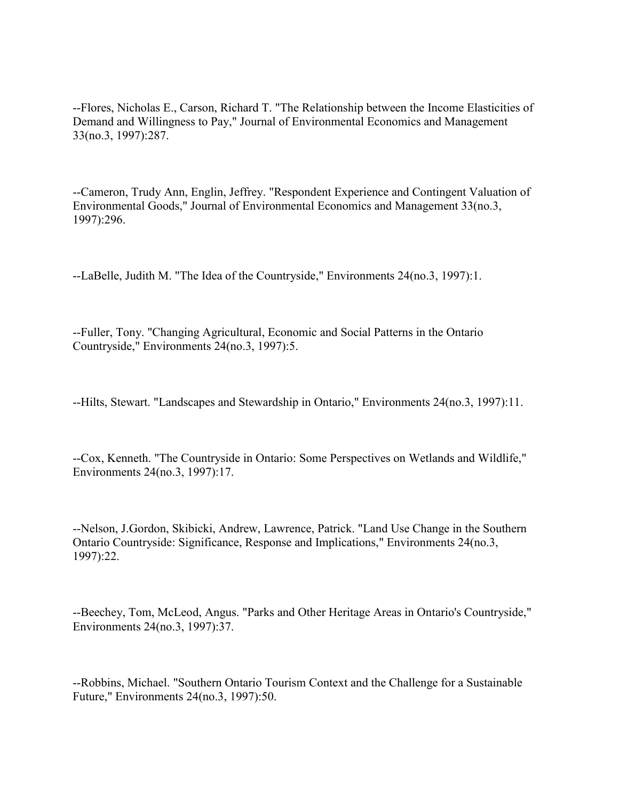--Flores, Nicholas E., Carson, Richard T. "The Relationship between the Income Elasticities of Demand and Willingness to Pay," Journal of Environmental Economics and Management 33(no.3, 1997):287.

--Cameron, Trudy Ann, Englin, Jeffrey. "Respondent Experience and Contingent Valuation of Environmental Goods," Journal of Environmental Economics and Management 33(no.3, 1997):296.

--LaBelle, Judith M. "The Idea of the Countryside," Environments 24(no.3, 1997):1.

--Fuller, Tony. "Changing Agricultural, Economic and Social Patterns in the Ontario Countryside," Environments 24(no.3, 1997):5.

--Hilts, Stewart. "Landscapes and Stewardship in Ontario," Environments 24(no.3, 1997):11.

--Cox, Kenneth. "The Countryside in Ontario: Some Perspectives on Wetlands and Wildlife," Environments 24(no.3, 1997):17.

--Nelson, J.Gordon, Skibicki, Andrew, Lawrence, Patrick. "Land Use Change in the Southern Ontario Countryside: Significance, Response and Implications," Environments 24(no.3, 1997):22.

--Beechey, Tom, McLeod, Angus. "Parks and Other Heritage Areas in Ontario's Countryside," Environments 24(no.3, 1997):37.

--Robbins, Michael. "Southern Ontario Tourism Context and the Challenge for a Sustainable Future," Environments 24(no.3, 1997):50.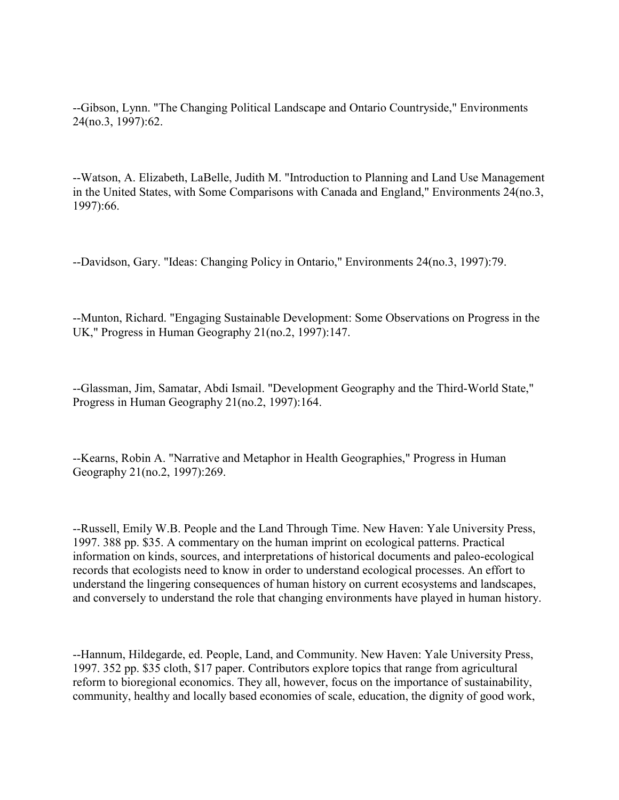--Gibson, Lynn. "The Changing Political Landscape and Ontario Countryside," Environments 24(no.3, 1997):62.

--Watson, A. Elizabeth, LaBelle, Judith M. "Introduction to Planning and Land Use Management in the United States, with Some Comparisons with Canada and England," Environments 24(no.3, 1997):66.

--Davidson, Gary. "Ideas: Changing Policy in Ontario," Environments 24(no.3, 1997):79.

--Munton, Richard. "Engaging Sustainable Development: Some Observations on Progress in the UK," Progress in Human Geography 21(no.2, 1997):147.

--Glassman, Jim, Samatar, Abdi Ismail. "Development Geography and the Third-World State," Progress in Human Geography 21(no.2, 1997):164.

--Kearns, Robin A. "Narrative and Metaphor in Health Geographies," Progress in Human Geography 21(no.2, 1997):269.

--Russell, Emily W.B. People and the Land Through Time. New Haven: Yale University Press, 1997. 388 pp. \$35. A commentary on the human imprint on ecological patterns. Practical information on kinds, sources, and interpretations of historical documents and paleo-ecological records that ecologists need to know in order to understand ecological processes. An effort to understand the lingering consequences of human history on current ecosystems and landscapes, and conversely to understand the role that changing environments have played in human history.

--Hannum, Hildegarde, ed. People, Land, and Community. New Haven: Yale University Press, 1997. 352 pp. \$35 cloth, \$17 paper. Contributors explore topics that range from agricultural reform to bioregional economics. They all, however, focus on the importance of sustainability, community, healthy and locally based economies of scale, education, the dignity of good work,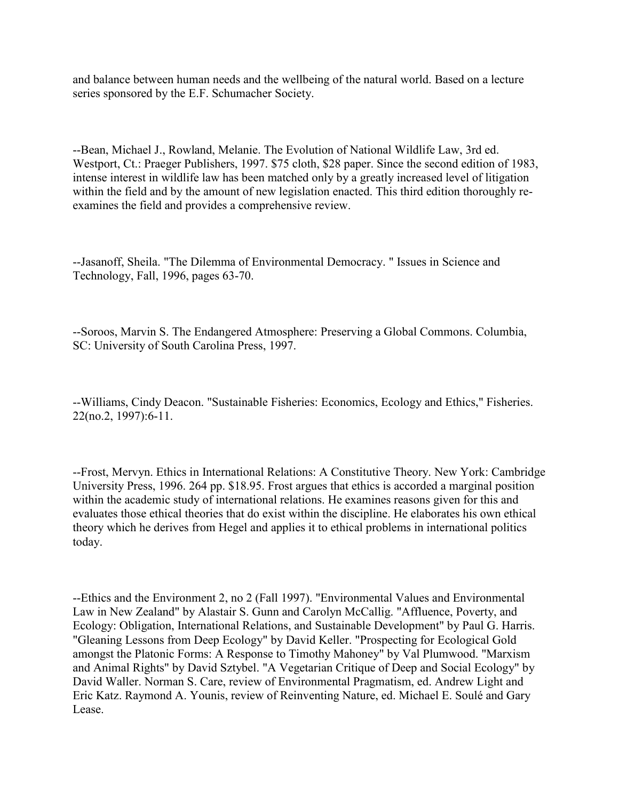and balance between human needs and the wellbeing of the natural world. Based on a lecture series sponsored by the E.F. Schumacher Society.

--Bean, Michael J., Rowland, Melanie. The Evolution of National Wildlife Law, 3rd ed. Westport, Ct.: Praeger Publishers, 1997. \$75 cloth, \$28 paper. Since the second edition of 1983, intense interest in wildlife law has been matched only by a greatly increased level of litigation within the field and by the amount of new legislation enacted. This third edition thoroughly reexamines the field and provides a comprehensive review.

--Jasanoff, Sheila. "The Dilemma of Environmental Democracy. " Issues in Science and Technology, Fall, 1996, pages 63-70.

--Soroos, Marvin S. The Endangered Atmosphere: Preserving a Global Commons. Columbia, SC: University of South Carolina Press, 1997.

--Williams, Cindy Deacon. "Sustainable Fisheries: Economics, Ecology and Ethics," Fisheries. 22(no.2, 1997):6-11.

--Frost, Mervyn. Ethics in International Relations: A Constitutive Theory. New York: Cambridge University Press, 1996. 264 pp. \$18.95. Frost argues that ethics is accorded a marginal position within the academic study of international relations. He examines reasons given for this and evaluates those ethical theories that do exist within the discipline. He elaborates his own ethical theory which he derives from Hegel and applies it to ethical problems in international politics today.

--Ethics and the Environment 2, no 2 (Fall 1997). "Environmental Values and Environmental Law in New Zealand" by Alastair S. Gunn and Carolyn McCallig. "Affluence, Poverty, and Ecology: Obligation, International Relations, and Sustainable Development" by Paul G. Harris. "Gleaning Lessons from Deep Ecology" by David Keller. "Prospecting for Ecological Gold amongst the Platonic Forms: A Response to Timothy Mahoney" by Val Plumwood. "Marxism and Animal Rights" by David Sztybel. "A Vegetarian Critique of Deep and Social Ecology" by David Waller. Norman S. Care, review of Environmental Pragmatism, ed. Andrew Light and Eric Katz. Raymond A. Younis, review of Reinventing Nature, ed. Michael E. Soulé and Gary Lease.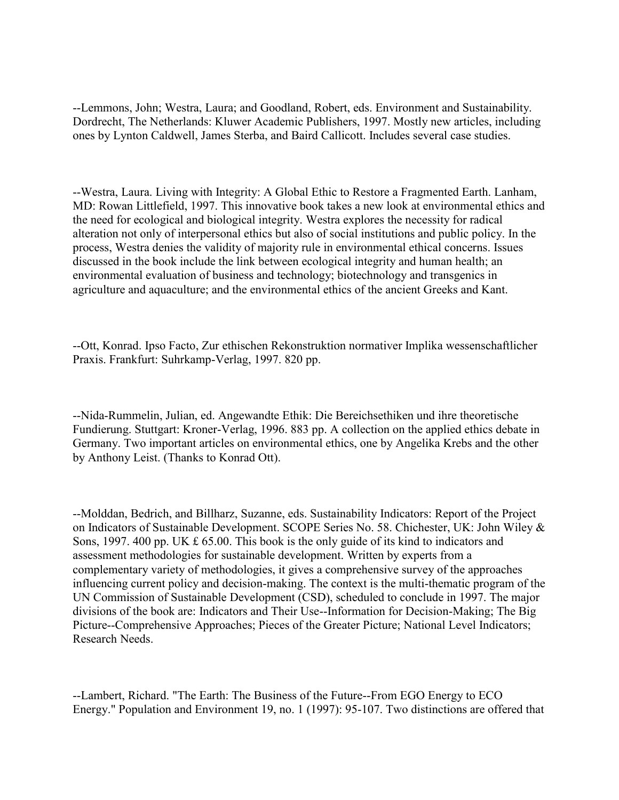--Lemmons, John; Westra, Laura; and Goodland, Robert, eds. Environment and Sustainability. Dordrecht, The Netherlands: Kluwer Academic Publishers, 1997. Mostly new articles, including ones by Lynton Caldwell, James Sterba, and Baird Callicott. Includes several case studies.

--Westra, Laura. Living with Integrity: A Global Ethic to Restore a Fragmented Earth. Lanham, MD: Rowan Littlefield, 1997. This innovative book takes a new look at environmental ethics and the need for ecological and biological integrity. Westra explores the necessity for radical alteration not only of interpersonal ethics but also of social institutions and public policy. In the process, Westra denies the validity of majority rule in environmental ethical concerns. Issues discussed in the book include the link between ecological integrity and human health; an environmental evaluation of business and technology; biotechnology and transgenics in agriculture and aquaculture; and the environmental ethics of the ancient Greeks and Kant.

--Ott, Konrad. Ipso Facto, Zur ethischen Rekonstruktion normativer Implika wessenschaftlicher Praxis. Frankfurt: Suhrkamp-Verlag, 1997. 820 pp.

--Nida-Rummelin, Julian, ed. Angewandte Ethik: Die Bereichsethiken und ihre theoretische Fundierung. Stuttgart: Kroner-Verlag, 1996. 883 pp. A collection on the applied ethics debate in Germany. Two important articles on environmental ethics, one by Angelika Krebs and the other by Anthony Leist. (Thanks to Konrad Ott).

--Molddan, Bedrich, and Billharz, Suzanne, eds. Sustainability Indicators: Report of the Project on Indicators of Sustainable Development. SCOPE Series No. 58. Chichester, UK: John Wiley & Sons, 1997. 400 pp. UK £ 65.00. This book is the only guide of its kind to indicators and assessment methodologies for sustainable development. Written by experts from a complementary variety of methodologies, it gives a comprehensive survey of the approaches influencing current policy and decision-making. The context is the multi-thematic program of the UN Commission of Sustainable Development (CSD), scheduled to conclude in 1997. The major divisions of the book are: Indicators and Their Use--Information for Decision-Making; The Big Picture--Comprehensive Approaches; Pieces of the Greater Picture; National Level Indicators; Research Needs.

<sup>--</sup>Lambert, Richard. "The Earth: The Business of the Future--From EGO Energy to ECO Energy." Population and Environment 19, no. 1 (1997): 95-107. Two distinctions are offered that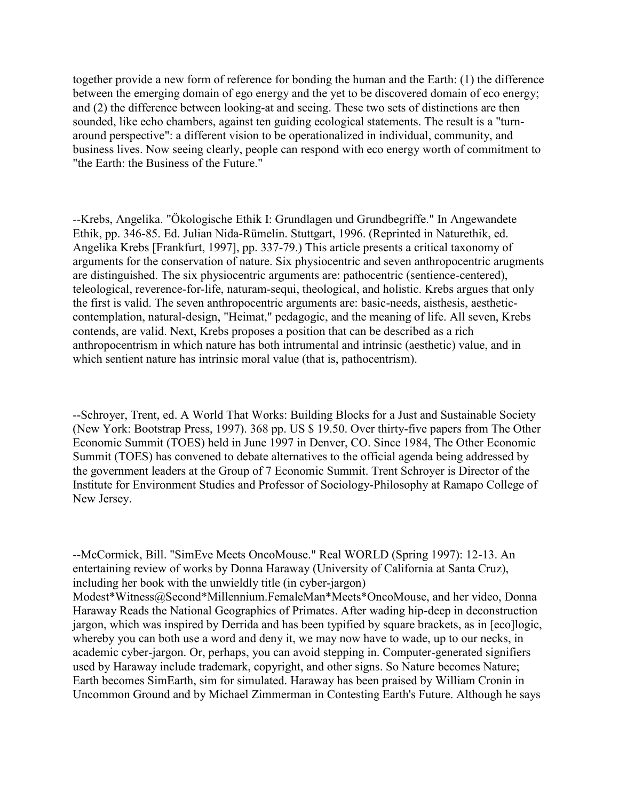together provide a new form of reference for bonding the human and the Earth: (1) the difference between the emerging domain of ego energy and the yet to be discovered domain of eco energy; and (2) the difference between looking-at and seeing. These two sets of distinctions are then sounded, like echo chambers, against ten guiding ecological statements. The result is a "turnaround perspective": a different vision to be operationalized in individual, community, and business lives. Now seeing clearly, people can respond with eco energy worth of commitment to "the Earth: the Business of the Future."

--Krebs, Angelika. "Ökologische Ethik I: Grundlagen und Grundbegriffe." In Angewandete Ethik, pp. 346-85. Ed. Julian Nida-Rümelin. Stuttgart, 1996. (Reprinted in Naturethik, ed. Angelika Krebs [Frankfurt, 1997], pp. 337-79.) This article presents a critical taxonomy of arguments for the conservation of nature. Six physiocentric and seven anthropocentric arugments are distinguished. The six physiocentric arguments are: pathocentric (sentience-centered), teleological, reverence-for-life, naturam-sequi, theological, and holistic. Krebs argues that only the first is valid. The seven anthropocentric arguments are: basic-needs, aisthesis, aestheticcontemplation, natural-design, "Heimat," pedagogic, and the meaning of life. All seven, Krebs contends, are valid. Next, Krebs proposes a position that can be described as a rich anthropocentrism in which nature has both intrumental and intrinsic (aesthetic) value, and in which sentient nature has intrinsic moral value (that is, pathocentrism).

--Schroyer, Trent, ed. A World That Works: Building Blocks for a Just and Sustainable Society (New York: Bootstrap Press, 1997). 368 pp. US \$ 19.50. Over thirty-five papers from The Other Economic Summit (TOES) held in June 1997 in Denver, CO. Since 1984, The Other Economic Summit (TOES) has convened to debate alternatives to the official agenda being addressed by the government leaders at the Group of 7 Economic Summit. Trent Schroyer is Director of the Institute for Environment Studies and Professor of Sociology-Philosophy at Ramapo College of New Jersey.

--McCormick, Bill. "SimEve Meets OncoMouse." Real WORLD (Spring 1997): 12-13. An entertaining review of works by Donna Haraway (University of California at Santa Cruz), including her book with the unwieldly title (in cyber-jargon) Modest\*Witness@Second\*Millennium.FemaleMan\*Meets\*OncoMouse, and her video, Donna Haraway Reads the National Geographics of Primates. After wading hip-deep in deconstruction jargon, which was inspired by Derrida and has been typified by square brackets, as in [eco]logic, whereby you can both use a word and deny it, we may now have to wade, up to our necks, in academic cyber-jargon. Or, perhaps, you can avoid stepping in. Computer-generated signifiers used by Haraway include trademark, copyright, and other signs. So Nature becomes Nature; Earth becomes SimEarth, sim for simulated. Haraway has been praised by William Cronin in Uncommon Ground and by Michael Zimmerman in Contesting Earth's Future. Although he says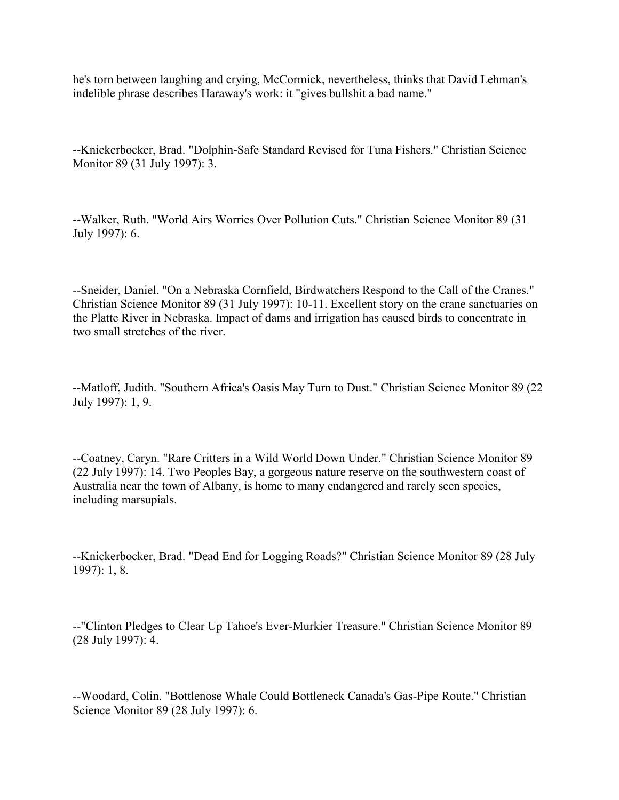he's torn between laughing and crying, McCormick, nevertheless, thinks that David Lehman's indelible phrase describes Haraway's work: it "gives bullshit a bad name."

--Knickerbocker, Brad. "Dolphin-Safe Standard Revised for Tuna Fishers." Christian Science Monitor 89 (31 July 1997): 3.

--Walker, Ruth. "World Airs Worries Over Pollution Cuts." Christian Science Monitor 89 (31 July 1997): 6.

--Sneider, Daniel. "On a Nebraska Cornfield, Birdwatchers Respond to the Call of the Cranes." Christian Science Monitor 89 (31 July 1997): 10-11. Excellent story on the crane sanctuaries on the Platte River in Nebraska. Impact of dams and irrigation has caused birds to concentrate in two small stretches of the river.

--Matloff, Judith. "Southern Africa's Oasis May Turn to Dust." Christian Science Monitor 89 (22 July 1997): 1, 9.

--Coatney, Caryn. "Rare Critters in a Wild World Down Under." Christian Science Monitor 89 (22 July 1997): 14. Two Peoples Bay, a gorgeous nature reserve on the southwestern coast of Australia near the town of Albany, is home to many endangered and rarely seen species, including marsupials.

--Knickerbocker, Brad. "Dead End for Logging Roads?" Christian Science Monitor 89 (28 July 1997): 1, 8.

--"Clinton Pledges to Clear Up Tahoe's Ever-Murkier Treasure." Christian Science Monitor 89 (28 July 1997): 4.

--Woodard, Colin. "Bottlenose Whale Could Bottleneck Canada's Gas-Pipe Route." Christian Science Monitor 89 (28 July 1997): 6.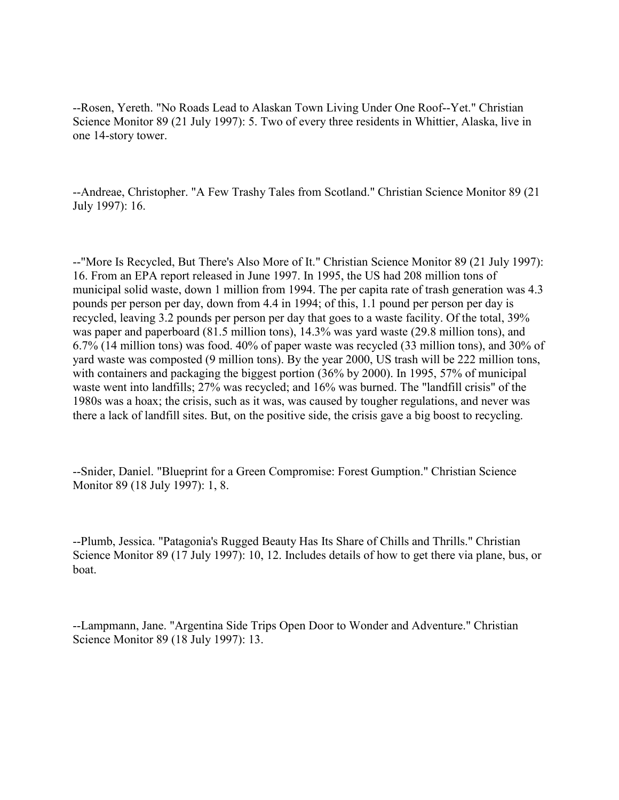--Rosen, Yereth. "No Roads Lead to Alaskan Town Living Under One Roof--Yet." Christian Science Monitor 89 (21 July 1997): 5. Two of every three residents in Whittier, Alaska, live in one 14-story tower.

--Andreae, Christopher. "A Few Trashy Tales from Scotland." Christian Science Monitor 89 (21 July 1997): 16.

--"More Is Recycled, But There's Also More of It." Christian Science Monitor 89 (21 July 1997): 16. From an EPA report released in June 1997. In 1995, the US had 208 million tons of municipal solid waste, down 1 million from 1994. The per capita rate of trash generation was 4.3 pounds per person per day, down from 4.4 in 1994; of this, 1.1 pound per person per day is recycled, leaving 3.2 pounds per person per day that goes to a waste facility. Of the total, 39% was paper and paperboard (81.5 million tons), 14.3% was yard waste (29.8 million tons), and 6.7% (14 million tons) was food. 40% of paper waste was recycled (33 million tons), and 30% of yard waste was composted (9 million tons). By the year 2000, US trash will be 222 million tons, with containers and packaging the biggest portion (36% by 2000). In 1995, 57% of municipal waste went into landfills; 27% was recycled; and 16% was burned. The "landfill crisis" of the 1980s was a hoax; the crisis, such as it was, was caused by tougher regulations, and never was there a lack of landfill sites. But, on the positive side, the crisis gave a big boost to recycling.

--Snider, Daniel. "Blueprint for a Green Compromise: Forest Gumption." Christian Science Monitor 89 (18 July 1997): 1, 8.

--Plumb, Jessica. "Patagonia's Rugged Beauty Has Its Share of Chills and Thrills." Christian Science Monitor 89 (17 July 1997): 10, 12. Includes details of how to get there via plane, bus, or boat.

--Lampmann, Jane. "Argentina Side Trips Open Door to Wonder and Adventure." Christian Science Monitor 89 (18 July 1997): 13.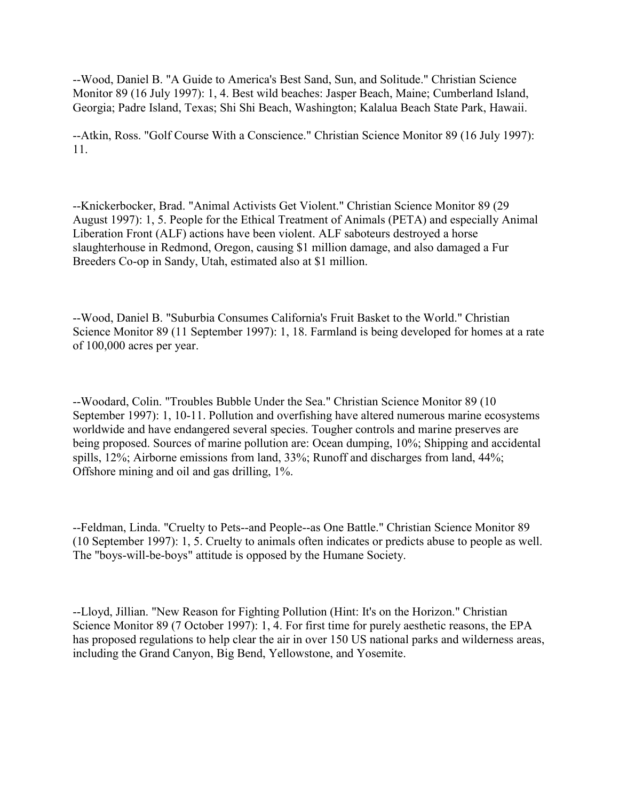--Wood, Daniel B. "A Guide to America's Best Sand, Sun, and Solitude." Christian Science Monitor 89 (16 July 1997): 1, 4. Best wild beaches: Jasper Beach, Maine; Cumberland Island, Georgia; Padre Island, Texas; Shi Shi Beach, Washington; Kalalua Beach State Park, Hawaii.

--Atkin, Ross. "Golf Course With a Conscience." Christian Science Monitor 89 (16 July 1997): 11.

--Knickerbocker, Brad. "Animal Activists Get Violent." Christian Science Monitor 89 (29 August 1997): 1, 5. People for the Ethical Treatment of Animals (PETA) and especially Animal Liberation Front (ALF) actions have been violent. ALF saboteurs destroyed a horse slaughterhouse in Redmond, Oregon, causing \$1 million damage, and also damaged a Fur Breeders Co-op in Sandy, Utah, estimated also at \$1 million.

--Wood, Daniel B. "Suburbia Consumes California's Fruit Basket to the World." Christian Science Monitor 89 (11 September 1997): 1, 18. Farmland is being developed for homes at a rate of 100,000 acres per year.

--Woodard, Colin. "Troubles Bubble Under the Sea." Christian Science Monitor 89 (10 September 1997): 1, 10-11. Pollution and overfishing have altered numerous marine ecosystems worldwide and have endangered several species. Tougher controls and marine preserves are being proposed. Sources of marine pollution are: Ocean dumping, 10%; Shipping and accidental spills, 12%; Airborne emissions from land, 33%; Runoff and discharges from land, 44%; Offshore mining and oil and gas drilling, 1%.

--Feldman, Linda. "Cruelty to Pets--and People--as One Battle." Christian Science Monitor 89 (10 September 1997): 1, 5. Cruelty to animals often indicates or predicts abuse to people as well. The "boys-will-be-boys" attitude is opposed by the Humane Society.

--Lloyd, Jillian. "New Reason for Fighting Pollution (Hint: It's on the Horizon." Christian Science Monitor 89 (7 October 1997): 1, 4. For first time for purely aesthetic reasons, the EPA has proposed regulations to help clear the air in over 150 US national parks and wilderness areas, including the Grand Canyon, Big Bend, Yellowstone, and Yosemite.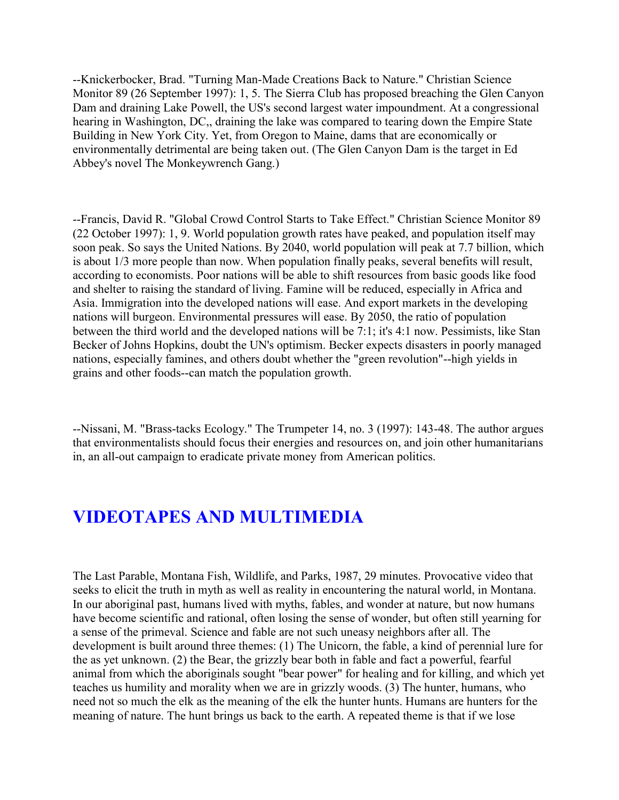--Knickerbocker, Brad. "Turning Man-Made Creations Back to Nature." Christian Science Monitor 89 (26 September 1997): 1, 5. The Sierra Club has proposed breaching the Glen Canyon Dam and draining Lake Powell, the US's second largest water impoundment. At a congressional hearing in Washington, DC,, draining the lake was compared to tearing down the Empire State Building in New York City. Yet, from Oregon to Maine, dams that are economically or environmentally detrimental are being taken out. (The Glen Canyon Dam is the target in Ed Abbey's novel The Monkeywrench Gang.)

--Francis, David R. "Global Crowd Control Starts to Take Effect." Christian Science Monitor 89 (22 October 1997): 1, 9. World population growth rates have peaked, and population itself may soon peak. So says the United Nations. By 2040, world population will peak at 7.7 billion, which is about 1/3 more people than now. When population finally peaks, several benefits will result, according to economists. Poor nations will be able to shift resources from basic goods like food and shelter to raising the standard of living. Famine will be reduced, especially in Africa and Asia. Immigration into the developed nations will ease. And export markets in the developing nations will burgeon. Environmental pressures will ease. By 2050, the ratio of population between the third world and the developed nations will be 7:1; it's 4:1 now. Pessimists, like Stan Becker of Johns Hopkins, doubt the UN's optimism. Becker expects disasters in poorly managed nations, especially famines, and others doubt whether the "green revolution"--high yields in grains and other foods--can match the population growth.

--Nissani, M. "Brass-tacks Ecology." The Trumpeter 14, no. 3 (1997): 143-48. The author argues that environmentalists should focus their energies and resources on, and join other humanitarians in, an all-out campaign to eradicate private money from American politics.

## **VIDEOTAPES AND MULTIMEDIA**

The Last Parable, Montana Fish, Wildlife, and Parks, 1987, 29 minutes. Provocative video that seeks to elicit the truth in myth as well as reality in encountering the natural world, in Montana. In our aboriginal past, humans lived with myths, fables, and wonder at nature, but now humans have become scientific and rational, often losing the sense of wonder, but often still yearning for a sense of the primeval. Science and fable are not such uneasy neighbors after all. The development is built around three themes: (1) The Unicorn, the fable, a kind of perennial lure for the as yet unknown. (2) the Bear, the grizzly bear both in fable and fact a powerful, fearful animal from which the aboriginals sought "bear power" for healing and for killing, and which yet teaches us humility and morality when we are in grizzly woods. (3) The hunter, humans, who need not so much the elk as the meaning of the elk the hunter hunts. Humans are hunters for the meaning of nature. The hunt brings us back to the earth. A repeated theme is that if we lose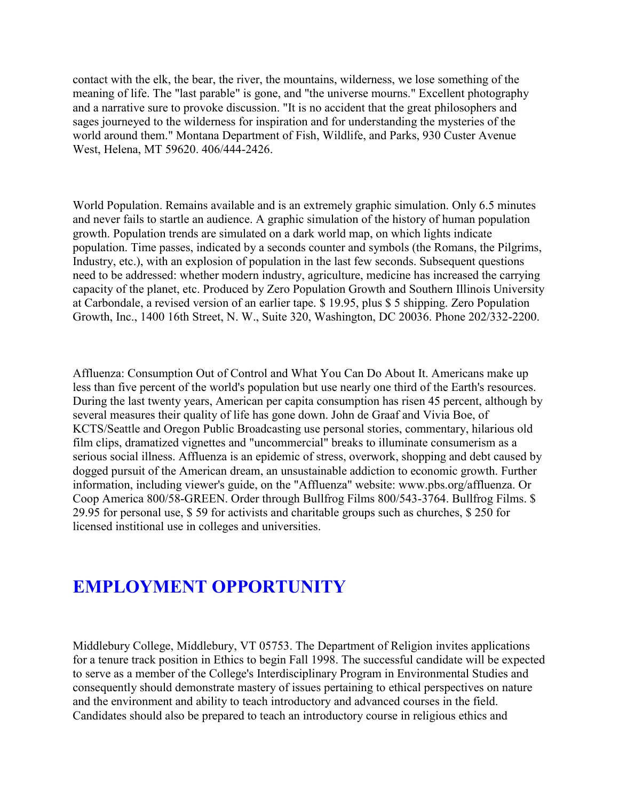contact with the elk, the bear, the river, the mountains, wilderness, we lose something of the meaning of life. The "last parable" is gone, and "the universe mourns." Excellent photography and a narrative sure to provoke discussion. "It is no accident that the great philosophers and sages journeyed to the wilderness for inspiration and for understanding the mysteries of the world around them." Montana Department of Fish, Wildlife, and Parks, 930 Custer Avenue West, Helena, MT 59620. 406/444-2426.

World Population. Remains available and is an extremely graphic simulation. Only 6.5 minutes and never fails to startle an audience. A graphic simulation of the history of human population growth. Population trends are simulated on a dark world map, on which lights indicate population. Time passes, indicated by a seconds counter and symbols (the Romans, the Pilgrims, Industry, etc.), with an explosion of population in the last few seconds. Subsequent questions need to be addressed: whether modern industry, agriculture, medicine has increased the carrying capacity of the planet, etc. Produced by Zero Population Growth and Southern Illinois University at Carbondale, a revised version of an earlier tape. \$ 19.95, plus \$ 5 shipping. Zero Population Growth, Inc., 1400 16th Street, N. W., Suite 320, Washington, DC 20036. Phone 202/332-2200.

Affluenza: Consumption Out of Control and What You Can Do About It. Americans make up less than five percent of the world's population but use nearly one third of the Earth's resources. During the last twenty years, American per capita consumption has risen 45 percent, although by several measures their quality of life has gone down. John de Graaf and Vivia Boe, of KCTS/Seattle and Oregon Public Broadcasting use personal stories, commentary, hilarious old film clips, dramatized vignettes and "uncommercial" breaks to illuminate consumerism as a serious social illness. Affluenza is an epidemic of stress, overwork, shopping and debt caused by dogged pursuit of the American dream, an unsustainable addiction to economic growth. Further information, including viewer's guide, on the "Affluenza" website: www.pbs.org/affluenza. Or Coop America 800/58-GREEN. Order through Bullfrog Films 800/543-3764. Bullfrog Films. \$ 29.95 for personal use, \$ 59 for activists and charitable groups such as churches, \$ 250 for licensed institional use in colleges and universities.

# **EMPLOYMENT OPPORTUNITY**

Middlebury College, Middlebury, VT 05753. The Department of Religion invites applications for a tenure track position in Ethics to begin Fall 1998. The successful candidate will be expected to serve as a member of the College's Interdisciplinary Program in Environmental Studies and consequently should demonstrate mastery of issues pertaining to ethical perspectives on nature and the environment and ability to teach introductory and advanced courses in the field. Candidates should also be prepared to teach an introductory course in religious ethics and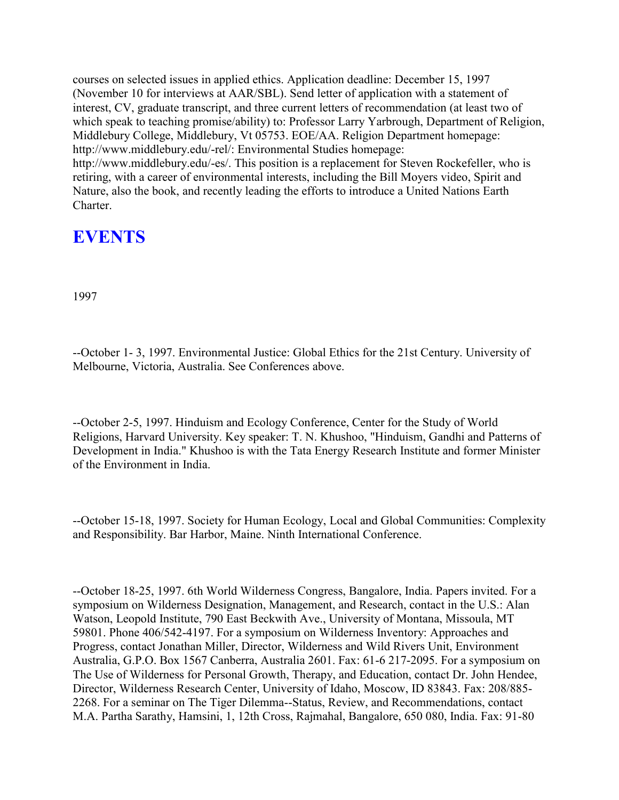courses on selected issues in applied ethics. Application deadline: December 15, 1997 (November 10 for interviews at AAR/SBL). Send letter of application with a statement of interest, CV, graduate transcript, and three current letters of recommendation (at least two of which speak to teaching promise/ability) to: Professor Larry Yarbrough, Department of Religion, Middlebury College, Middlebury, Vt 05753. EOE/AA. Religion Department homepage: http://www.middlebury.edu/-rel/: Environmental Studies homepage: http://www.middlebury.edu/-es/. This position is a replacement for Steven Rockefeller, who is retiring, with a career of environmental interests, including the Bill Moyers video, Spirit and Nature, also the book, and recently leading the efforts to introduce a United Nations Earth Charter.

# **EVENTS**

1997

--October 1- 3, 1997. Environmental Justice: Global Ethics for the 21st Century. University of Melbourne, Victoria, Australia. See Conferences above.

--October 2-5, 1997. Hinduism and Ecology Conference, Center for the Study of World Religions, Harvard University. Key speaker: T. N. Khushoo, "Hinduism, Gandhi and Patterns of Development in India." Khushoo is with the Tata Energy Research Institute and former Minister of the Environment in India.

--October 15-18, 1997. Society for Human Ecology, Local and Global Communities: Complexity and Responsibility. Bar Harbor, Maine. Ninth International Conference.

--October 18-25, 1997. 6th World Wilderness Congress, Bangalore, India. Papers invited. For a symposium on Wilderness Designation, Management, and Research, contact in the U.S.: Alan Watson, Leopold Institute, 790 East Beckwith Ave., University of Montana, Missoula, MT 59801. Phone 406/542-4197. For a symposium on Wilderness Inventory: Approaches and Progress, contact Jonathan Miller, Director, Wilderness and Wild Rivers Unit, Environment Australia, G.P.O. Box 1567 Canberra, Australia 2601. Fax: 61-6 217-2095. For a symposium on The Use of Wilderness for Personal Growth, Therapy, and Education, contact Dr. John Hendee, Director, Wilderness Research Center, University of Idaho, Moscow, ID 83843. Fax: 208/885- 2268. For a seminar on The Tiger Dilemma--Status, Review, and Recommendations, contact M.A. Partha Sarathy, Hamsini, 1, 12th Cross, Rajmahal, Bangalore, 650 080, India. Fax: 91-80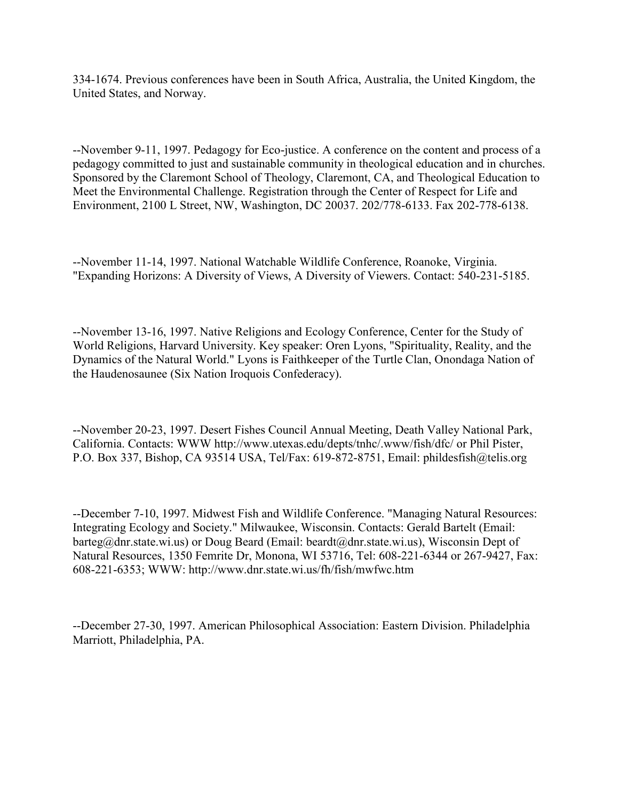334-1674. Previous conferences have been in South Africa, Australia, the United Kingdom, the United States, and Norway.

--November 9-11, 1997. Pedagogy for Eco-justice. A conference on the content and process of a pedagogy committed to just and sustainable community in theological education and in churches. Sponsored by the Claremont School of Theology, Claremont, CA, and Theological Education to Meet the Environmental Challenge. Registration through the Center of Respect for Life and Environment, 2100 L Street, NW, Washington, DC 20037. 202/778-6133. Fax 202-778-6138.

--November 11-14, 1997. National Watchable Wildlife Conference, Roanoke, Virginia. "Expanding Horizons: A Diversity of Views, A Diversity of Viewers. Contact: 540-231-5185.

--November 13-16, 1997. Native Religions and Ecology Conference, Center for the Study of World Religions, Harvard University. Key speaker: Oren Lyons, "Spirituality, Reality, and the Dynamics of the Natural World." Lyons is Faithkeeper of the Turtle Clan, Onondaga Nation of the Haudenosaunee (Six Nation Iroquois Confederacy).

--November 20-23, 1997. Desert Fishes Council Annual Meeting, Death Valley National Park, California. Contacts: WWW http://www.utexas.edu/depts/tnhc/.www/fish/dfc/ or Phil Pister, P.O. Box 337, Bishop, CA 93514 USA, Tel/Fax: 619-872-8751, Email: phildesfish@telis.org

--December 7-10, 1997. Midwest Fish and Wildlife Conference. "Managing Natural Resources: Integrating Ecology and Society." Milwaukee, Wisconsin. Contacts: Gerald Bartelt (Email: barteg@dnr.state.wi.us) or Doug Beard (Email: beardt@dnr.state.wi.us), Wisconsin Dept of Natural Resources, 1350 Femrite Dr, Monona, WI 53716, Tel: 608-221-6344 or 267-9427, Fax: 608-221-6353; WWW: http://www.dnr.state.wi.us/fh/fish/mwfwc.htm

--December 27-30, 1997. American Philosophical Association: Eastern Division. Philadelphia Marriott, Philadelphia, PA.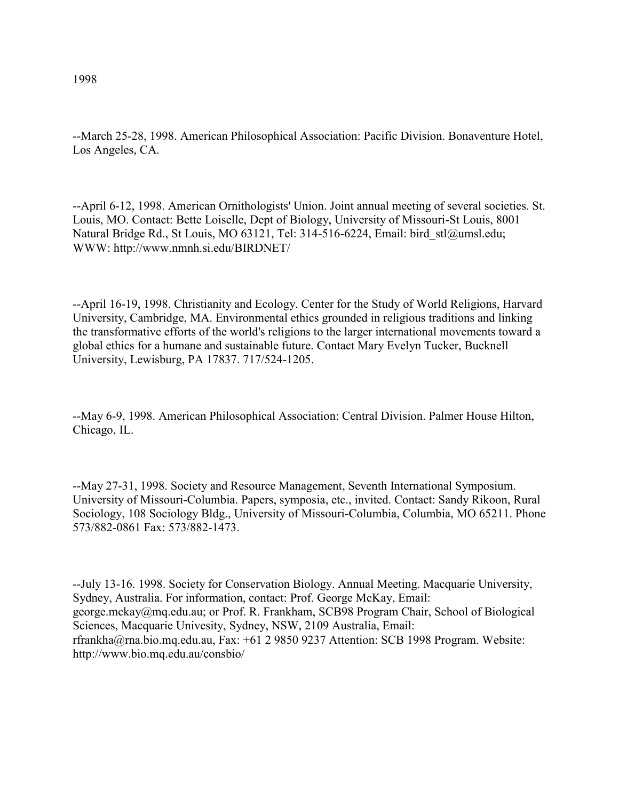--March 25-28, 1998. American Philosophical Association: Pacific Division. Bonaventure Hotel, Los Angeles, CA.

--April 6-12, 1998. American Ornithologists' Union. Joint annual meeting of several societies. St. Louis, MO. Contact: Bette Loiselle, Dept of Biology, University of Missouri-St Louis, 8001 Natural Bridge Rd., St Louis, MO 63121, Tel: 314-516-6224, Email: bird\_stl@umsl.edu; WWW: http://www.nmnh.si.edu/BIRDNET/

--April 16-19, 1998. Christianity and Ecology. Center for the Study of World Religions, Harvard University, Cambridge, MA. Environmental ethics grounded in religious traditions and linking the transformative efforts of the world's religions to the larger international movements toward a global ethics for a humane and sustainable future. Contact Mary Evelyn Tucker, Bucknell University, Lewisburg, PA 17837. 717/524-1205.

--May 6-9, 1998. American Philosophical Association: Central Division. Palmer House Hilton, Chicago, IL.

--May 27-31, 1998. Society and Resource Management, Seventh International Symposium. University of Missouri-Columbia. Papers, symposia, etc., invited. Contact: Sandy Rikoon, Rural Sociology, 108 Sociology Bldg., University of Missouri-Columbia, Columbia, MO 65211. Phone 573/882-0861 Fax: 573/882-1473.

--July 13-16. 1998. Society for Conservation Biology. Annual Meeting. Macquarie University, Sydney, Australia. For information, contact: Prof. George McKay, Email: george.mckay@mq.edu.au; or Prof. R. Frankham, SCB98 Program Chair, School of Biological Sciences, Macquarie Univesity, Sydney, NSW, 2109 Australia, Email: rfrankha@rna.bio.mq.edu.au, Fax: +61 2 9850 9237 Attention: SCB 1998 Program. Website: http://www.bio.mq.edu.au/consbio/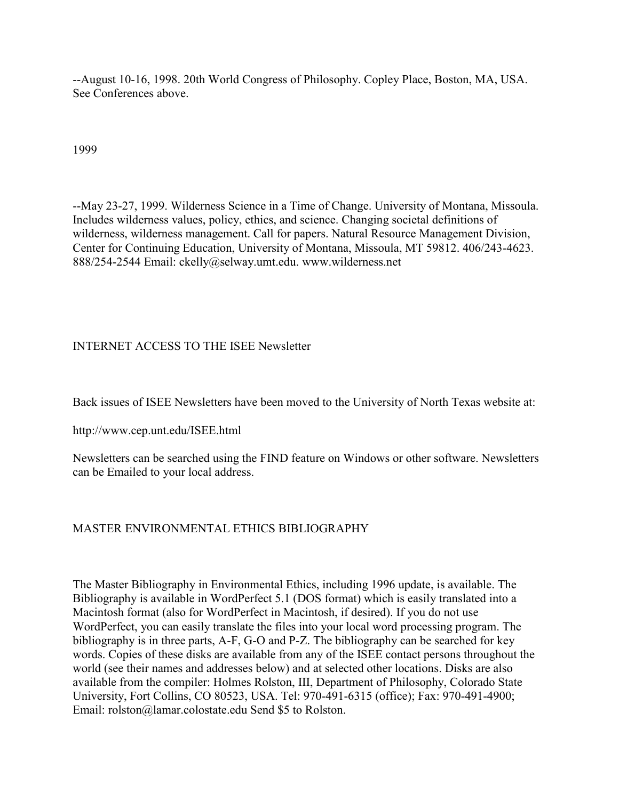--August 10-16, 1998. 20th World Congress of Philosophy. Copley Place, Boston, MA, USA. See Conferences above.

1999

--May 23-27, 1999. Wilderness Science in a Time of Change. University of Montana, Missoula. Includes wilderness values, policy, ethics, and science. Changing societal definitions of wilderness, wilderness management. Call for papers. Natural Resource Management Division, Center for Continuing Education, University of Montana, Missoula, MT 59812. 406/243-4623. 888/254-2544 Email: ckelly@selway.umt.edu. www.wilderness.net

### INTERNET ACCESS TO THE ISEE Newsletter

Back issues of ISEE Newsletters have been moved to the University of North Texas website at:

http://www.cep.unt.edu/ISEE.html

Newsletters can be searched using the FIND feature on Windows or other software. Newsletters can be Emailed to your local address.

### MASTER ENVIRONMENTAL ETHICS BIBLIOGRAPHY

The Master Bibliography in Environmental Ethics, including 1996 update, is available. The Bibliography is available in WordPerfect 5.1 (DOS format) which is easily translated into a Macintosh format (also for WordPerfect in Macintosh, if desired). If you do not use WordPerfect, you can easily translate the files into your local word processing program. The bibliography is in three parts, A-F, G-O and P-Z. The bibliography can be searched for key words. Copies of these disks are available from any of the ISEE contact persons throughout the world (see their names and addresses below) and at selected other locations. Disks are also available from the compiler: Holmes Rolston, III, Department of Philosophy, Colorado State University, Fort Collins, CO 80523, USA. Tel: 970-491-6315 (office); Fax: 970-491-4900; Email: rolston@lamar.colostate.edu Send \$5 to Rolston.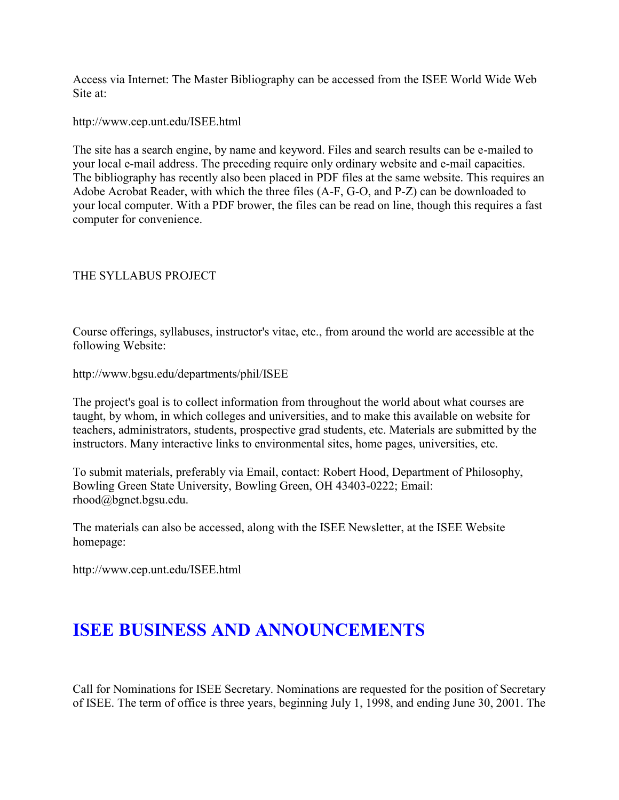Access via Internet: The Master Bibliography can be accessed from the ISEE World Wide Web Site at:

http://www.cep.unt.edu/ISEE.html

The site has a search engine, by name and keyword. Files and search results can be e-mailed to your local e-mail address. The preceding require only ordinary website and e-mail capacities. The bibliography has recently also been placed in PDF files at the same website. This requires an Adobe Acrobat Reader, with which the three files (A-F, G-O, and P-Z) can be downloaded to your local computer. With a PDF brower, the files can be read on line, though this requires a fast computer for convenience.

### THE SYLLABUS PROJECT

Course offerings, syllabuses, instructor's vitae, etc., from around the world are accessible at the following Website:

http://www.bgsu.edu/departments/phil/ISEE

The project's goal is to collect information from throughout the world about what courses are taught, by whom, in which colleges and universities, and to make this available on website for teachers, administrators, students, prospective grad students, etc. Materials are submitted by the instructors. Many interactive links to environmental sites, home pages, universities, etc.

To submit materials, preferably via Email, contact: Robert Hood, Department of Philosophy, Bowling Green State University, Bowling Green, OH 43403-0222; Email: rhood@bgnet.bgsu.edu.

The materials can also be accessed, along with the ISEE Newsletter, at the ISEE Website homepage:

http://www.cep.unt.edu/ISEE.html

# **ISEE BUSINESS AND ANNOUNCEMENTS**

Call for Nominations for ISEE Secretary. Nominations are requested for the position of Secretary of ISEE. The term of office is three years, beginning July 1, 1998, and ending June 30, 2001. The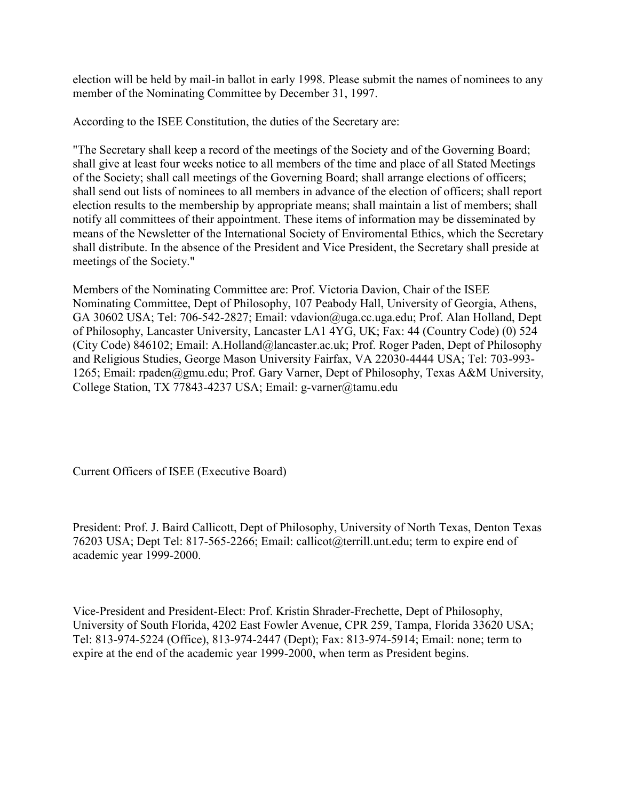election will be held by mail-in ballot in early 1998. Please submit the names of nominees to any member of the Nominating Committee by December 31, 1997.

According to the ISEE Constitution, the duties of the Secretary are:

"The Secretary shall keep a record of the meetings of the Society and of the Governing Board; shall give at least four weeks notice to all members of the time and place of all Stated Meetings of the Society; shall call meetings of the Governing Board; shall arrange elections of officers; shall send out lists of nominees to all members in advance of the election of officers; shall report election results to the membership by appropriate means; shall maintain a list of members; shall notify all committees of their appointment. These items of information may be disseminated by means of the Newsletter of the International Society of Enviromental Ethics, which the Secretary shall distribute. In the absence of the President and Vice President, the Secretary shall preside at meetings of the Society."

Members of the Nominating Committee are: Prof. Victoria Davion, Chair of the ISEE Nominating Committee, Dept of Philosophy, 107 Peabody Hall, University of Georgia, Athens, GA 30602 USA; Tel: 706-542-2827; Email: vdavion@uga.cc.uga.edu; Prof. Alan Holland, Dept of Philosophy, Lancaster University, Lancaster LA1 4YG, UK; Fax: 44 (Country Code) (0) 524 (City Code) 846102; Email: A.Holland@lancaster.ac.uk; Prof. Roger Paden, Dept of Philosophy and Religious Studies, George Mason University Fairfax, VA 22030-4444 USA; Tel: 703-993- 1265; Email: rpaden@gmu.edu; Prof. Gary Varner, Dept of Philosophy, Texas A&M University, College Station, TX 77843-4237 USA; Email: g-varner@tamu.edu

Current Officers of ISEE (Executive Board)

President: Prof. J. Baird Callicott, Dept of Philosophy, University of North Texas, Denton Texas 76203 USA; Dept Tel: 817-565-2266; Email: callicot@terrill.unt.edu; term to expire end of academic year 1999-2000.

Vice-President and President-Elect: Prof. Kristin Shrader-Frechette, Dept of Philosophy, University of South Florida, 4202 East Fowler Avenue, CPR 259, Tampa, Florida 33620 USA; Tel: 813-974-5224 (Office), 813-974-2447 (Dept); Fax: 813-974-5914; Email: none; term to expire at the end of the academic year 1999-2000, when term as President begins.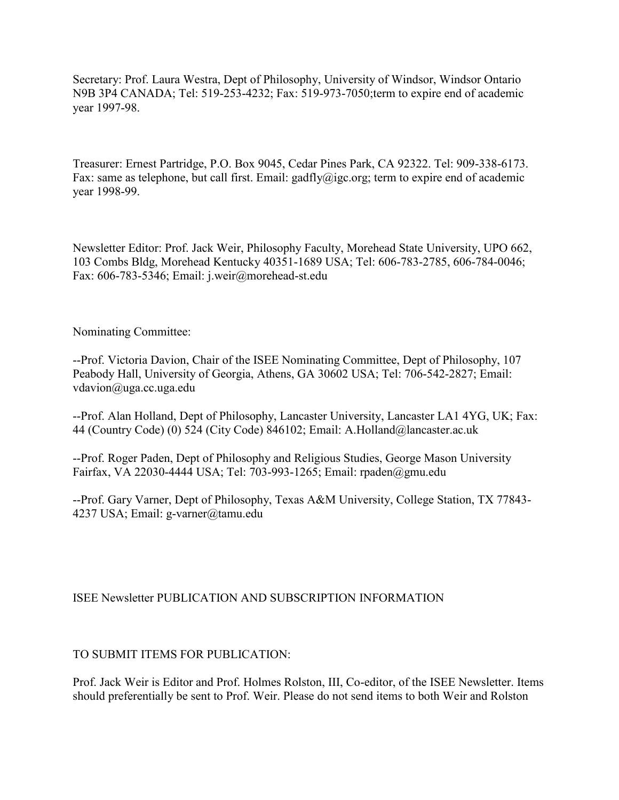Secretary: Prof. Laura Westra, Dept of Philosophy, University of Windsor, Windsor Ontario N9B 3P4 CANADA; Tel: 519-253-4232; Fax: 519-973-7050;term to expire end of academic year 1997-98.

Treasurer: Ernest Partridge, P.O. Box 9045, Cedar Pines Park, CA 92322. Tel: 909-338-6173. Fax: same as telephone, but call first. Email: gadfly@igc.org; term to expire end of academic year 1998-99.

Newsletter Editor: Prof. Jack Weir, Philosophy Faculty, Morehead State University, UPO 662, 103 Combs Bldg, Morehead Kentucky 40351-1689 USA; Tel: 606-783-2785, 606-784-0046; Fax: 606-783-5346; Email: j.weir@morehead-st.edu

Nominating Committee:

--Prof. Victoria Davion, Chair of the ISEE Nominating Committee, Dept of Philosophy, 107 Peabody Hall, University of Georgia, Athens, GA 30602 USA; Tel: 706-542-2827; Email: vdavion@uga.cc.uga.edu

--Prof. Alan Holland, Dept of Philosophy, Lancaster University, Lancaster LA1 4YG, UK; Fax: 44 (Country Code) (0) 524 (City Code) 846102; Email: A.Holland@lancaster.ac.uk

--Prof. Roger Paden, Dept of Philosophy and Religious Studies, George Mason University Fairfax, VA 22030-4444 USA; Tel: 703-993-1265; Email: rpaden@gmu.edu

--Prof. Gary Varner, Dept of Philosophy, Texas A&M University, College Station, TX 77843- 4237 USA; Email: g-varner@tamu.edu

### ISEE Newsletter PUBLICATION AND SUBSCRIPTION INFORMATION

### TO SUBMIT ITEMS FOR PUBLICATION:

Prof. Jack Weir is Editor and Prof. Holmes Rolston, III, Co-editor, of the ISEE Newsletter. Items should preferentially be sent to Prof. Weir. Please do not send items to both Weir and Rolston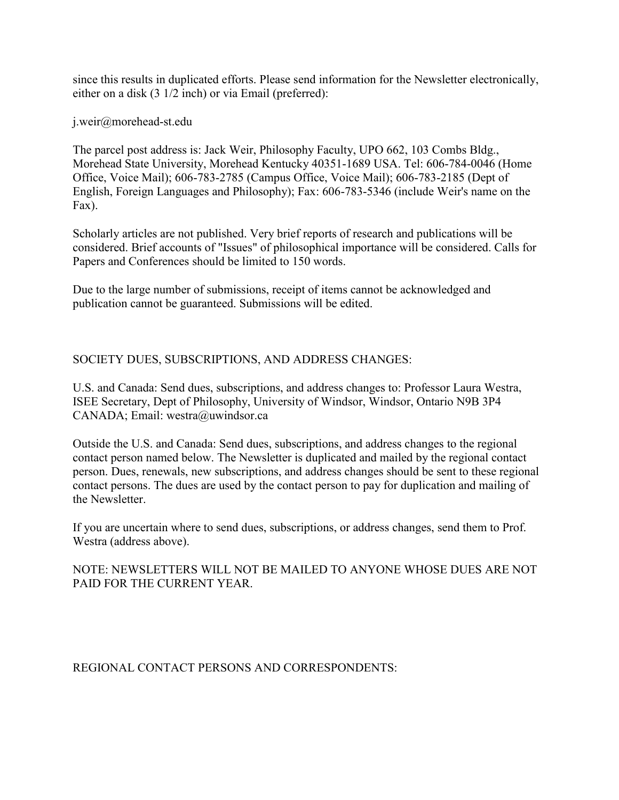since this results in duplicated efforts. Please send information for the Newsletter electronically, either on a disk (3 1/2 inch) or via Email (preferred):

j.weir@morehead-st.edu

The parcel post address is: Jack Weir, Philosophy Faculty, UPO 662, 103 Combs Bldg., Morehead State University, Morehead Kentucky 40351-1689 USA. Tel: 606-784-0046 (Home Office, Voice Mail); 606-783-2785 (Campus Office, Voice Mail); 606-783-2185 (Dept of English, Foreign Languages and Philosophy); Fax: 606-783-5346 (include Weir's name on the Fax).

Scholarly articles are not published. Very brief reports of research and publications will be considered. Brief accounts of "Issues" of philosophical importance will be considered. Calls for Papers and Conferences should be limited to 150 words.

Due to the large number of submissions, receipt of items cannot be acknowledged and publication cannot be guaranteed. Submissions will be edited.

### SOCIETY DUES, SUBSCRIPTIONS, AND ADDRESS CHANGES:

U.S. and Canada: Send dues, subscriptions, and address changes to: Professor Laura Westra, ISEE Secretary, Dept of Philosophy, University of Windsor, Windsor, Ontario N9B 3P4 CANADA; Email: westra@uwindsor.ca

Outside the U.S. and Canada: Send dues, subscriptions, and address changes to the regional contact person named below. The Newsletter is duplicated and mailed by the regional contact person. Dues, renewals, new subscriptions, and address changes should be sent to these regional contact persons. The dues are used by the contact person to pay for duplication and mailing of the Newsletter.

If you are uncertain where to send dues, subscriptions, or address changes, send them to Prof. Westra (address above).

NOTE: NEWSLETTERS WILL NOT BE MAILED TO ANYONE WHOSE DUES ARE NOT PAID FOR THE CURRENT YEAR.

REGIONAL CONTACT PERSONS AND CORRESPONDENTS: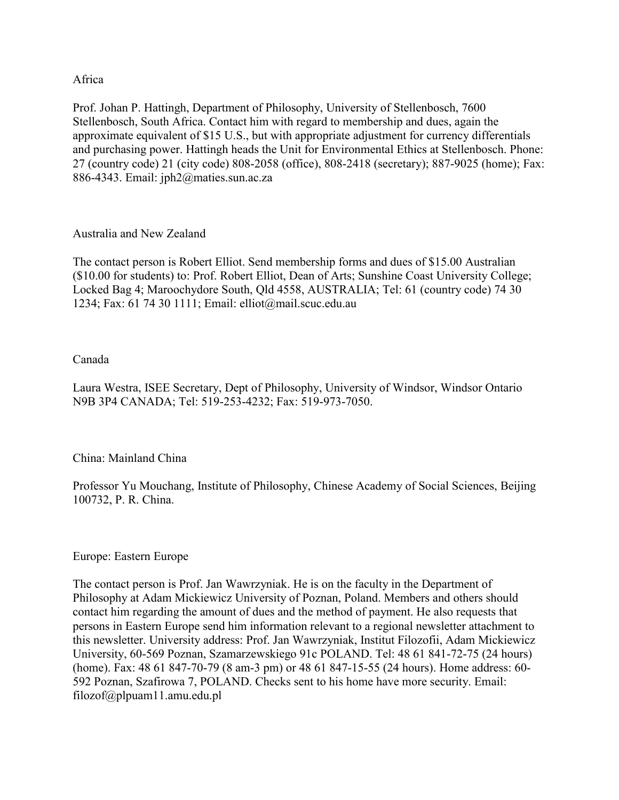#### Africa

Prof. Johan P. Hattingh, Department of Philosophy, University of Stellenbosch, 7600 Stellenbosch, South Africa. Contact him with regard to membership and dues, again the approximate equivalent of \$15 U.S., but with appropriate adjustment for currency differentials and purchasing power. Hattingh heads the Unit for Environmental Ethics at Stellenbosch. Phone: 27 (country code) 21 (city code) 808-2058 (office), 808-2418 (secretary); 887-9025 (home); Fax: 886-4343. Email: jph2@maties.sun.ac.za

#### Australia and New Zealand

The contact person is Robert Elliot. Send membership forms and dues of \$15.00 Australian (\$10.00 for students) to: Prof. Robert Elliot, Dean of Arts; Sunshine Coast University College; Locked Bag 4; Maroochydore South, Qld 4558, AUSTRALIA; Tel: 61 (country code) 74 30 1234; Fax: 61 74 30 1111; Email: elliot@mail.scuc.edu.au

#### Canada

Laura Westra, ISEE Secretary, Dept of Philosophy, University of Windsor, Windsor Ontario N9B 3P4 CANADA; Tel: 519-253-4232; Fax: 519-973-7050.

### China: Mainland China

Professor Yu Mouchang, Institute of Philosophy, Chinese Academy of Social Sciences, Beijing 100732, P. R. China.

#### Europe: Eastern Europe

The contact person is Prof. Jan Wawrzyniak. He is on the faculty in the Department of Philosophy at Adam Mickiewicz University of Poznan, Poland. Members and others should contact him regarding the amount of dues and the method of payment. He also requests that persons in Eastern Europe send him information relevant to a regional newsletter attachment to this newsletter. University address: Prof. Jan Wawrzyniak, Institut Filozofii, Adam Mickiewicz University, 60-569 Poznan, Szamarzewskiego 91c POLAND. Tel: 48 61 841-72-75 (24 hours) (home). Fax: 48 61 847-70-79 (8 am-3 pm) or 48 61 847-15-55 (24 hours). Home address: 60- 592 Poznan, Szafirowa 7, POLAND. Checks sent to his home have more security. Email: filozof@plpuam11.amu.edu.pl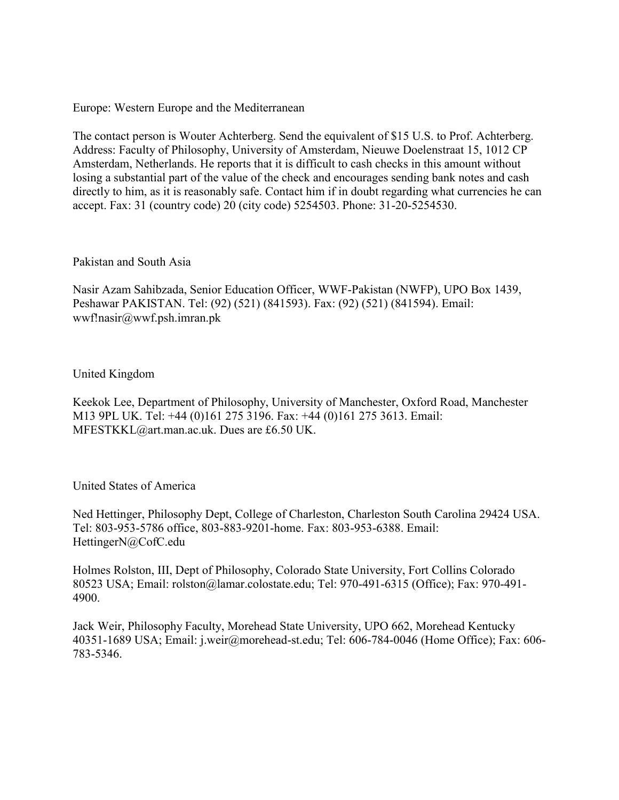Europe: Western Europe and the Mediterranean

The contact person is Wouter Achterberg. Send the equivalent of \$15 U.S. to Prof. Achterberg. Address: Faculty of Philosophy, University of Amsterdam, Nieuwe Doelenstraat 15, 1012 CP Amsterdam, Netherlands. He reports that it is difficult to cash checks in this amount without losing a substantial part of the value of the check and encourages sending bank notes and cash directly to him, as it is reasonably safe. Contact him if in doubt regarding what currencies he can accept. Fax: 31 (country code) 20 (city code) 5254503. Phone: 31-20-5254530.

#### Pakistan and South Asia

Nasir Azam Sahibzada, Senior Education Officer, WWF-Pakistan (NWFP), UPO Box 1439, Peshawar PAKISTAN. Tel: (92) (521) (841593). Fax: (92) (521) (841594). Email: wwf!nasir@wwf.psh.imran.pk

#### United Kingdom

Keekok Lee, Department of Philosophy, University of Manchester, Oxford Road, Manchester M13 9PL UK. Tel: +44 (0)161 275 3196. Fax: +44 (0)161 275 3613. Email: MFESTKKL@art.man.ac.uk. Dues are £6.50 UK.

#### United States of America

Ned Hettinger, Philosophy Dept, College of Charleston, Charleston South Carolina 29424 USA. Tel: 803-953-5786 office, 803-883-9201-home. Fax: 803-953-6388. Email: HettingerN@CofC.edu

Holmes Rolston, III, Dept of Philosophy, Colorado State University, Fort Collins Colorado 80523 USA; Email: rolston@lamar.colostate.edu; Tel: 970-491-6315 (Office); Fax: 970-491- 4900.

Jack Weir, Philosophy Faculty, Morehead State University, UPO 662, Morehead Kentucky 40351-1689 USA; Email: j.weir@morehead-st.edu; Tel: 606-784-0046 (Home Office); Fax: 606- 783-5346.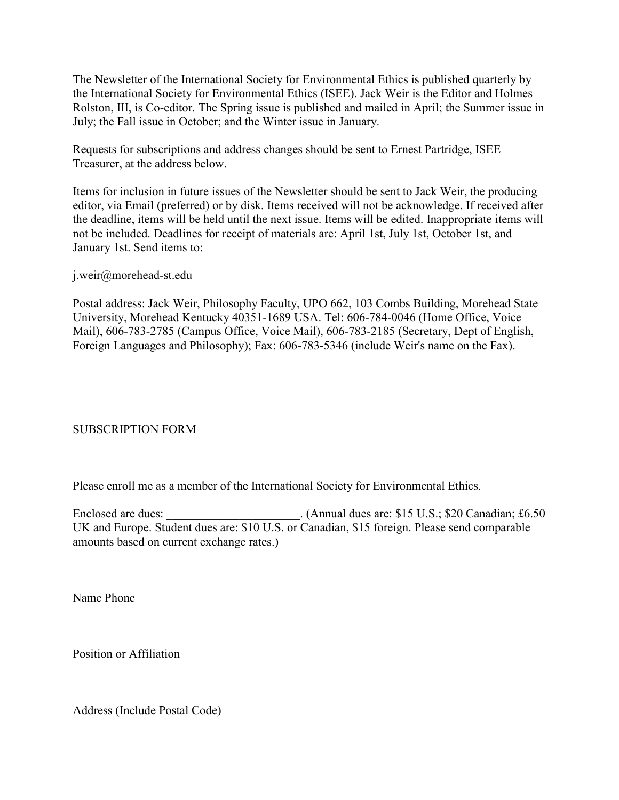The Newsletter of the International Society for Environmental Ethics is published quarterly by the International Society for Environmental Ethics (ISEE). Jack Weir is the Editor and Holmes Rolston, III, is Co-editor. The Spring issue is published and mailed in April; the Summer issue in July; the Fall issue in October; and the Winter issue in January.

Requests for subscriptions and address changes should be sent to Ernest Partridge, ISEE Treasurer, at the address below.

Items for inclusion in future issues of the Newsletter should be sent to Jack Weir, the producing editor, via Email (preferred) or by disk. Items received will not be acknowledge. If received after the deadline, items will be held until the next issue. Items will be edited. Inappropriate items will not be included. Deadlines for receipt of materials are: April 1st, July 1st, October 1st, and January 1st. Send items to:

j.weir@morehead-st.edu

Postal address: Jack Weir, Philosophy Faculty, UPO 662, 103 Combs Building, Morehead State University, Morehead Kentucky 40351-1689 USA. Tel: 606-784-0046 (Home Office, Voice Mail), 606-783-2785 (Campus Office, Voice Mail), 606-783-2185 (Secretary, Dept of English, Foreign Languages and Philosophy); Fax: 606-783-5346 (include Weir's name on the Fax).

### SUBSCRIPTION FORM

Please enroll me as a member of the International Society for Environmental Ethics.

Enclosed are dues: \_\_\_\_\_\_\_\_\_\_\_\_\_\_\_\_\_\_\_\_\_. (Annual dues are: \$15 U.S.; \$20 Canadian; £6.50 UK and Europe. Student dues are: \$10 U.S. or Canadian, \$15 foreign. Please send comparable amounts based on current exchange rates.)

Name Phone

Position or Affiliation

Address (Include Postal Code)